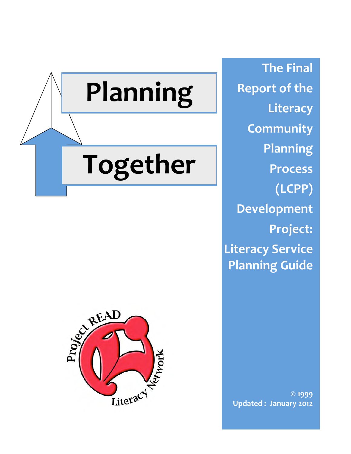

**The
Final Report
of
the Literacy Community Planning Process (LCPP) Development Project: Literacy
Service Planning
Guide**



**©
1999 Updated
:

January
2012**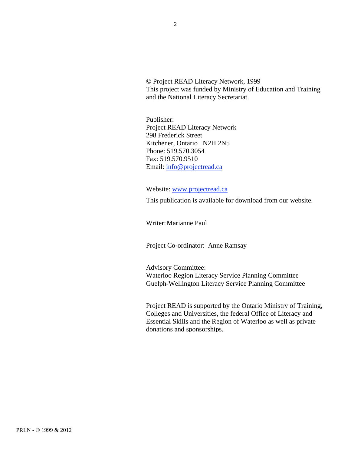© Project READ Literacy Network, 1999 This project was funded by Ministry of Education and Training and the National Literacy Secretariat.

Publisher: Project READ Literacy Network 298 Frederick Street Kitchener, Ontario N2H 2N5 Phone: 519.570.3054 Fax: 519.570.9510 Email: info@projectread.ca

Website: www.projectread.ca

This publication is available for download from our website.

Writer:Marianne Paul

Project Co-ordinator: Anne Ramsay

Advisory Committee: Waterloo Region Literacy Service Planning Committee Guelph-Wellington Literacy Service Planning Committee

Project READ is supported by the Ontario Ministry of Training, Colleges and Universities, the federal Office of Literacy and Essential Skills and the Region of Waterloo as well as private donations and sponsorships.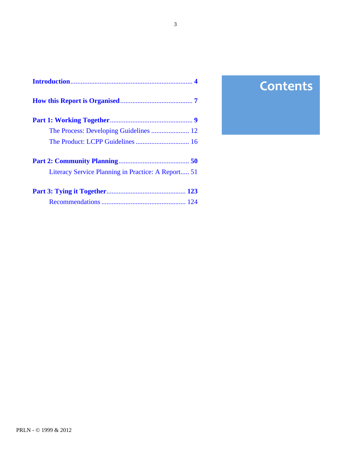| Literacy Service Planning in Practice: A Report 51 |  |
|----------------------------------------------------|--|
|                                                    |  |
|                                                    |  |

# **Contents**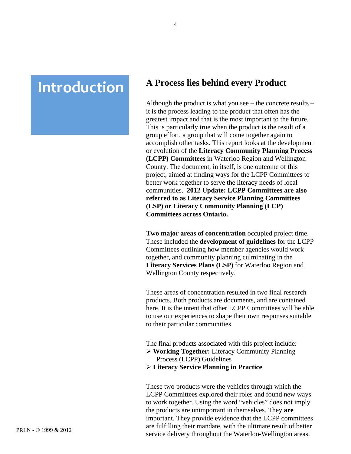# <span id="page-3-0"></span>**Introduction A** Process lies behind every Product

Although the product is what you see – the concrete results – it is the process leading to the product that often has the greatest impact and that is the most important to the future. This is particularly true when the product is the result of a group effort, a group that will come together again to accomplish other tasks. This report looks at the development or evolution of the **Literacy Community Planning Process (LCPP) Committees** in Waterloo Region and Wellington County. The document, in itself, is one outcome of this project, aimed at finding ways for the LCPP Committees to better work together to serve the literacy needs of local communities. **2012 Update: LCPP Committees are also referred to as Literacy Service Planning Committees (LSP) or Literacy Community Planning (LCP) Committees across Ontario.** 

**Two major areas of concentration** occupied project time. These included the **development of guidelines** for the LCPP Committees outlining how member agencies would work together, and community planning culminating in the **Literacy Services Plans (LSP)** for Waterloo Region and Wellington County respectively.

These areas of concentration resulted in two final research products. Both products are documents, and are contained here. It is the intent that other LCPP Committees will be able to use our experiences to shape their own responses suitable to their particular communities.

The final products associated with this project include:

- **Working Together:** Literacy Community Planning Process (LCPP) Guidelines
- **Literacy Service Planning in Practice**

These two products were the vehicles through which the LCPP Committees explored their roles and found new ways to work together. Using the word "vehicles" does not imply the products are unimportant in themselves. They **are** important. They provide evidence that the LCPP committees are fulfilling their mandate, with the ultimate result of better service delivery throughout the Waterloo-Wellington areas.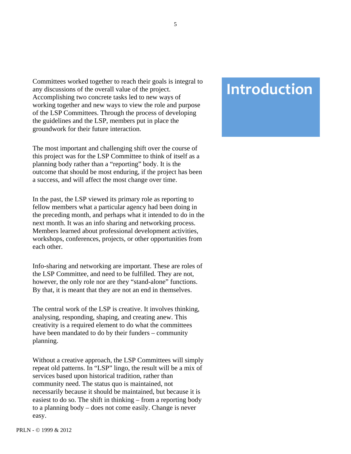Committees worked together to reach their goals is integral to any discussions of the overall value of the project. Accomplishing two concrete tasks led to new ways of working together and new ways to view the role and purpose of the LSP Committees. Through the process of developing the guidelines and the LSP, members put in place the

The most important and challenging shift over the course of this project was for the LSP Committee to think of itself as a planning body rather than a "reporting" body. It is the outcome that should be most enduring, if the project has been a success, and will affect the most change over time.

groundwork for their future interaction.

In the past, the LSP viewed its primary role as reporting to fellow members what a particular agency had been doing in the preceding month, and perhaps what it intended to do in the next month. It was an info sharing and networking process. Members learned about professional development activities, workshops, conferences, projects, or other opportunities from each other.

Info-sharing and networking are important. These are roles of the LSP Committee, and need to be fulfilled. They are not, however, the only role nor are they "stand-alone" functions. By that, it is meant that they are not an end in themselves.

The central work of the LSP is creative. It involves thinking, analysing, responding, shaping, and creating anew. This creativity is a required element to do what the committees have been mandated to do by their funders – community planning.

Without a creative approach, the LSP Committees will simply repeat old patterns. In "LSP" lingo, the result will be a mix of services based upon historical tradition, rather than community need. The status quo is maintained, not necessarily because it should be maintained, but because it is easiest to do so. The shift in thinking – from a reporting body to a planning body – does not come easily. Change is never easy.

# **Introduction**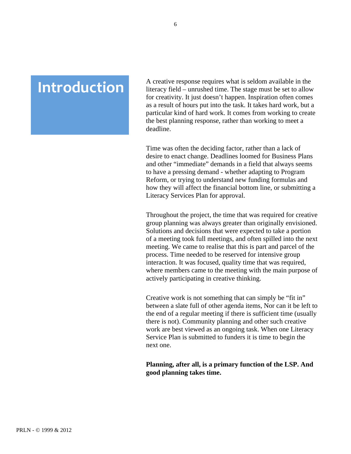# **Introduction**

A creative response requires what is seldom available in the literacy field – unrushed time. The stage must be set to allow for creativity. It just doesn't happen. Inspiration often comes as a result of hours put into the task. It takes hard work, but a particular kind of hard work. It comes from working to create the best planning response, rather than working to meet a deadline.

Time was often the deciding factor, rather than a lack of desire to enact change. Deadlines loomed for Business Plans and other "immediate" demands in a field that always seems to have a pressing demand - whether adapting to Program Reform, or trying to understand new funding formulas and how they will affect the financial bottom line, or submitting a Literacy Services Plan for approval.

Throughout the project, the time that was required for creative group planning was always greater than originally envisioned. Solutions and decisions that were expected to take a portion of a meeting took full meetings, and often spilled into the next meeting. We came to realise that this is part and parcel of the process. Time needed to be reserved for intensive group interaction. It was focused, quality time that was required, where members came to the meeting with the main purpose of actively participating in creative thinking.

Creative work is not something that can simply be "fit in" between a slate full of other agenda items, Nor can it be left to the end of a regular meeting if there is sufficient time (usually there is not). Community planning and other such creative work are best viewed as an ongoing task. When one Literacy Service Plan is submitted to funders it is time to begin the next one.

#### **Planning, after all, is a primary function of the LSP. And good planning takes time.**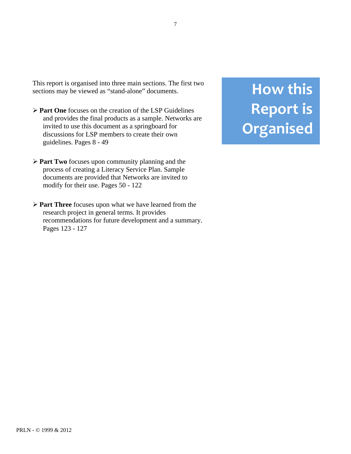<span id="page-6-0"></span>This report is organised into three main sections. The first two sections may be viewed as "stand-alone" documents.

- **Part One** focuses on the creation of the LSP Guidelines and provides the final products as a sample. Networks are invited to use this document as a springboard for discussions for LSP members to create their own guidelines. Pages 8 - 49
- **Part Two** focuses upon community planning and the process of creating a Literacy Service Plan. Sample documents are provided that Networks are invited to modify for their use. Pages 50 - 122
- **Part Three** focuses upon what we have learned from the research project in general terms. It provides recommendations for future development and a summary. Pages 123 - 127

# **How
this Report
is Organised**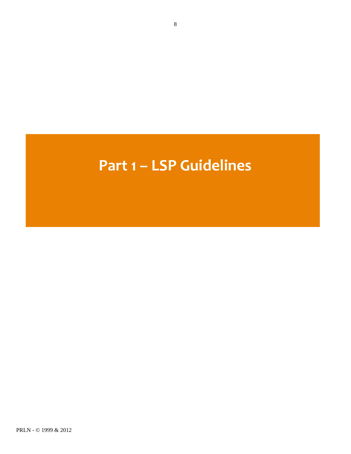# **Part
1
–
LSP
Guidelines**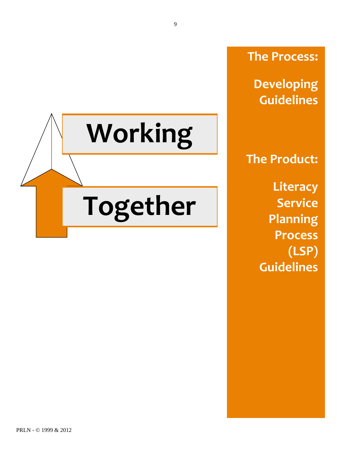<span id="page-8-0"></span>

**The
Process:**

**Developing Guidelines**

**The
Product: Literacy Service Planning Process (LSP) Guidelines**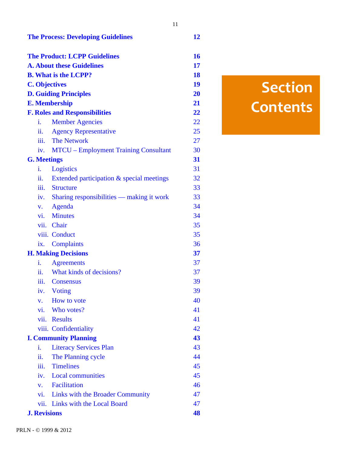|                              | <b>The Process: Developing Guidelines</b>    | 12 |
|------------------------------|----------------------------------------------|----|
|                              | <b>The Product: LCPP Guidelines</b>          | 16 |
|                              | <b>A. About these Guidelines</b>             | 17 |
|                              | <b>B. What is the LCPP?</b>                  | 18 |
| <b>C. Objectives</b>         |                                              | 19 |
| <b>D. Guiding Principles</b> |                                              | 20 |
| <b>E. Membership</b>         |                                              | 21 |
|                              | <b>F. Roles and Responsibilities</b>         | 22 |
| i.                           | <b>Member Agencies</b>                       | 22 |
| ii.                          | <b>Agency Representative</b>                 | 25 |
| iii.                         | <b>The Network</b>                           | 27 |
| iv.                          | <b>MTCU</b> – Employment Training Consultant | 30 |
| <b>G. Meetings</b>           |                                              | 31 |
| i.                           | Logistics                                    | 31 |
| ii.                          | Extended participation & special meetings    | 32 |
| $\dddot{\mathbf{m}}$ .       | <b>Structure</b>                             | 33 |
| iv.                          | Sharing responsibilities — making it work    | 33 |
| V.                           | Agenda                                       | 34 |
| $\mathbf{vi.}$               | <b>Minutes</b>                               | 34 |
| vii.                         | Chair                                        | 35 |
|                              | viii. Conduct                                | 35 |
| ix.                          | <b>Complaints</b>                            | 36 |
| <b>H. Making Decisions</b>   |                                              | 37 |
| i.                           | <b>Agreements</b>                            | 37 |
| ii.                          | What kinds of decisions?                     | 37 |
| iii.                         | <b>Consensus</b>                             | 39 |
|                              | iv. Voting                                   | 39 |
| V.                           | How to vote                                  | 40 |
| vi.                          | Who votes?                                   | 41 |
| vii.                         | <b>Results</b>                               | 41 |
|                              | viii. Confidentiality                        | 42 |
|                              | <b>I. Community Planning</b>                 | 43 |
| i.                           | <b>Literacy Services Plan</b>                | 43 |
| ii.                          | The Planning cycle                           | 44 |
| iii.                         | <b>Timelines</b>                             | 45 |
|                              | iv. Local communities                        | 45 |
| $V_{\star}$                  | Facilitation                                 | 46 |
| $\mathbf{vi.}$               | Links with the Broader Community             | 47 |
|                              | vii. Links with the Local Board              | 47 |
| <b>J. Revisions</b>          |                                              | 48 |

# **Section Contents**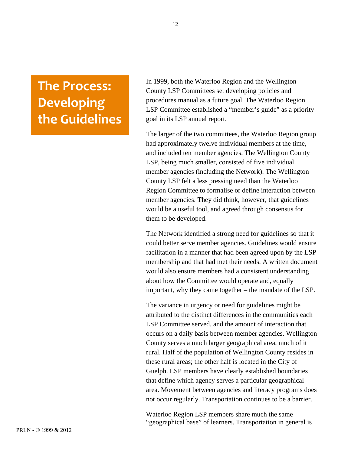# <span id="page-11-0"></span>**The
Process: Developing the
Guidelines**

In 1999, both the Waterloo Region and the Wellington County LSP Committees set developing policies and procedures manual as a future goal. The Waterloo Region LSP Committee established a "member's guide" as a priority goal in its LSP annual report.

The larger of the two committees, the Waterloo Region group had approximately twelve individual members at the time, and included ten member agencies. The Wellington County LSP, being much smaller, consisted of five individual member agencies (including the Network). The Wellington County LSP felt a less pressing need than the Waterloo Region Committee to formalise or define interaction between member agencies. They did think, however, that guidelines would be a useful tool, and agreed through consensus for them to be developed.

The Network identified a strong need for guidelines so that it could better serve member agencies. Guidelines would ensure facilitation in a manner that had been agreed upon by the LSP membership and that had met their needs. A written document would also ensure members had a consistent understanding about how the Committee would operate and, equally important, why they came together – the mandate of the LSP.

The variance in urgency or need for guidelines might be attributed to the distinct differences in the communities each LSP Committee served, and the amount of interaction that occurs on a daily basis between member agencies. Wellington County serves a much larger geographical area, much of it rural. Half of the population of Wellington County resides in these rural areas; the other half is located in the City of Guelph. LSP members have clearly established boundaries that define which agency serves a particular geographical area. Movement between agencies and literacy programs does not occur regularly. Transportation continues to be a barrier.

Waterloo Region LSP members share much the same "geographical base" of learners. Transportation in general is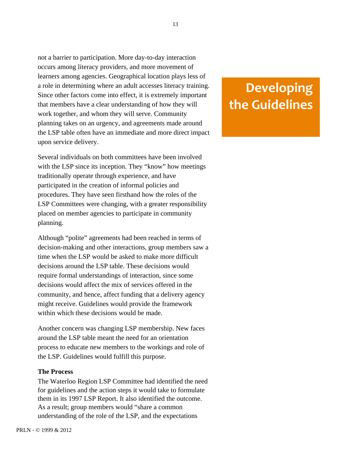not a barrier to participation. More day-to-day interaction occurs among literacy providers, and more movement of learners among agencies. Geographical location plays less of a role in determining where an adult accesses literacy training. Since other factors come into effect, it is extremely important that members have a clear understanding of how they will work together, and whom they will serve. Community planning takes on an urgency, and agreements made around the LSP table often have an immediate and more direct impact upon service delivery.

Several individuals on both committees have been involved with the LSP since its inception. They "know" how meetings traditionally operate through experience, and have participated in the creation of informal policies and procedures. They have seen firsthand how the roles of the LSP Committees were changing, with a greater responsibility placed on member agencies to participate in community planning.

Although "polite" agreements had been reached in terms of decision-making and other interactions, group members saw a time when the LSP would be asked to make more difficult decisions around the LSP table. These decisions would require formal understandings of interaction, since some decisions would affect the mix of services offered in the community, and hence, affect funding that a delivery agency might receive. Guidelines would provide the framework within which these decisions would be made.

Another concern was changing LSP membership. New faces around the LSP table meant the need for an orientation process to educate new members to the workings and role of the LSP. Guidelines would fulfill this purpose.

#### **The Process**

The Waterloo Region LSP Committee had identified the need for guidelines and the action steps it would take to formulate them in its 1997 LSP Report. It also identified the outcome. As a result; group members would "share a common understanding of the role of the LSP, and the expectations

# **Developing the
Guidelines**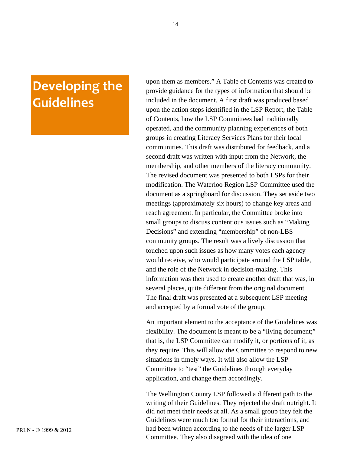# **Developing
the Guidelines**

upon them as members." A Table of Contents was created to provide guidance for the types of information that should be included in the document. A first draft was produced based upon the action steps identified in the LSP Report, the Table of Contents, how the LSP Committees had traditionally operated, and the community planning experiences of both groups in creating Literacy Services Plans for their local communities. This draft was distributed for feedback, and a second draft was written with input from the Network, the membership, and other members of the literacy community. The revised document was presented to both LSPs for their modification. The Waterloo Region LSP Committee used the document as a springboard for discussion. They set aside two meetings (approximately six hours) to change key areas and reach agreement. In particular, the Committee broke into small groups to discuss contentious issues such as "Making Decisions" and extending "membership" of non-LBS community groups. The result was a lively discussion that touched upon such issues as how many votes each agency would receive, who would participate around the LSP table, and the role of the Network in decision-making. This information was then used to create another draft that was, in several places, quite different from the original document. The final draft was presented at a subsequent LSP meeting and accepted by a formal vote of the group.

An important element to the acceptance of the Guidelines was flexibility. The document is meant to be a "living document;" that is, the LSP Committee can modify it, or portions of it, as they require. This will allow the Committee to respond to new situations in timely ways. It will also allow the LSP Committee to "test" the Guidelines through everyday application, and change them accordingly.

The Wellington County LSP followed a different path to the writing of their Guidelines. They rejected the draft outright. It did not meet their needs at all. As a small group they felt the Guidelines were much too formal for their interactions, and had been written according to the needs of the larger LSP Committee. They also disagreed with the idea of one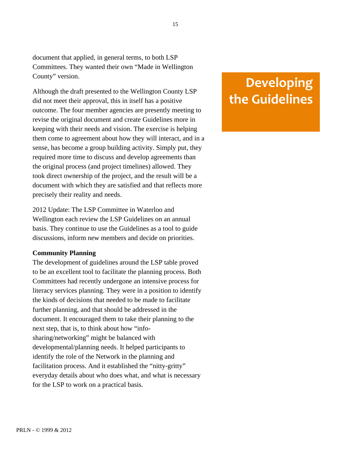document that applied, in general terms, to both LSP Committees. They wanted their own "Made in Wellington County" version.

Although the draft presented to the Wellington County LSP did not meet their approval, this in itself has a positive outcome. The four member agencies are presently meeting to revise the original document and create Guidelines more in keeping with their needs and vision. The exercise is helping them come to agreement about how they will interact, and in a sense, has become a group building activity. Simply put, they required more time to discuss and develop agreements than the original process (and project timelines) allowed. They took direct ownership of the project, and the result will be a document with which they are satisfied and that reflects more precisely their reality and needs.

2012 Update: The LSP Committee in Waterloo and Wellington each review the LSP Guidelines on an annual basis. They continue to use the Guidelines as a tool to guide discussions, inform new members and decide on priorities.

#### **Community Planning**

The development of guidelines around the LSP table proved to be an excellent tool to facilitate the planning process. Both Committees had recently undergone an intensive process for literacy services planning. They were in a position to identify the kinds of decisions that needed to be made to facilitate further planning, and that should be addressed in the document. It encouraged them to take their planning to the next step, that is, to think about how "infosharing/networking" might be balanced with developmental/planning needs. It helped participants to identify the role of the Network in the planning and facilitation process. And it established the "nitty-gritty" everyday details about who does what, and what is necessary for the LSP to work on a practical basis.

# **Developing the
Guidelines**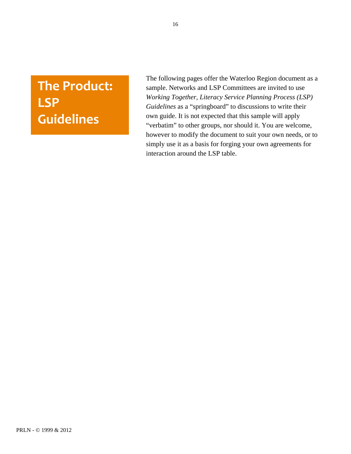# <span id="page-15-0"></span>**The
Product: LSP Guidelines**

The following pages offer the Waterloo Region document as a sample. Networks and LSP Committees are invited to use *Working Together, Literacy Service Planning Process (LSP) Guidelines* as a "springboard" to discussions to write their own guide. It is not expected that this sample will apply "verbatim" to other groups, nor should it. You are welcome, however to modify the document to suit your own needs, or to simply use it as a basis for forging your own agreements for interaction around the LSP table.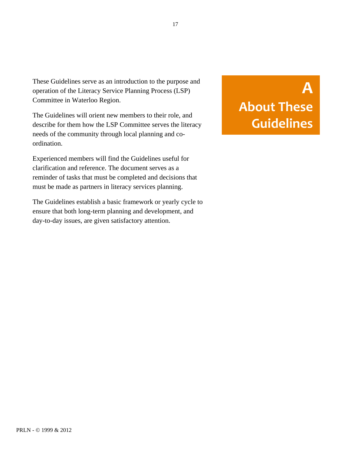<span id="page-16-0"></span>These Guidelines serve as an introduction to the purpose and operation of the Literacy Service Planning Process (LSP) Committee in Waterloo Region.

The Guidelines will orient new members to their role, and describe for them how the LSP Committee serves the literacy needs of the community through local planning and coordination.

Experienced members will find the Guidelines useful for clarification and reference. The document serves as a reminder of tasks that must be completed and decisions that must be made as partners in literacy services planning.

The Guidelines establish a basic framework or yearly cycle to ensure that both long-term planning and development, and day-to-day issues, are given satisfactory attention.

# **A About
These Guidelines**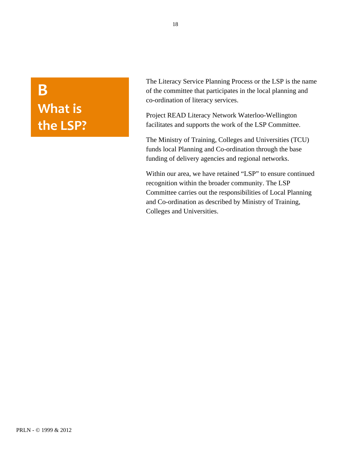# <span id="page-17-0"></span>**B What
is the
LSP?**

The Literacy Service Planning Process or the LSP is the name of the committee that participates in the local planning and co-ordination of literacy services.

Project READ Literacy Network Waterloo-Wellington facilitates and supports the work of the LSP Committee.

The Ministry of Training, Colleges and Universities (TCU) funds local Planning and Co-ordination through the base funding of delivery agencies and regional networks.

Within our area, we have retained "LSP" to ensure continued recognition within the broader community. The LSP Committee carries out the responsibilities of Local Planning and Co-ordination as described by Ministry of Training, Colleges and Universities.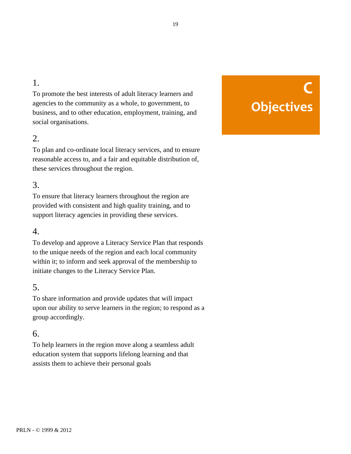# <span id="page-18-0"></span>1.

To promote the best interests of adult literacy learners and agencies to the community as a whole, to government, to business, and to other education, employment, training, and social organisations.

### 2.

To plan and co-ordinate local literacy services, and to ensure reasonable access to, and a fair and equitable distribution of, these services throughout the region.

# 3.

To ensure that literacy learners throughout the region are provided with consistent and high quality training, and to support literacy agencies in providing these services.

### 4.

To develop and approve a Literacy Service Plan that responds to the unique needs of the region and each local community within it; to inform and seek approval of the membership to initiate changes to the Literacy Service Plan.

### 5.

To share information and provide updates that will impact upon our ability to serve learners in the region; to respond as a group accordingly.

## 6.

To help learners in the region move along a seamless adult education system that supports lifelong learning and that assists them to achieve their personal goals

# **C Objectives**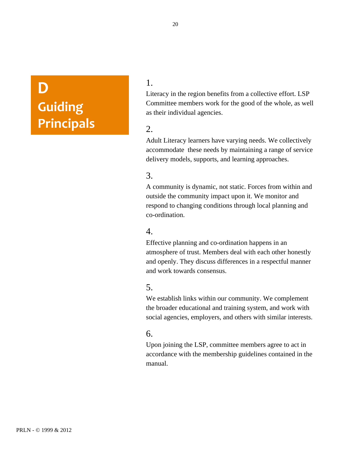# <span id="page-19-0"></span>**D Guiding Principals**

## 1.

Literacy in the region benefits from a collective effort. LSP Committee members work for the good of the whole, as well as their individual agencies.

### 2.

Adult Literacy learners have varying needs. We collectively accommodate these needs by maintaining a range of service delivery models, supports, and learning approaches.

# 3.

A community is dynamic, not static. Forces from within and outside the community impact upon it. We monitor and respond to changing conditions through local planning and co-ordination.

### 4.

Effective planning and co-ordination happens in an atmosphere of trust. Members deal with each other honestly and openly. They discuss differences in a respectful manner and work towards consensus.

### 5.

We establish links within our community. We complement the broader educational and training system, and work with social agencies, employers, and others with similar interests.

### 6.

Upon joining the LSP, committee members agree to act in accordance with the membership guidelines contained in the manual.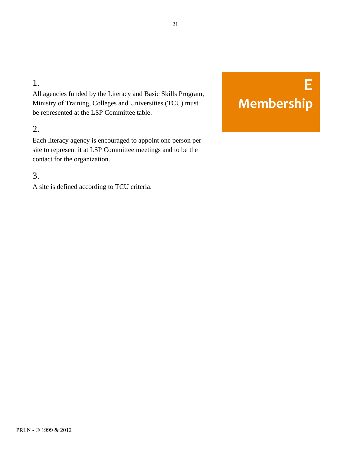# <span id="page-20-0"></span>1.

All agencies funded by the Literacy and Basic Skills Program, Ministry of Training, Colleges and Universities (TCU) must be represented at the LSP Committee table.

# 2.

Each literacy agency is encouraged to appoint one person per site to represent it at LSP Committee meetings and to be the contact for the organization.

# 3.

A site is defined according to TCU criteria.

# **E Membership**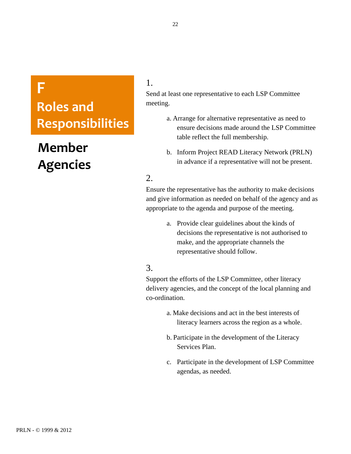# <span id="page-21-0"></span>**F**

# **Roles
and Responsibilities**

# **Member Agencies**

# 1.

Send at least one representative to each LSP Committee meeting.

- a. Arrange for alternative representative as need to ensure decisions made around the LSP Committee table reflect the full membership.
- b. Inform Project READ Literacy Network (PRLN) in advance if a representative will not be present.

### 2.

Ensure the representative has the authority to make decisions and give information as needed on behalf of the agency and as appropriate to the agenda and purpose of the meeting.

> a. Provide clear guidelines about the kinds of decisions the representative is not authorised to make, and the appropriate channels the representative should follow.

### 3.

Support the efforts of the LSP Committee, other literacy delivery agencies, and the concept of the local planning and co-ordination.

- a. Make decisions and act in the best interests of literacy learners across the region as a whole.
- b. Participate in the development of the Literacy Services Plan.
- c. Participate in the development of LSP Committee agendas, as needed.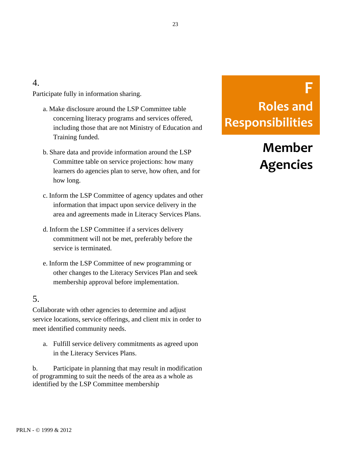### 4.

Participate fully in information sharing.

- a. Make disclosure around the LSP Committee table concerning literacy programs and services offered, including those that are not Ministry of Education and Training funded.
- b. Share data and provide information around the LSP Committee table on service projections: how many learners do agencies plan to serve, how often, and for how long.
- c. Inform the LSP Committee of agency updates and other information that impact upon service delivery in the area and agreements made in Literacy Services Plans.
- d. Inform the LSP Committee if a services delivery commitment will not be met, preferably before the service is terminated.
- e. Inform the LSP Committee of new programming or other changes to the Literacy Services Plan and seek membership approval before implementation.

## 5.

Collaborate with other agencies to determine and adjust service locations, service offerings, and client mix in order to meet identified community needs.

a. Fulfill service delivery commitments as agreed upon in the Literacy Services Plans.

b. Participate in planning that may result in modification of programming to suit the needs of the area as a whole as identified by the LSP Committee membership

# **F Roles
and Responsibilities**

Member **Member** Agencies **Agencies**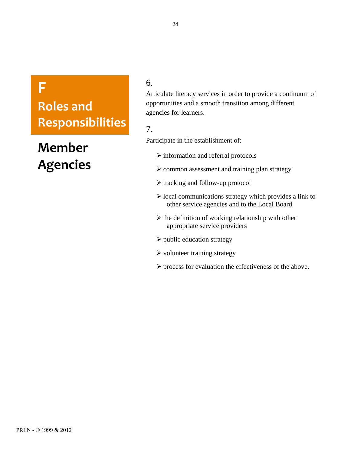# **F**

# **Roles
and Responsibilities**

# **Member Agencies**

## 6.

Articulate literacy services in order to provide a continuum of opportunities and a smooth transition among different agencies for learners.

# 7.

Participate in the establishment of:

- $\triangleright$  information and referral protocols
- $\triangleright$  common assessment and training plan strategy
- $\triangleright$  tracking and follow-up protocol
- $\triangleright$  local communications strategy which provides a link to other service agencies and to the Local Board
- $\triangleright$  the definition of working relationship with other appropriate service providers
- $\triangleright$  public education strategy
- $\triangleright$  volunteer training strategy
- $\triangleright$  process for evaluation the effectiveness of the above.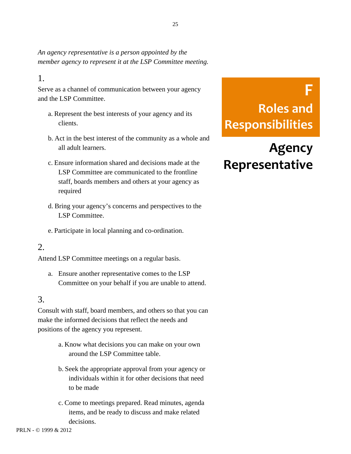<span id="page-24-0"></span>*An agency representative is a person appointed by the member agency to represent it at the LSP Committee meeting.*

### 1.

Serve as a channel of communication between your agency and the LSP Committee.

- a. Represent the best interests of your agency and its clients.
- b. Act in the best interest of the community as a whole and all adult learners.
- c. Ensure information shared and decisions made at the LSP Committee are communicated to the frontline staff, boards members and others at your agency as required
- d. Bring your agency's concerns and perspectives to the LSP Committee.
- e. Participate in local planning and co-ordination.

### 2.

Attend LSP Committee meetings on a regular basis.

a. Ensure another representative comes to the LSP Committee on your behalf if you are unable to attend.

### 3.

Consult with staff, board members, and others so that you can make the informed decisions that reflect the needs and positions of the agency you represent.

- a. Know what decisions you can make on your own around the LSP Committee table.
- b. Seek the appropriate approval from your agency or individuals within it for other decisions that need to be made
- c. Come to meetings prepared. Read minutes, agenda items, and be ready to discuss and make related decisions.

# **F Roles
and Responsibilities**

# **Agency Representative**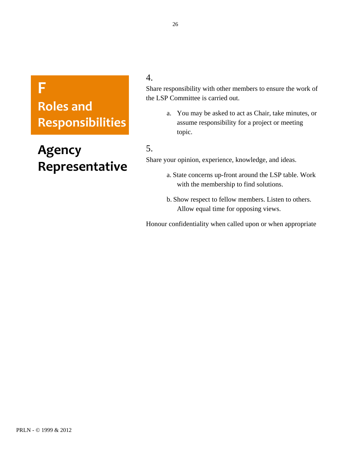# **F**

# **Roles
and Responsibilities**

# **Agency Representative**

4.

Share responsibility with other members to ensure the work of the LSP Committee is carried out.

> a. You may be asked to act as Chair, take minutes, or assume responsibility for a project or meeting topic.

# 5.

Share your opinion, experience, knowledge, and ideas.

- a. State concerns up-front around the LSP table. Work with the membership to find solutions.
- b. Show respect to fellow members. Listen to others. Allow equal time for opposing views.

Honour confidentiality when called upon or when appropriate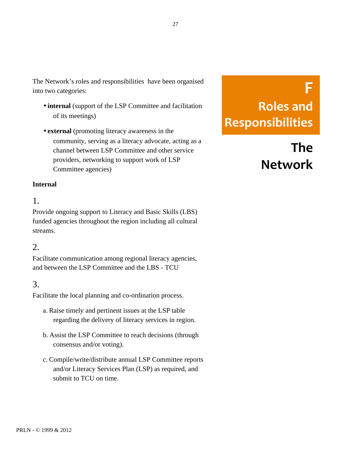<span id="page-26-0"></span>The Network's roles and responsibilities have been organised into two categories:

- **internal** (support of the LSP Committee and facilitation of its meetings)
- **external** (promoting literacy awareness in the community, serving as a literacy advocate, acting as a channel between LSP Committee and other service providers, networking to support work of LSP Committee agencies)

#### **Internal**

### 1.

Provide ongoing support to Literacy and Basic Skills (LBS) funded agencies throughout the region including all cultural streams.

### 2.

Facilitate communication among regional literacy agencies, and between the LSP Committee and the LBS - TCU

### 3.

Facilitate the local planning and co-ordination process.

- a. Raise timely and pertinent issues at the LSP table regarding the delivery of literacy services in region.
- b. Assist the LSP Committee to reach decisions (through consensus and/or voting).
- c. Compile/write/distribute annual LSP Committee reports and/or Literacy Services Plan (LSP) as required, and submit to TCU on time.

# **F Roles
and Responsibilities**

# **The Network**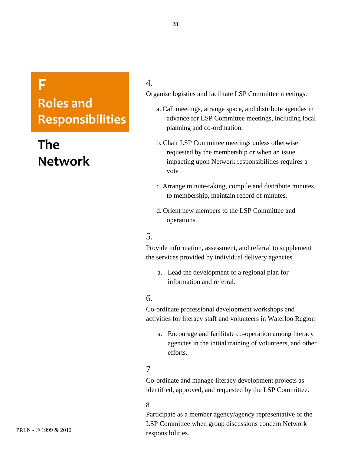# **F**

**Roles
and Responsibilities**

# **The Network**

### 4.

Organise logistics and facilitate LSP Committee meetings.

- a. Call meetings, arrange space, and distribute agendas in advance for LSP Committee meetings, including local planning and co-ordination.
- b. Chair LSP Committee meetings unless otherwise requested by the membership or when an issue impacting upon Network responsibilities requires a vote
- c. Arrange minute-taking, compile and distribute minutes to membership, maintain record of minutes.
- d. Orient new members to the LSP Committee and operations.

## 5.

Provide information, assessment, and referral to supplement the services provided by individual delivery agencies.

a. Lead the development of a regional plan for information and referral.

### 6.

Co-ordinate professional development workshops and activities for literacy staff and volunteers in Waterloo Region

a. Encourage and facilitate co-operation among literacy agencies in the initial training of volunteers, and other efforts.

### 7

Co-ordinate and manage literacy development projects as identified, approved, and requested by the LSP Committee.

#### 8

Participate as a member agency/agency representative of the LSP Committee when group discussions concern Network responsibilities.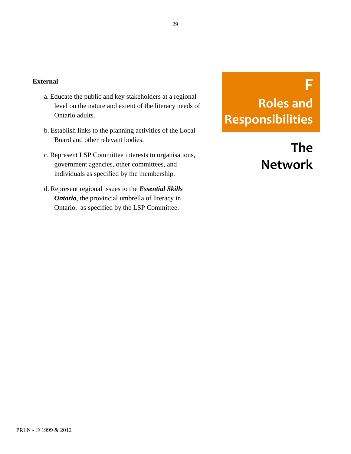#### **External**

- a. Educate the public and key stakeholders at a regional level on the nature and extent of the literacy needs of Ontario adults.
- b. Establish links to the planning activities of the Local Board and other relevant bodies.
- c. Represent LSP Committee interests to organisations, government agencies, other committees, and individuals as specified by the membership.
- d. Represent regional issues to the *Essential Skills Ontario*, the provincial umbrella of literacy in Ontario, as specified by the LSP Committee.

# **F Roles
and Responsibilities**

**The Network**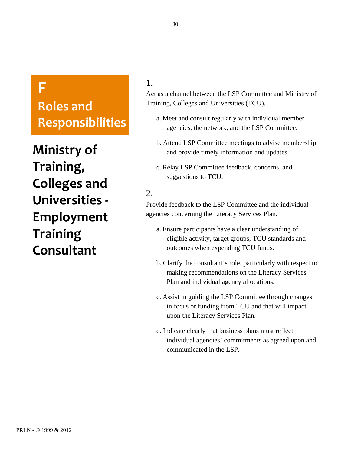# <span id="page-29-0"></span>**F**

**Roles
and Responsibilities**

**Ministry
of Training, Colleges
and Universities
‐ Employment Training Consultant**

## 1.

Act as a channel between the LSP Committee and Ministry of Training, Colleges and Universities (TCU).

- a. Meet and consult regularly with individual member agencies, the network, and the LSP Committee.
- b. Attend LSP Committee meetings to advise membership and provide timely information and updates.
- c. Relay LSP Committee feedback, concerns, and suggestions to TCU.

## 2.

Provide feedback to the LSP Committee and the individual agencies concerning the Literacy Services Plan.

- a. Ensure participants have a clear understanding of eligible activity, target groups, TCU standards and outcomes when expending TCU funds.
- b. Clarify the consultant's role, particularly with respect to making recommendations on the Literacy Services Plan and individual agency allocations.
- c. Assist in guiding the LSP Committee through changes in focus or funding from TCU and that will impact upon the Literacy Services Plan.
- d. Indicate clearly that business plans must reflect individual agencies' commitments as agreed upon and communicated in the LSP.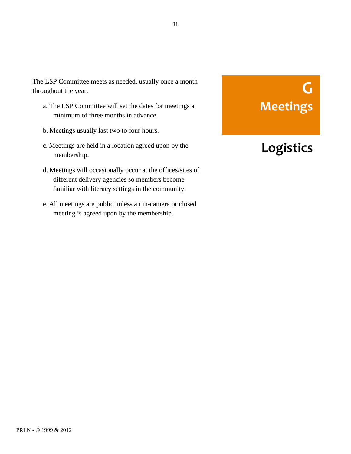<span id="page-30-0"></span>The LSP Committee meets as needed, usually once a month throughout the year.

- a. The LSP Committee will set the dates for meetings a minimum of three months in advance.
- b. Meetings usually last two to four hours.
- c. Meetings are held in a location agreed upon by the membership.
- d. Meetings will occasionally occur at the offices/sites of different delivery agencies so members become familiar with literacy settings in the community.
- e. All meetings are public unless an in-camera or closed meeting is agreed upon by the membership.

# **G Meetings**

# **Logistics**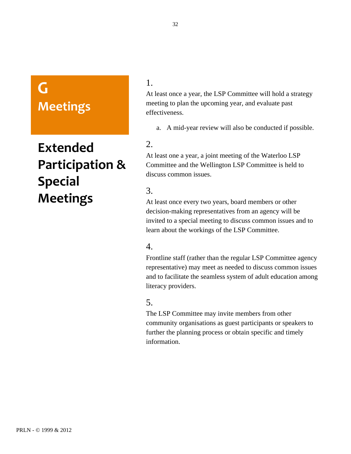# <span id="page-31-0"></span>**G Meetings**

# **Extended Participation
& Special Meetings**

### 1.

At least once a year, the LSP Committee will hold a strategy meeting to plan the upcoming year, and evaluate past effectiveness.

a. A mid-year review will also be conducted if possible.

### 2.

At least one a year, a joint meeting of the Waterloo LSP Committee and the Wellington LSP Committee is held to discuss common issues.

## 3.

At least once every two years, board members or other decision-making representatives from an agency will be invited to a special meeting to discuss common issues and to learn about the workings of the LSP Committee.

### 4.

Frontline staff (rather than the regular LSP Committee agency representative) may meet as needed to discuss common issues and to facilitate the seamless system of adult education among literacy providers.

### 5.

The LSP Committee may invite members from other community organisations as guest participants or speakers to further the planning process or obtain specific and timely information.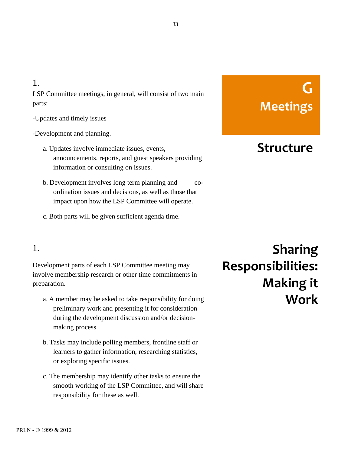#### 33

### <span id="page-32-0"></span>1.

LSP Committee meetings, in general, will consist of two main parts:

### -Updates and timely issues

### -Development and planning.

- a. Updates involve immediate issues, events, announcements, reports, and guest speakers providing information or consulting on issues.
- b. Development involves long term planning and coordination issues and decisions, as well as those that impact upon how the LSP Committee will operate.
- c. Both parts will be given sufficient agenda time.

# **G Meetings**

# **Structure**

# 1.

Development parts of each LSP Committee meeting may involve membership research or other time commitments in preparation.

- a. A member may be asked to take responsibility for doing preliminary work and presenting it for consideration during the development discussion and/or decisionmaking process.
- b. Tasks may include polling members, frontline staff or learners to gather information, researching statistics, or exploring specific issues.
- c. The membership may identify other tasks to ensure the smooth working of the LSP Committee, and will share responsibility for these as well.

**Sharing Responsibilities: Making
it Work**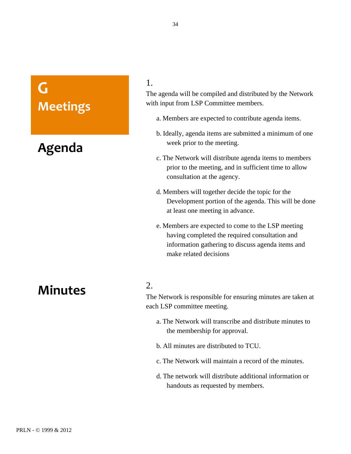# <span id="page-33-0"></span>**G Meetings**

# **Agenda**

### 1.

The agenda will be compiled and distributed by the Network with input from LSP Committee members.

- a. Members are expected to contribute agenda items.
- b. Ideally, agenda items are submitted a minimum of one week prior to the meeting.
- c. The Network will distribute agenda items to members prior to the meeting, and in sufficient time to allow consultation at the agency.
- d. Members will together decide the topic for the Development portion of the agenda. This will be done at least one meeting in advance.
- e. Members are expected to come to the LSP meeting having completed the required consultation and information gathering to discuss agenda items and make related decisions

# **Minutes**

### 2.

The Network is responsible for ensuring minutes are taken at each LSP committee meeting.

- a. The Network will transcribe and distribute minutes to the membership for approval.
- b. All minutes are distributed to TCU.
- c. The Network will maintain a record of the minutes.
- d. The network will distribute additional information or handouts as requested by members.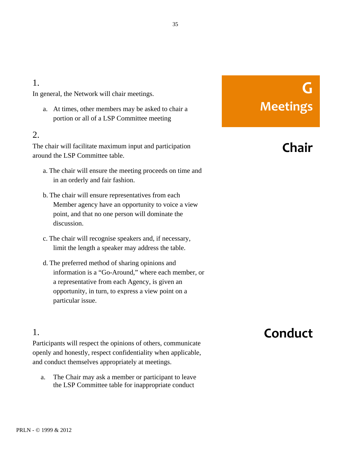## <span id="page-34-0"></span>1.

In general, the Network will chair meetings.

a. At times, other members may be asked to chair a portion or all of a LSP Committee meeting

### 2.

The chair will facilitate maximum input and participation around the LSP Committee table.

- a. The chair will ensure the meeting proceeds on time and in an orderly and fair fashion.
- b. The chair will ensure representatives from each Member agency have an opportunity to voice a view point, and that no one person will dominate the discussion.
- c. The chair will recognise speakers and, if necessary, limit the length a speaker may address the table.
- d. The preferred method of sharing opinions and information is a "Go-Around," where each member, or a representative from each Agency, is given an opportunity, in turn, to express a view point on a particular issue.

### 1.

Participants will respect the opinions of others, communicate openly and honestly, respect confidentiality when applicable, and conduct themselves appropriately at meetings.

a. The Chair may ask a member or participant to leave the LSP Committee table for inappropriate conduct

# **G Meetings**

# **Chair**

# **Conduct**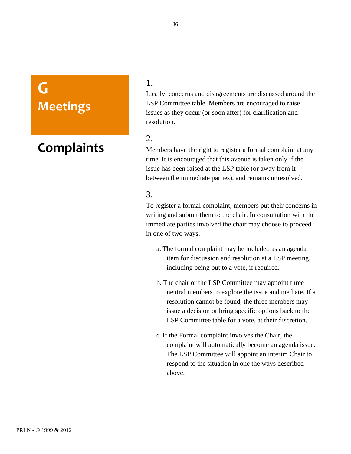# <span id="page-35-0"></span>**G Meetings**

# **Complaints**

### 1.

Ideally, concerns and disagreements are discussed around the LSP Committee table. Members are encouraged to raise issues as they occur (or soon after) for clarification and resolution.

### 2.

Members have the right to register a formal complaint at any time. It is encouraged that this avenue is taken only if the issue has been raised at the LSP table (or away from it between the immediate parties), and remains unresolved.

## 3.

To register a formal complaint, members put their concerns in writing and submit them to the chair. In consultation with the immediate parties involved the chair may choose to proceed in one of two ways.

- a. The formal complaint may be included as an agenda item for discussion and resolution at a LSP meeting, including being put to a vote, if required.
- b. The chair or the LSP Committee may appoint three neutral members to explore the issue and mediate. If a resolution cannot be found, the three members may issue a decision or bring specific options back to the LSP Committee table for a vote, at their discretion.
- c. If the Formal complaint involves the Chair, the complaint will automatically become an agenda issue. The LSP Committee will appoint an interim Chair to respond to the situation in one the ways described above.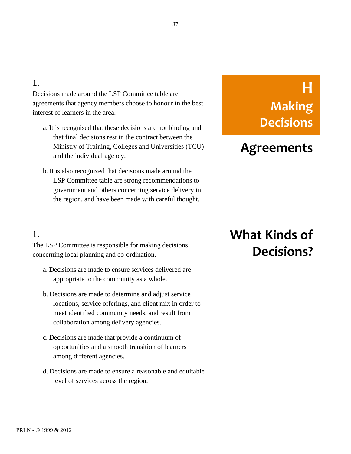### 1.

Decisions made around the LSP Committee table are agreements that agency members choose to honour in the best interest of learners in the area.

- a. It is recognised that these decisions are not binding and that final decisions rest in the contract between the Ministry of Training, Colleges and Universities (TCU) and the individual agency.
- b. It is also recognized that decisions made around the LSP Committee table are strong recommendations to government and others concerning service delivery in the region, and have been made with careful thought.

#### 1.

The LSP Committee is responsible for making decisions concerning local planning and co-ordination.

- a. Decisions are made to ensure services delivered are appropriate to the community as a whole.
- b. Decisions are made to determine and adjust service locations, service offerings, and client mix in order to meet identified community needs, and result from collaboration among delivery agencies.
- c. Decisions are made that provide a continuum of opportunities and a smooth transition of learners among different agencies.
- d. Decisions are made to ensure a reasonable and equitable level of services across the region.

# **H Making Decisions**

### **Agreements**

## **What
Kinds
of Decisions?**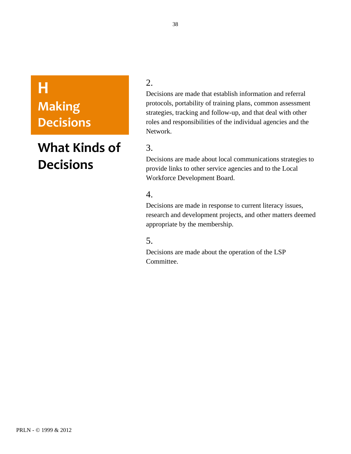# **H Making Decisions**

### **What
Kinds
of Decisions**

#### 2.

Decisions are made that establish information and referral protocols, portability of training plans, common assessment strategies, tracking and follow-up, and that deal with other roles and responsibilities of the individual agencies and the Network.

### 3.

Decisions are made about local communications strategies to provide links to other service agencies and to the Local Workforce Development Board.

#### 4.

Decisions are made in response to current literacy issues, research and development projects, and other matters deemed appropriate by the membership.

#### 5.

Decisions are made about the operation of the LSP Committee.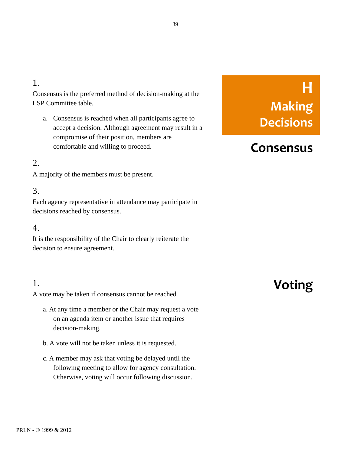#### 1.

Consensus is the preferred method of decision-making at the LSP Committee table.

a. Consensus is reached when all participants agree to accept a decision. Although agreement may result in a compromise of their position, members are comfortable and willing to proceed.

#### 2.

A majority of the members must be present.

#### 3.

Each agency representative in attendance may participate in decisions reached by consensus.

#### 4.

It is the responsibility of the Chair to clearly reiterate the decision to ensure agreement.

#### 1.

A vote may be taken if consensus cannot be reached.

- a. At any time a member or the Chair may request a vote on an agenda item or another issue that requires decision-making.
- b. A vote will not be taken unless it is requested.
- c. A member may ask that voting be delayed until the following meeting to allow for agency consultation. Otherwise, voting will occur following discussion.

# **H Making Decisions**

### **Consensus**

### **Voting**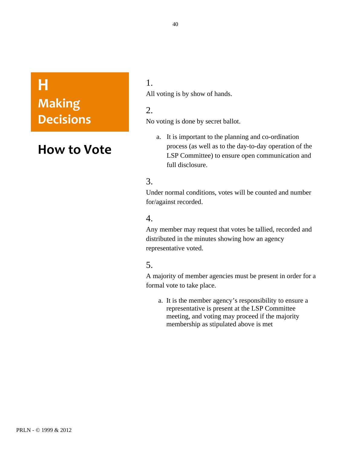## **H Making Decisions**

### **How
to
Vote**

#### 1. All voting is by show of hands.

#### 2.

No voting is done by secret ballot.

a. It is important to the planning and co-ordination process (as well as to the day-to-day operation of the LSP Committee) to ensure open communication and full disclosure.

#### 3.

Under normal conditions, votes will be counted and number for/against recorded.

#### 4.

Any member may request that votes be tallied, recorded and distributed in the minutes showing how an agency representative voted.

#### 5.

A majority of member agencies must be present in order for a formal vote to take place.

a. It is the member agency's responsibility to ensure a representative is present at the LSP Committee meeting, and voting may proceed if the majority membership as stipulated above is met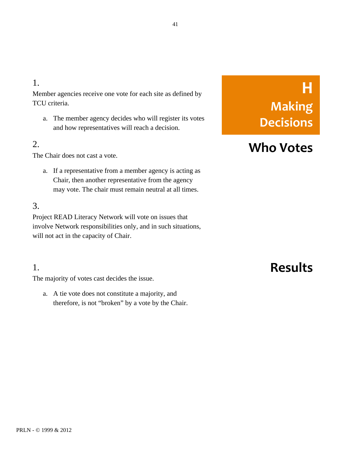### 1.

Member agencies receive one vote for each site as defined by TCU criteria.

a. The member agency decides who will register its votes and how representatives will reach a decision.

#### 2.

The Chair does not cast a vote.

a. If a representative from a member agency is acting as Chair, then another representative from the agency may vote. The chair must remain neutral at all times.

#### 3.

Project READ Literacy Network will vote on issues that involve Network responsibilities only, and in such situations, will not act in the capacity of Chair.

### 1.

The majority of votes cast decides the issue.

a. A tie vote does not constitute a majority, and therefore, is not "broken" by a vote by the Chair.

# **H Making Decisions**

### **Who
Votes**

### **Results**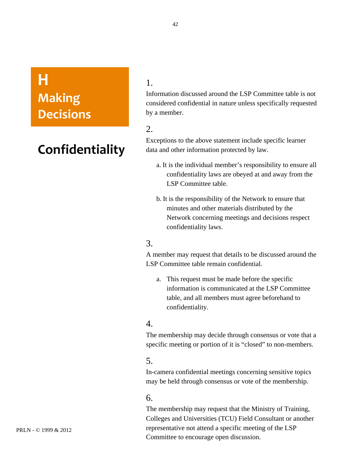## **H Making Decisions**

### **Confidentiality**

1.

Information discussed around the LSP Committee table is not considered confidential in nature unless specifically requested by a member.

Exceptions to the above statement include specific learner data and other information protected by law.

- a. It is the individual member's responsibility to ensure all confidentiality laws are obeyed at and away from the LSP Committee table.
- b. It is the responsibility of the Network to ensure that minutes and other materials distributed by the Network concerning meetings and decisions respect confidentiality laws.

#### 3.

A member may request that details to be discussed around the LSP Committee table remain confidential.

a. This request must be made before the specific information is communicated at the LSP Committee table, and all members must agree beforehand to confidentiality.

#### 4.

The membership may decide through consensus or vote that a specific meeting or portion of it is "closed" to non-members.

#### 5.

In-camera confidential meetings concerning sensitive topics may be held through consensus or vote of the membership.

#### 6.

The membership may request that the Ministry of Training, Colleges and Universities (TCU) Field Consultant or another representative not attend a specific meeting of the LSP Committee to encourage open discussion.

<sup>2.</sup>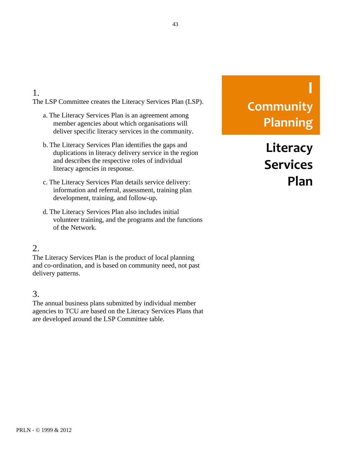#### The LSP Committee creates the Literacy Services Plan (LSP).

- a. The Literacy Services Plan is an agreement among member agencies about which organisations will deliver specific literacy services in the community.
- b. The Literacy Services Plan identifies the gaps and duplications in literacy delivery service in the region and describes the respective roles of individual literacy agencies in response.
- c. The Literacy Services Plan details service delivery: information and referral, assessment, training plan development, training, and follow-up.
- d. The Literacy Services Plan also includes initial volunteer training, and the programs and the functions of the Network.

#### 2.

1.

The Literacy Services Plan is the product of local planning and co-ordination, and is based on community need, not past delivery patterns.

#### 3.

The annual business plans submitted by individual member agencies to TCU are based on the Literacy Services Plans that are developed around the LSP Committee table.

# **I Community Planning**

**Literacy Services Plan**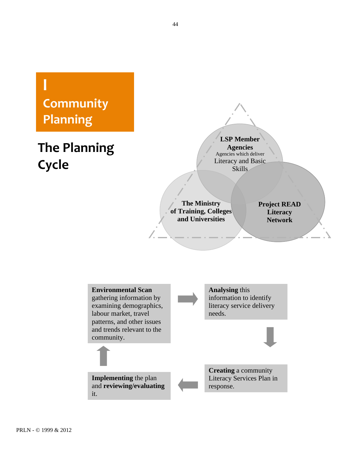# **I Community Planning**

# **The
Planning Cycle**

**LSP Member Agencies** Agencies which deliver Literacy and Basic Skills

**The Ministry of Training, Colleges and Universities**

**Project READ Literacy Network**

**Environmental Scan** gathering information by examining demographics, labour market, travel patterns, and other issues and trends relevant to the community. **Analysing** this information to identify literacy service delivery needs.

**Implementing** the plan and **reviewing/evaluating** it.

**Creating** a community Literacy Services Plan in response.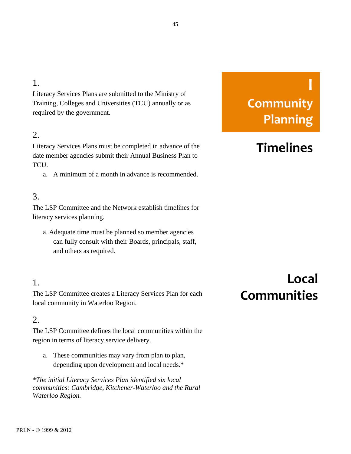#### 1.

Literacy Services Plans are submitted to the Ministry of Training, Colleges and Universities (TCU) annually or as required by the government.

#### 2.

Literacy Services Plans must be completed in advance of the date member agencies submit their Annual Business Plan to TCU.

a. A minimum of a month in advance is recommended.

#### 3.

The LSP Committee and the Network establish timelines for literacy services planning.

a. Adequate time must be planned so member agencies can fully consult with their Boards, principals, staff, and others as required.

#### 1.

The LSP Committee creates a Literacy Services Plan for each local community in Waterloo Region.

#### 2.

The LSP Committee defines the local communities within the region in terms of literacy service delivery.

a. These communities may vary from plan to plan, depending upon development and local needs.\*

*\*The initial Literacy Services Plan identified six local communities: Cambridge, Kitchener-Waterloo and the Rural Waterloo Region.*

# **I Community Planning**

### **Timelines**

### **Local Communities**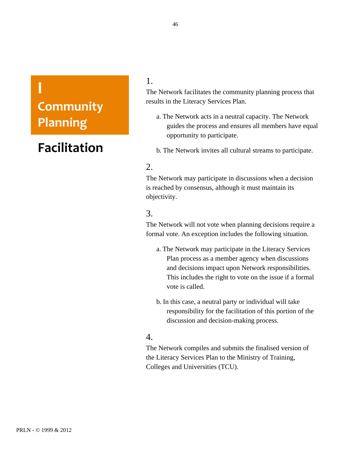## **I Community Planning**

### **Facilitation**

#### 1.

The Network facilitates the community planning process that results in the Literacy Services Plan.

- a. The Network acts in a neutral capacity. The Network guides the process and ensures all members have equal opportunity to participate.
- b. The Network invites all cultural streams to participate.

#### 2.

The Network may participate in discussions when a decision is reached by consensus, although it must maintain its objectivity.

#### 3.

The Network will not vote when planning decisions require a formal vote. An exception includes the following situation.

- a. The Network may participate in the Literacy Services Plan process as a member agency when discussions and decisions impact upon Network responsibilities. This includes the right to vote on the issue if a formal vote is called.
- b. In this case, a neutral party or individual will take responsibility for the facilitation of this portion of the discussion and decision-making process.

#### 4.

The Network compiles and submits the finalised version of the Literacy Services Plan to the Ministry of Training, Colleges and Universities (TCU).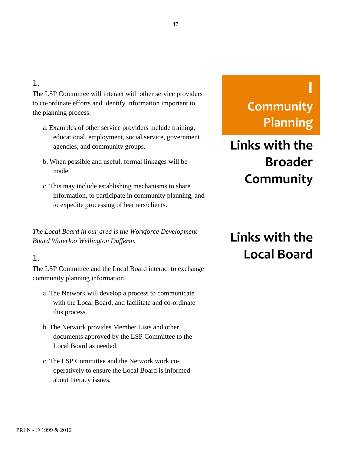#### 47

#### 1.

The LSP Committee will interact with other service providers to co-ordinate efforts and identify information important to the planning process.

- a. Examples of other service providers include training, educational, employment, social service, government agencies, and community groups.
- b. When possible and useful, formal linkages will be made.
- c. This may include establishing mechanisms to share information, to participate in community planning, and to expedite processing of learners/clients.

*The Local Board in our area is the Workforce Development Board Waterloo Wellington Dufferin.* 

#### 1.

The LSP Committee and the Local Board interact to exchange community planning information.

- a. The Network will develop a process to communicate with the Local Board, and facilitate and co-ordinate this process.
- b. The Network provides Member Lists and other documents approved by the LSP Committee to the Local Board as needed.
- c. The LSP Committee and the Network work cooperatively to ensure the Local Board is informed about literacy issues.

# **I Community Planning**

# **Links
with
the Broader Community**

# **Links
with
the Local
Board**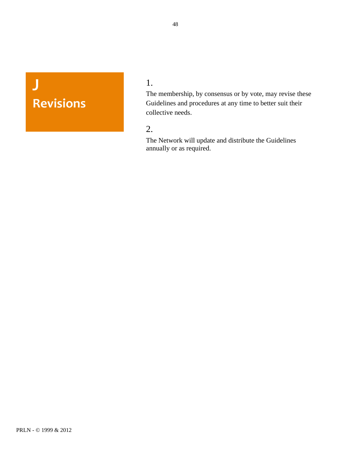**J Revisions** 1.

The membership, by consensus or by vote, may revise these Guidelines and procedures at any time to better suit their collective needs.

#### 2.

The Network will update and distribute the Guidelines annually or as required.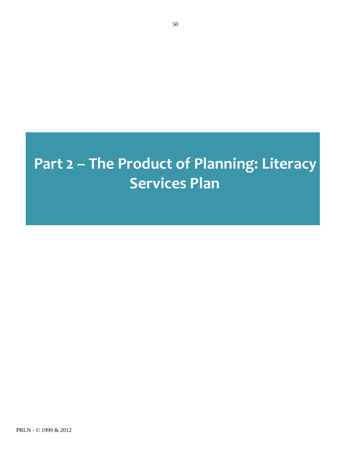# Part 2 - The Product of Planning: Literacy **Services
Plan**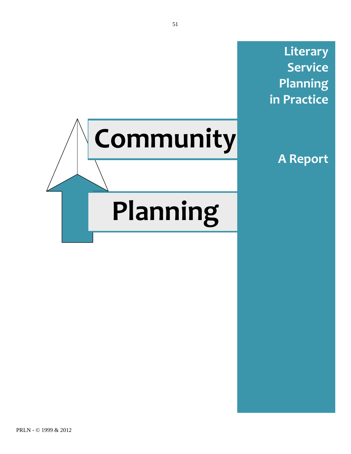**Literary Service Planning in
Practice**



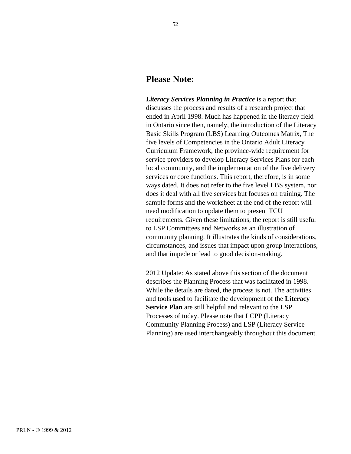#### **Please Note:**

*Literacy Services Planning in Practice* is a report that discusses the process and results of a research project that ended in April 1998. Much has happened in the literacy field in Ontario since then, namely, the introduction of the Literacy Basic Skills Program (LBS) Learning Outcomes Matrix, The five levels of Competencies in the Ontario Adult Literacy Curriculum Framework, the province-wide requirement for service providers to develop Literacy Services Plans for each local community, and the implementation of the five delivery services or core functions. This report, therefore, is in some ways dated. It does not refer to the five level LBS system, nor does it deal with all five services but focuses on training. The sample forms and the worksheet at the end of the report will need modification to update them to present TCU requirements. Given these limitations, the report is still useful to LSP Committees and Networks as an illustration of community planning. It illustrates the kinds of considerations, circumstances, and issues that impact upon group interactions, and that impede or lead to good decision-making.

2012 Update: As stated above this section of the document describes the Planning Process that was facilitated in 1998. While the details are dated, the process is not. The activities and tools used to facilitate the development of the **Literacy Service Plan** are still helpful and relevant to the LSP Processes of today. Please note that LCPP (Literacy Community Planning Process) and LSP (Literacy Service Planning) are used interchangeably throughout this document.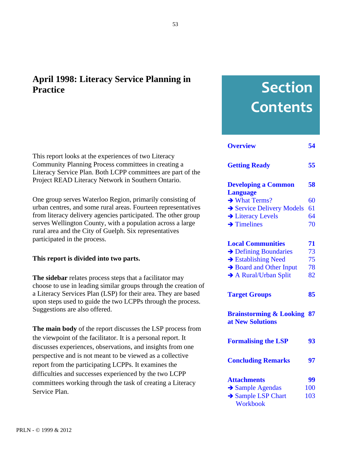### **April 1998: Literacy Service Planning in Practice**

This report looks at the experiences of two Literacy Community Planning Process committees in creating a Literacy Service Plan. Both LCPP committees are part of the Project READ Literacy Network in Southern Ontario.

One group serves Waterloo Region, primarily consisting of urban centres, and some rural areas. Fourteen representatives from literacy delivery agencies participated. The other group serves Wellington County, with a population across a large rural area and the City of Guelph. Six representatives participated in the process.

#### **This report is divided into two parts.**

**The sidebar** relates process steps that a facilitator may choose to use in leading similar groups through the creation of a Literacy Services Plan (LSP) for their area. They are based upon steps used to guide the two LCPPs through the process. Suggestions are also offered.

**The main body** of the report discusses the LSP process from the viewpoint of the facilitator. It is a personal report. It discusses experiences, observations, and insights from one perspective and is not meant to be viewed as a collective report from the participating LCPPs. It examines the difficulties and successes experienced by the two LCPP committees working through the task of creating a Literacy Service Plan.

# **Section Contents**

| <b>Overview</b>                                              | 54  |
|--------------------------------------------------------------|-----|
| <b>Getting Ready</b>                                         | 55  |
| <b>Developing a Common</b><br><b>Language</b>                | 58  |
| $\rightarrow$ What Terms?                                    | 60  |
| Service Delivery Models                                      | 61  |
| > Literacy Levels                                            | 64  |
| $\rightarrow$ Timelines                                      | 70  |
|                                                              |     |
| <b>Local Communities</b>                                     | 71  |
| $\rightarrow$ Defining Boundaries                            | 73  |
| $\rightarrow$ Establishing Need                              | 75  |
| Board and Other Input                                        | 78  |
| $\rightarrow$ A Rural/Urban Split                            | 82  |
|                                                              |     |
| <b>Target Groups</b>                                         | 85  |
| <b>Brainstorming &amp; Looking</b><br>87<br>at New Solutions |     |
| <b>Formalising the LSP</b>                                   | 93  |
| <b>Concluding Remarks</b>                                    | 97  |
| <b>Attachments</b>                                           | 99  |
| Sample Agendas                                               | 100 |
| Sample LSP Chart                                             | 103 |
| Workbook                                                     |     |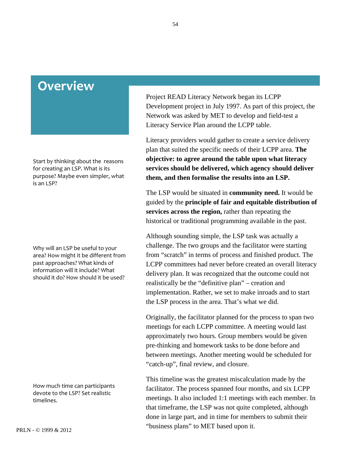### <span id="page-53-0"></span>**Overview**

Start
by
thinking
about
the

reasons for
creating
an
LSP.
What
is
its purpose?
Maybe
even
simpler,
what is
an
LSP?

Why
will
an
LSP
be
useful
to
your area?
How
might
it
be
different
from past
approaches?
What
kinds
of information
will
it
include?
What should
it
do?
How
should
it
be
used?

How
much
time
can
participants devote
to
the
LSP?
Set
realistic timelines.

Project READ Literacy Network began its LCPP Development project in July 1997. As part of this project, the Network was asked by MET to develop and field-test a Literacy Service Plan around the LCPP table.

Literacy providers would gather to create a service delivery plan that suited the specific needs of their LCPP area. **The objective: to agree around the table upon what literacy services should be delivered, which agency should deliver them, and then formalise the results into an LSP.**

The LSP would be situated in **community need.** It would be guided by the **principle of fair and equitable distribution of services across the region,** rather than repeating the historical or traditional programming available in the past.

Although sounding simple, the LSP task was actually a challenge. The two groups and the facilitator were starting from "scratch" in terms of process and finished product. The LCPP committees had never before created an overall literacy delivery plan. It was recognized that the outcome could not realistically be the "definitive plan" – creation and implementation. Rather, we set to make inroads and to start the LSP process in the area. That's what we did.

Originally, the facilitator planned for the process to span two meetings for each LCPP committee. A meeting would last approximately two hours. Group members would be given pre-thinking and homework tasks to be done before and between meetings. Another meeting would be scheduled for "catch-up", final review, and closure.

This timeline was the greatest miscalculation made by the facilitator. The process spanned four months, and six LCPP meetings. It also included 1:1 meetings with each member. In that timeframe, the LSP was not quite completed, although done in large part, and in time for members to submit their "business plans" to MET based upon it.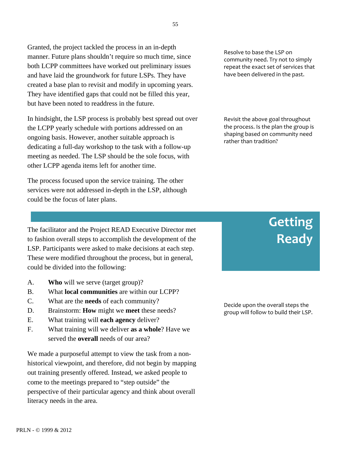<span id="page-54-0"></span>Granted, the project tackled the process in an in-depth manner. Future plans shouldn't require so much time, since both LCPP committees have worked out preliminary issues and have laid the groundwork for future LSPs. They have created a base plan to revisit and modify in upcoming years. They have identified gaps that could not be filled this year, but have been noted to readdress in the future.

In hindsight, the LSP process is probably best spread out over the LCPP yearly schedule with portions addressed on an ongoing basis. However, another suitable approach is dedicating a full-day workshop to the task with a follow-up meeting as needed. The LSP should be the sole focus, with other LCPP agenda items left for another time.

The process focused upon the service training. The other services were not addressed in-depth in the LSP, although could be the focus of later plans.

The facilitator and the Project READ Executive Director met to fashion overall steps to accomplish the development of the LSP. Participants were asked to make decisions at each step. These were modified throughout the process, but in general, could be divided into the following:

- A. **Who** will we serve (target group)?
- B. What **local communities** are within our LCPP?
- C. What are the **needs** of each community?
- D. Brainstorm: **How** might we **meet** these needs?
- E. What training will **each agency** deliver?
- F. What training will we deliver **as a whole**? Have we served the **overall** needs of our area?

We made a purposeful attempt to view the task from a nonhistorical viewpoint, and therefore, did not begin by mapping out training presently offered. Instead, we asked people to come to the meetings prepared to "step outside" the perspective of their particular agency and think about overall literacy needs in the area.

Resolve
to
base
the
LSP
on community
need.
Try
not
to
simply repeat
the
exact
set
of
services
that have
been
delivered
in
the
past.

Revisit
the
above
goal
throughout the process. Is the plan the group is shaping
based
on
community
need rather
than
tradition?

# **Getting Ready**

Decide
upon
the
overall
steps
the group
will
follow
to
build
their
LSP.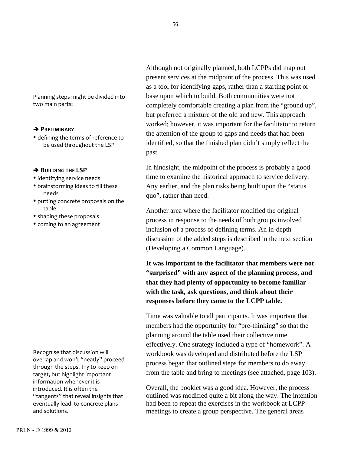56

Planning
steps
might
be
divided
into two
main
parts:

#### **PRELIMINARY**

• defining the terms of reference to be
used
throughout
the
LSP

#### **BUILDING THE LSP**

- identifying service needs
- brainstorming ideas to fill these needs
- putting concrete proposals on the table
- shaping these proposals
- coming to an agreement

Recognise
that
discussion
will overlap
and
won't
"neatly"
proceed through
the
steps.
Try
to
keep
on target,
but
highlight
important information
whenever
it
is introduced.
It
is
often
the "tangents" that reveal insights that eventually
lead

to
concrete
plans and
solutions.

Although not originally planned, both LCPPs did map out present services at the midpoint of the process. This was used as a tool for identifying gaps, rather than a starting point or base upon which to build. Both communities were not completely comfortable creating a plan from the "ground up", but preferred a mixture of the old and new. This approach worked; however, it was important for the facilitator to return the attention of the group to gaps and needs that had been identified, so that the finished plan didn't simply reflect the past.

In hindsight, the midpoint of the process is probably a good time to examine the historical approach to service delivery. Any earlier, and the plan risks being built upon the "status quo", rather than need.

Another area where the facilitator modified the original process in response to the needs of both groups involved inclusion of a process of defining terms. An in-depth discussion of the added steps is described in the next section (Developing a Common Language).

**It was important to the facilitator that members were not "surprised" with any aspect of the planning process, and that they had plenty of opportunity to become familiar with the task, ask questions, and think about their responses before they came to the LCPP table.**

Time was valuable to all participants. It was important that members had the opportunity for "pre-thinking" so that the planning around the table used their collective time effectively. One strategy included a type of "homework". A workbook was developed and distributed before the LSP process began that outlined steps for members to do away from the table and bring to meetings (see attached, page 103).

Overall, the booklet was a good idea. However, the process outlined was modified quite a bit along the way. The intention had been to repeat the exercises in the workbook at LCPP meetings to create a group perspective. The general areas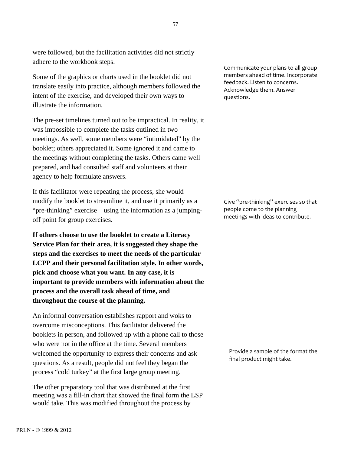were followed, but the facilitation activities did not strictly adhere to the workbook steps.

Some of the graphics or charts used in the booklet did not translate easily into practice, although members followed the intent of the exercise, and developed their own ways to illustrate the information.

The pre-set timelines turned out to be impractical. In reality, it was impossible to complete the tasks outlined in two meetings. As well, some members were "intimidated" by the booklet; others appreciated it. Some ignored it and came to the meetings without completing the tasks. Others came well prepared, and had consulted staff and volunteers at their agency to help formulate answers.

If this facilitator were repeating the process, she would modify the booklet to streamline it, and use it primarily as a "pre-thinking" exercise – using the information as a jumpingoff point for group exercises.

**If others choose to use the booklet to create a Literacy Service Plan for their area, it is suggested they shape the steps and the exercises to meet the needs of the particular LCPP and their personal facilitation style. In other words, pick and choose what you want. In any case, it is important to provide members with information about the process and the overall task ahead of time, and throughout the course of the planning.**

An informal conversation establishes rapport and woks to overcome misconceptions. This facilitator delivered the booklets in person, and followed up with a phone call to those who were not in the office at the time. Several members welcomed the opportunity to express their concerns and ask questions. As a result, people did not feel they began the process "cold turkey" at the first large group meeting.

The other preparatory tool that was distributed at the first meeting was a fill-in chart that showed the final form the LSP would take. This was modified throughout the process by

Communicate
your
plans
to
all
group members
ahead
of
time.
Incorporate feedback.
Listen
to
concerns. Acknowledge
them.
Answer questions.

Give "pre-thinking" exercises so that people
come
to
the
planning meetings
with
ideas
to
contribute.

Provide
a
sample
of
the
format
the final
product
might
take.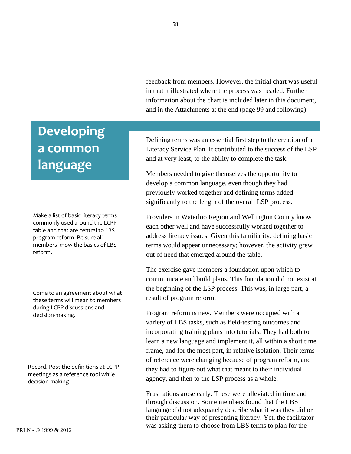feedback from members. However, the initial chart was useful in that it illustrated where the process was headed. Further information about the chart is included later in this document, and in the Attachments at the end (page 99 and following).

#### Defining terms was an essential first step to the creation of a Literacy Service Plan. It contributed to the success of the LSP and at very least, to the ability to complete the task.

Members needed to give themselves the opportunity to develop a common language, even though they had previously worked together and defining terms added significantly to the length of the overall LSP process.

Providers in Waterloo Region and Wellington County know each other well and have successfully worked together to address literacy issues. Given this familiarity, defining basic terms would appear unnecessary; however, the activity grew out of need that emerged around the table.

The exercise gave members a foundation upon which to communicate and build plans. This foundation did not exist at the beginning of the LSP process. This was, in large part, a result of program reform.

Program reform is new. Members were occupied with a variety of LBS tasks, such as field-testing outcomes and incorporating training plans into tutorials. They had both to learn a new language and implement it, all within a short time frame, and for the most part, in relative isolation. Their terms of reference were changing because of program reform, and they had to figure out what that meant to their individual agency, and then to the LSP process as a whole.

Frustrations arose early. These were alleviated in time and through discussion. Some members found that the LBS language did not adequately describe what it was they did or their particular way of presenting literacy. Yet, the facilitator was asking them to choose from LBS terms to plan for the

## <span id="page-57-0"></span>**Developing a
common language**

Make
a
list
of
basic
literacy
terms commonly
used
around
the
LCPP table and that are central to LBS program
reform.
Be
sure
all members
know
the
basics
of
LBS reform.

Come
to
an
agreement
about
what these
terms
will
mean
to
members during
LCPP
discussions
and decision‐making.

Record.
Post
the
definitions
at
LCPP meetings
as
a
reference
tool
while decision‐making.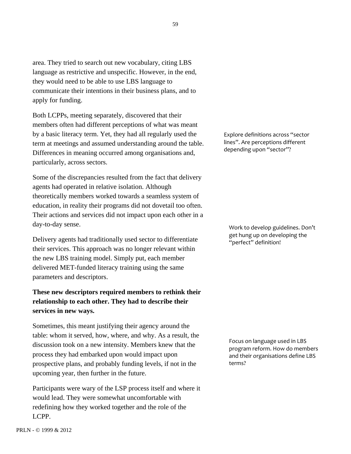area. They tried to search out new vocabulary, citing LBS language as restrictive and unspecific. However, in the end, they would need to be able to use LBS language to communicate their intentions in their business plans, and to apply for funding.

Both LCPPs, meeting separately, discovered that their members often had different perceptions of what was meant by a basic literacy term. Yet, they had all regularly used the term at meetings and assumed understanding around the table. Differences in meaning occurred among organisations and, particularly, across sectors.

Some of the discrepancies resulted from the fact that delivery agents had operated in relative isolation. Although theoretically members worked towards a seamless system of education, in reality their programs did not dovetail too often. Their actions and services did not impact upon each other in a day-to-day sense.

Delivery agents had traditionally used sector to differentiate their services. This approach was no longer relevant within the new LBS training model. Simply put, each member delivered MET-funded literacy training using the same parameters and descriptors.

#### **These new descriptors required members to rethink their relationship to each other. They had to describe their services in new ways.**

Sometimes, this meant justifying their agency around the table: whom it served, how, where, and why. As a result, the discussion took on a new intensity. Members knew that the process they had embarked upon would impact upon prospective plans, and probably funding levels, if not in the upcoming year, then further in the future.

Participants were wary of the LSP process itself and where it would lead. They were somewhat uncomfortable with redefining how they worked together and the role of the LCPP.

Explore
definitions
across
"sector lines".
Are
perceptions
different depending
upon
"sector"?

Work
to
develop
guidelines.
Don't get
hung
up
on
developing
the "perfect"
definition!

Focus
on
language
used
in
LBS program
reform.
How
do
members and
their
organisations
define
LBS terms?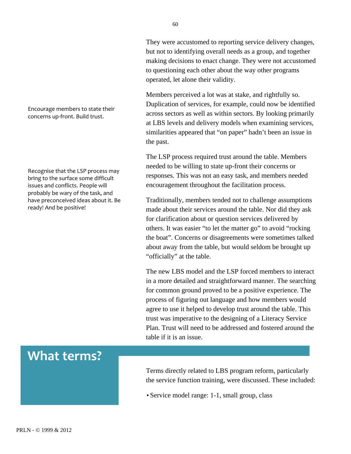They were accustomed to reporting service delivery changes, but not to identifying overall needs as a group, and together making decisions to enact change. They were not accustomed to questioning each other about the way other programs operated, let alone their validity.

Members perceived a lot was at stake, and rightfully so. Duplication of services, for example, could now be identified across sectors as well as within sectors. By looking primarily at LBS levels and delivery models when examining services, similarities appeared that "on paper" hadn't been an issue in the past.

The LSP process required trust around the table. Members needed to be willing to state up-front their concerns or responses. This was not an easy task, and members needed encouragement throughout the facilitation process.

Traditionally, members tended not to challenge assumptions made about their services around the table. Nor did they ask for clarification about or question services delivered by others. It was easier "to let the matter go" to avoid "rocking the boat". Concerns or disagreements were sometimes talked about away from the table, but would seldom be brought up "officially" at the table.

The new LBS model and the LSP forced members to interact in a more detailed and straightforward manner. The searching for common ground proved to be a positive experience. The process of figuring out language and how members would agree to use it helped to develop trust around the table. This trust was imperative to the designing of a Literacy Service Plan. Trust will need to be addressed and fostered around the table if it is an issue.

• Service model range: 1-1, small group, class

#### <span id="page-59-0"></span>Encourage
members
to
state
their concerns
up‐front.
Build
trust.

Recognise
that
the
LSP
process
may bring
to
the
surface
some
difficult issues
and
conflicts.
People
will probably
be
wary
of
the
task,
and have
preconceived
ideas
about
it.
Be ready!
And
be
positive!

### **What
terms?**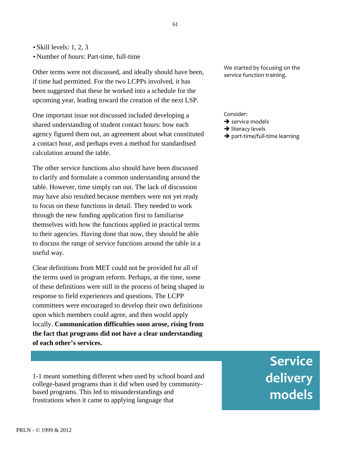<span id="page-60-0"></span>• Skill levels: 1, 2, 3

• Number of hours: Part-time, full-time

Other terms were not discussed, and ideally should have been, if time had permitted. For the two LCPPs involved, it has been suggested that these be worked into a schedule for the upcoming year, leading toward the creation of the next LSP.

One important issue not discussed included developing a shared understanding of student contact hours: how each agency figured them out, an agreement about what constituted a contact hour, and perhaps even a method for standardised calculation around the table.

The other service functions also should have been discussed to clarify and formulate a common understanding around the table. However, time simply ran out. The lack of discussion may have also resulted because members were not yet ready to focus on these functions in detail. They needed to work through the new funding application first to familiarise themselves with how the functions applied in practical terms to their agencies. Having done that now, they should be able to discuss the range of service functions around the table in a useful way.

Clear definitions from MET could not be provided for all of the terms used in program reform. Perhaps, at the time, some of these definitions were still in the process of being shaped in response to field experiences and questions. The LCPP committees were encouraged to develop their own definitions upon which members could agree, and then would apply locally. **Communication difficulties soon arose, rising from the fact that programs did not have a clear understanding of each other's services.**

1-1 meant something different when used by school board and college-based programs than it did when used by communitybased programs. This led to misunderstandings and frustrations when it came to applying language that

We
started
by
focusing
on
the service
function
training.

Consider:

- $\rightarrow$  service models
- $\rightarrow$  literacy levels
- → part-time/full-time learning

**Service delivery models**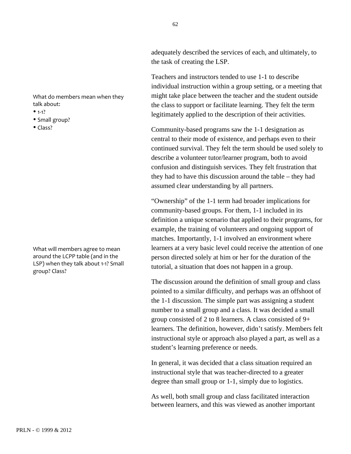adequately described the services of each, and ultimately, to the task of creating the LSP.

Teachers and instructors tended to use 1-1 to describe individual instruction within a group setting, or a meeting that might take place between the teacher and the student outside the class to support or facilitate learning. They felt the term legitimately applied to the description of their activities.

Community-based programs saw the 1-1 designation as central to their mode of existence, and perhaps even to their continued survival. They felt the term should be used solely to describe a volunteer tutor/learner program, both to avoid confusion and distinguish services. They felt frustration that they had to have this discussion around the table – they had assumed clear understanding by all partners.

"Ownership" of the 1-1 term had broader implications for community-based groups. For them, 1-1 included in its definition a unique scenario that applied to their programs, for example, the training of volunteers and ongoing support of matches. Importantly, 1-1 involved an environment where learners at a very basic level could receive the attention of one person directed solely at him or her for the duration of the tutorial, a situation that does not happen in a group.

The discussion around the definition of small group and class pointed to a similar difficulty, and perhaps was an offshoot of the 1-1 discussion. The simple part was assigning a student number to a small group and a class. It was decided a small group consisted of 2 to 8 learners. A class consisted of 9+ learners. The definition, however, didn't satisfy. Members felt instructional style or approach also played a part, as well as a student's learning preference or needs.

In general, it was decided that a class situation required an instructional style that was teacher-directed to a greater degree than small group or 1-1, simply due to logistics.

As well, both small group and class facilitated interaction between learners, and this was viewed as another important

What
do
members
mean
when
they talk
about:

- $1-1?$
- Small group?
- $\bullet$  Class?

What
will
members
agree
to
mean around
the
LCPP
table
(and
in
the LSP) when they talk about 1-1? Small group?
Class?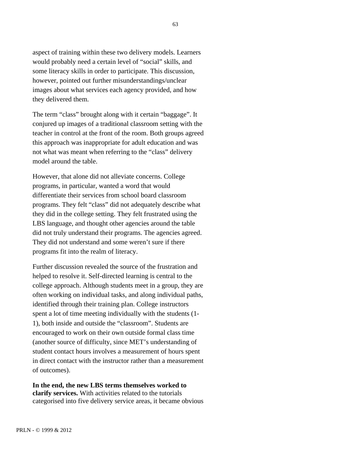aspect of training within these two delivery models. Learners would probably need a certain level of "social" skills, and some literacy skills in order to participate. This discussion, however, pointed out further misunderstandings/unclear images about what services each agency provided, and how they delivered them.

The term "class" brought along with it certain "baggage". It conjured up images of a traditional classroom setting with the teacher in control at the front of the room. Both groups agreed this approach was inappropriate for adult education and was not what was meant when referring to the "class" delivery model around the table.

However, that alone did not alleviate concerns. College programs, in particular, wanted a word that would differentiate their services from school board classroom programs. They felt "class" did not adequately describe what they did in the college setting. They felt frustrated using the LBS language, and thought other agencies around the table did not truly understand their programs. The agencies agreed. They did not understand and some weren't sure if there programs fit into the realm of literacy.

Further discussion revealed the source of the frustration and helped to resolve it. Self-directed learning is central to the college approach. Although students meet in a group, they are often working on individual tasks, and along individual paths, identified through their training plan. College instructors spent a lot of time meeting individually with the students (1- 1), both inside and outside the "classroom". Students are encouraged to work on their own outside formal class time (another source of difficulty, since MET's understanding of student contact hours involves a measurement of hours spent in direct contact with the instructor rather than a measurement of outcomes).

**In the end, the new LBS terms themselves worked to clarify services.** With activities related to the tutorials categorised into five delivery service areas, it became obvious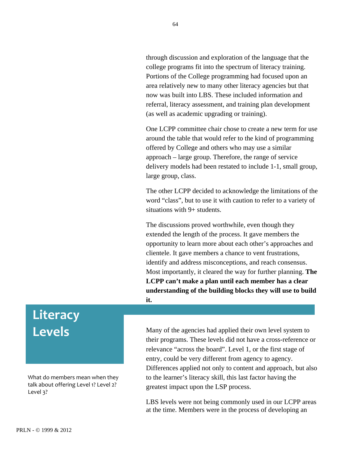<span id="page-63-0"></span>through discussion and exploration of the language that the college programs fit into the spectrum of literacy training. Portions of the College programming had focused upon an area relatively new to many other literacy agencies but that now was built into LBS. These included information and referral, literacy assessment, and training plan development (as well as academic upgrading or training).

One LCPP committee chair chose to create a new term for use around the table that would refer to the kind of programming offered by College and others who may use a similar approach – large group. Therefore, the range of service delivery models had been restated to include 1-1, small group, large group, class.

The other LCPP decided to acknowledge the limitations of the word "class", but to use it with caution to refer to a variety of situations with 9+ students.

The discussions proved worthwhile, even though they extended the length of the process. It gave members the opportunity to learn more about each other's approaches and clientele. It gave members a chance to vent frustrations, identify and address misconceptions, and reach consensus. Most importantly, it cleared the way for further planning. **The LCPP can't make a plan until each member has a clear understanding of the building blocks they will use to build it.**

### **Literacy Levels**

What
do
members
mean
when
they talk about offering Level 1? Level 2? Level
3?

Many of the agencies had applied their own level system to their programs. These levels did not have a cross-reference or relevance "across the board". Level 1, or the first stage of entry, could be very different from agency to agency. Differences applied not only to content and approach, but also to the learner's literacy skill, this last factor having the greatest impact upon the LSP process.

LBS levels were not being commonly used in our LCPP areas at the time. Members were in the process of developing an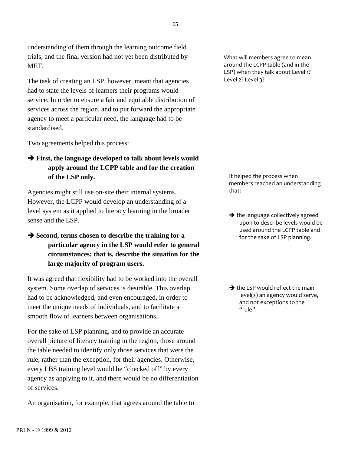understanding of them through the learning outcome field trials, and the final version had not yet been distributed by MET.

The task of creating an LSP, however, meant that agencies had to state the levels of learners their programs would service. In order to ensure a fair and equitable distribution of services across the region, and to put forward the appropriate agency to meet a particular need, the language had to be standardised.

Two agreements helped this process:

#### **First, the language developed to talk about levels would apply around the LCPP table and for the creation of the LSP only.**

Agencies might still use on-site their internal systems. However, the LCPP would develop an understanding of a level system as it applied to literacy learning in the broader sense and the LSP.

 $\rightarrow$  **Second, terms chosen to describe the training for a particular agency in the LSP would refer to general circumstances; that is, describe the situation for the large majority of program users.**

It was agreed that flexibility had to be worked into the overall system. Some overlap of services is desirable. This overlap had to be acknowledged, and even encouraged, in order to meet the unique needs of individuals, and to facilitate a smooth flow of learners between organisations.

For the sake of LSP planning, and to provide an accurate overall picture of literacy training in the region, those around the table needed to identify only those services that were the rule, rather than the exception, for their agencies. Otherwise, every LBS training level would be "checked off" by every agency as applying to it, and there would be no differentiation of services.

An organisation, for example, that agrees around the table to

What
will
members
agree
to
mean around
the
LCPP
table
(and
in
the LSP) when they talk about Level 1? Level
2?
Level
3?

It
helped
the
process
when members
reached
an
understanding that:

 $\rightarrow$  the language collectively agreed upon
to
describe
levels
would
be used
around
the
LCPP
table
and for
the
sake
of
LSP
planning.

 $\rightarrow$  the LSP would reflect the main level(s)
an
agency
would
serve, and
not
exceptions
to
the "rule".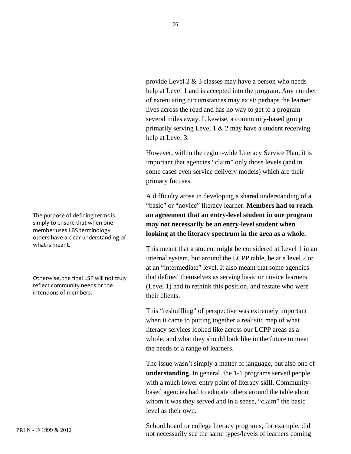provide Level 2 & 3 classes may have a person who needs help at Level 1 and is accepted into the program. Any number of extenuating circumstances may exist: perhaps the learner lives across the road and has no way to get to a program several miles away. Likewise, a community-based group primarily serving Level 1  $\&$  2 may have a student receiving help at Level 3.

However, within the region-wide Literacy Service Plan, it is important that agencies "claim" only those levels (and in some cases even service delivery models) which are their primary focuses.

A difficulty arose in developing a shared understanding of a "basic" or "novice" literacy learner. **Members had to reach an agreement that an entry-level student in one program may not necessarily be an entry-level student when looking at the literacy spectrum in the area as a whole.**

This meant that a student might be considered at Level 1 in an internal system, but around the LCPP table, be at a level 2 or at an "intermediate" level. It also meant that some agencies that defined themselves as serving basic or novice learners (Level 1) had to rethink this position, and restate who were their clients.

This "reshuffling" of perspective was extremely important when it came to putting together a realistic map of what literacy services looked like across our LCPP areas as a whole, and what they should look like in the future to meet the needs of a range of learners.

The issue wasn't simply a matter of language, but also one of **understanding**. In general, the 1-1 programs served people with a much lower entry point of literacy skill. Communitybased agencies had to educate others around the table about whom it was they served and in a sense, "claim" the basic level as their own.

School board or college literacy programs, for example, did not necessarily see the same types/levels of learners coming

The
purpose
of
defining
terms
is simply
to
ensure
that
when
one member
uses
LBS
terminology others
have
a
clear
understanding
of what
is
meant.

Otherwise,
the
final
LSP
will
not
truly reflect
community
needs
or
the intentions
of
members.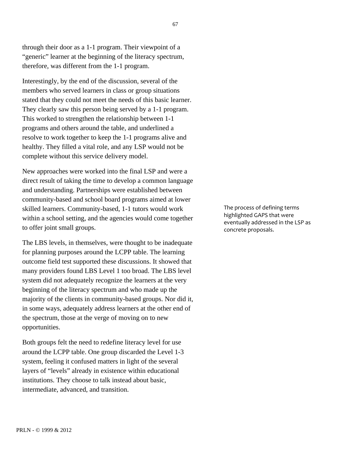through their door as a 1-1 program. Their viewpoint of a "generic" learner at the beginning of the literacy spectrum, therefore, was different from the 1-1 program.

Interestingly, by the end of the discussion, several of the members who served learners in class or group situations stated that they could not meet the needs of this basic learner. They clearly saw this person being served by a 1-1 program. This worked to strengthen the relationship between 1-1 programs and others around the table, and underlined a resolve to work together to keep the 1-1 programs alive and healthy. They filled a vital role, and any LSP would not be complete without this service delivery model.

New approaches were worked into the final LSP and were a direct result of taking the time to develop a common language and understanding. Partnerships were established between community-based and school board programs aimed at lower skilled learners. Community-based, 1-1 tutors would work within a school setting, and the agencies would come together to offer joint small groups.

The LBS levels, in themselves, were thought to be inadequate for planning purposes around the LCPP table. The learning outcome field test supported these discussions. It showed that many providers found LBS Level 1 too broad. The LBS level system did not adequately recognize the learners at the very beginning of the literacy spectrum and who made up the majority of the clients in community-based groups. Nor did it, in some ways, adequately address learners at the other end of the spectrum, those at the verge of moving on to new opportunities.

Both groups felt the need to redefine literacy level for use around the LCPP table. One group discarded the Level 1-3 system, feeling it confused matters in light of the several layers of "levels" already in existence within educational institutions. They choose to talk instead about basic, intermediate, advanced, and transition.

The
process
of
defining
terms highlighted
GAPS
that
were eventually
addressed
in
the
LSP
as concrete
proposals.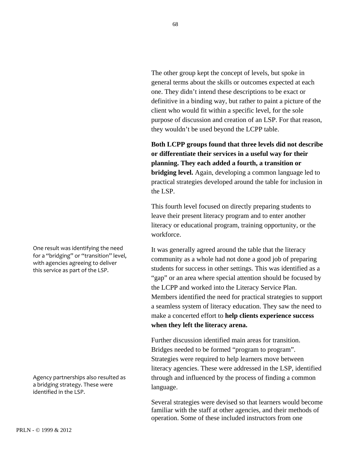The other group kept the concept of levels, but spoke in general terms about the skills or outcomes expected at each one. They didn't intend these descriptions to be exact or definitive in a binding way, but rather to paint a picture of the client who would fit within a specific level, for the sole purpose of discussion and creation of an LSP. For that reason, they wouldn't be used beyond the LCPP table.

**Both LCPP groups found that three levels did not describe or differentiate their services in a useful way for their planning. They each added a fourth, a transition or bridging level.** Again, developing a common language led to practical strategies developed around the table for inclusion in the LSP.

This fourth level focused on directly preparing students to leave their present literacy program and to enter another literacy or educational program, training opportunity, or the workforce.

It was generally agreed around the table that the literacy community as a whole had not done a good job of preparing students for success in other settings. This was identified as a "gap" or an area where special attention should be focused by the LCPP and worked into the Literacy Service Plan. Members identified the need for practical strategies to support a seamless system of literacy education. They saw the need to make a concerted effort to **help clients experience success when they left the literacy arena.**

Further discussion identified main areas for transition. Bridges needed to be formed "program to program". Strategies were required to help learners move between literacy agencies. These were addressed in the LSP, identified through and influenced by the process of finding a common language.

Several strategies were devised so that learners would become familiar with the staff at other agencies, and their methods of operation. Some of these included instructors from one

One
result
was
identifying
the
need for a "bridging" or "transition" level, with agencies agreeing to deliver this
service
as
part
of
the
LSP.

Agency
partnerships
also
resulted
as a
bridging
strategy.
These
were identified
in
the
LSP.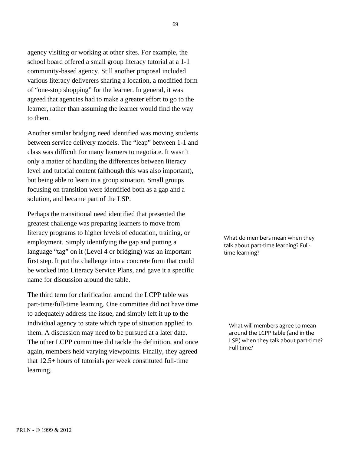agency visiting or working at other sites. For example, the school board offered a small group literacy tutorial at a 1-1 community-based agency. Still another proposal included various literacy deliverers sharing a location, a modified form of "one-stop shopping" for the learner. In general, it was agreed that agencies had to make a greater effort to go to the learner, rather than assuming the learner would find the way to them.

Another similar bridging need identified was moving students between service delivery models. The "leap" between 1-1 and class was difficult for many learners to negotiate. It wasn't only a matter of handling the differences between literacy level and tutorial content (although this was also important), but being able to learn in a group situation. Small groups focusing on transition were identified both as a gap and a solution, and became part of the LSP.

Perhaps the transitional need identified that presented the greatest challenge was preparing learners to move from literacy programs to higher levels of education, training, or employment. Simply identifying the gap and putting a language "tag" on it (Level 4 or bridging) was an important first step. It put the challenge into a concrete form that could be worked into Literacy Service Plans, and gave it a specific name for discussion around the table.

The third term for clarification around the LCPP table was part-time/full-time learning. One committee did not have time to adequately address the issue, and simply left it up to the individual agency to state which type of situation applied to them. A discussion may need to be pursued at a later date. The other LCPP committee did tackle the definition, and once again, members held varying viewpoints. Finally, they agreed that 12.5+ hours of tutorials per week constituted full-time learning.

What
do
members
mean
when
they talk
about
part‐time
learning?
Full‐ time
learning?

What
will
members
agree
to
mean around
the
LCPP
table
(and
in
the LSP) when they talk about part-time? Full-time?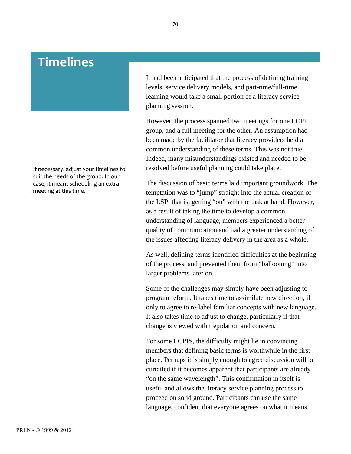### <span id="page-69-0"></span>**Timelines**

If
necessary,
adjust
your
timelines
to suit
the
needs
of
the
group.
In
our case,
it
meant
scheduling
an
extra meeting
at
this
time.

It had been anticipated that the process of defining training levels, service delivery models, and part-time/full-time learning would take a small portion of a literacy service planning session.

However, the process spanned two meetings for one LCPP group, and a full meeting for the other. An assumption had been made by the facilitator that literacy providers held a common understanding of these terms. This was not true. Indeed, many misunderstandings existed and needed to be resolved before useful planning could take place.

The discussion of basic terms laid important groundwork. The temptation was to "jump" straight into the actual creation of the LSP; that is, getting "on" with the task at hand. However, as a result of taking the time to develop a common understanding of language, members experienced a better quality of communication and had a greater understanding of the issues affecting literacy delivery in the area as a whole.

As well, defining terms identified difficulties at the beginning of the process, and prevented them from "ballooning" into larger problems later on.

Some of the challenges may simply have been adjusting to program reform. It takes time to assimilate new direction, if only to agree to re-label familiar concepts with new language. It also takes time to adjust to change, particularly if that change is viewed with trepidation and concern.

For some LCPPs, the difficulty might lie in convincing members that defining basic terms is worthwhile in the first place. Perhaps it is simply enough to agree discussion will be curtailed if it becomes apparent that participants are already "on the same wavelength". This confirmation in itself is useful and allows the literacy service planning process to proceed on solid ground. Participants can use the same language, confident that everyone agrees on what it means.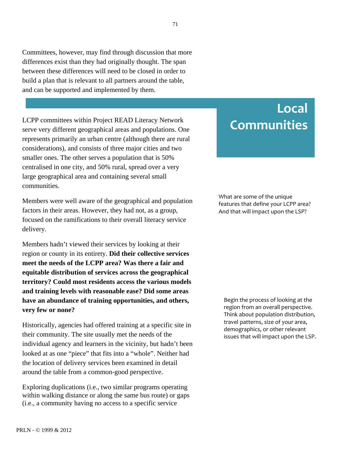<span id="page-70-0"></span>Committees, however, may find through discussion that more differences exist than they had originally thought. The span between these differences will need to be closed in order to build a plan that is relevant to all partners around the table, and can be supported and implemented by them.

LCPP committees within Project READ Literacy Network serve very different geographical areas and populations. One represents primarily an urban centre (although there are rural considerations), and consists of three major cities and two smaller ones. The other serves a population that is 50% centralised in one city, and 50% rural, spread over a very large geographical area and containing several small communities.

Members were well aware of the geographical and population factors in their areas. However, they had not, as a group, focused on the ramifications to their overall literacy service delivery.

Members hadn't viewed their services by looking at their region or county in its entirety. **Did their collective services meet the needs of the LCPP area? Was there a fair and equitable distribution of services across the geographical territory? Could most residents access the various models and training levels with reasonable ease? Did some areas have an abundance of training opportunities, and others, very few or none?**

Historically, agencies had offered training at a specific site in their community. The site usually met the needs of the individual agency and learners in the vicinity, but hadn't been looked at as one "piece" that fits into a "whole". Neither had the location of delivery services been examined in detail around the table from a common-good perspective.

Exploring duplications (i.e., two similar programs operating within walking distance or along the same bus route) or gaps (i.e., a community having no access to a specific service

### **Local Communities**

What
are
some
of
the
unique features
that
define
your
LCPP
area? And
that
will
impact
upon
the
LSP?

Begin
the
process
of
looking
at
the region
from
an
overall
perspective. Think
about
population
distribution, travel
patterns,
size
of
your
area, demographics,
or
other
relevant issues
that
will
impact
upon
the
LSP.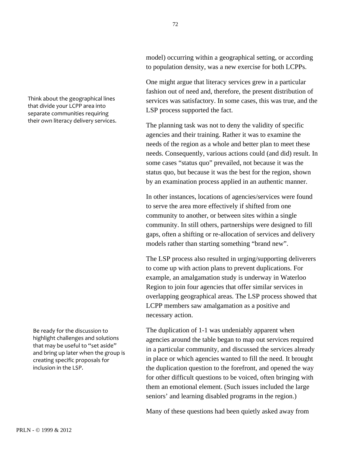72

model) occurring within a geographical setting, or according to population density, was a new exercise for both LCPPs.

One might argue that literacy services grew in a particular fashion out of need and, therefore, the present distribution of services was satisfactory. In some cases, this was true, and the LSP process supported the fact.

The planning task was not to deny the validity of specific agencies and their training. Rather it was to examine the needs of the region as a whole and better plan to meet these needs. Consequently, various actions could (and did) result. In some cases "status quo" prevailed, not because it was the status quo, but because it was the best for the region, shown by an examination process applied in an authentic manner.

In other instances, locations of agencies/services were found to serve the area more effectively if shifted from one community to another, or between sites within a single community. In still others, partnerships were designed to fill gaps, often a shifting or re-allocation of services and delivery models rather than starting something "brand new".

The LSP process also resulted in urging/supporting deliverers to come up with action plans to prevent duplications. For example, an amalgamation study is underway in Waterloo Region to join four agencies that offer similar services in overlapping geographical areas. The LSP process showed that LCPP members saw amalgamation as a positive and necessary action.

The duplication of 1-1 was undeniably apparent when agencies around the table began to map out services required in a particular community, and discussed the services already in place or which agencies wanted to fill the need. It brought the duplication question to the forefront, and opened the way for other difficult questions to be voiced, often bringing with them an emotional element. (Such issues included the large seniors' and learning disabled programs in the region.)

Many of these questions had been quietly asked away from

Think
about
the
geographical
lines that
divide
your
LCPP
area
into separate
communities
requiring their
own
literacy
delivery
services.

Be
ready
for
the
discussion
to highlight
challenges
and
solutions that may be useful to "set aside" and
bring
up
later
when
the
group
is creating
specific
proposals
for inclusion
in
the
LSP.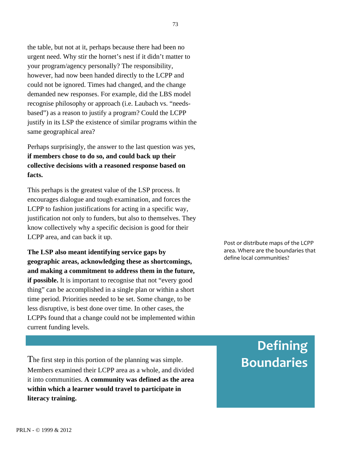the table, but not at it, perhaps because there had been no urgent need. Why stir the hornet's nest if it didn't matter to your program/agency personally? The responsibility, however, had now been handed directly to the LCPP and could not be ignored. Times had changed, and the change demanded new responses. For example, did the LBS model recognise philosophy or approach (i.e. Laubach vs. "needsbased") as a reason to justify a program? Could the LCPP justify in its LSP the existence of similar programs within the same geographical area?

Perhaps surprisingly, the answer to the last question was yes, **if members chose to do so, and could back up their collective decisions with a reasoned response based on facts.**

This perhaps is the greatest value of the LSP process. It encourages dialogue and tough examination, and forces the LCPP to fashion justifications for acting in a specific way, justification not only to funders, but also to themselves. They know collectively why a specific decision is good for their LCPP area, and can back it up.

**The LSP also meant identifying service gaps by geographic areas, acknowledging these as shortcomings, and making a commitment to address them in the future, if possible.** It is important to recognise that not "every good" thing" can be accomplished in a single plan or within a short time period. Priorities needed to be set. Some change, to be less disruptive, is best done over time. In other cases, the LCPPs found that a change could not be implemented within current funding levels.

The first step in this portion of the planning was simple. Members examined their LCPP area as a whole, and divided it into communities. **A community was defined as the area within which a learner would travel to participate in literacy training.**

Post
or
distribute
maps
of
the
LCPP area.
Where
are
the
boundaries
that define
local
communities?

# **Defining Boundaries**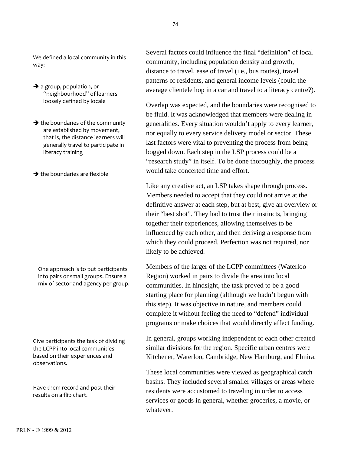We defined a local community in this way:

- $\rightarrow$  a group, population, or "neighbourhood"
of
learners loosely
defined
by
locale
- $\rightarrow$  the boundaries of the community are
established
by
movement, that
is,
the
distance
learners
will generally
travel
to
participate
in literacy
training
- $\rightarrow$  the boundaries are flexible

One
approach
is
to
put
participants into
pairs
or
small
groups.
Ensure
a mix
of
sector
and
agency
per
group.

Give
participants
the
task
of
dividing the
LCPP
into
local
communities based
on
their
experiences
and observations.

Have
them
record
and
post
their results
on
a
flip
chart.

Several factors could influence the final "definition" of local community, including population density and growth, distance to travel, ease of travel (i.e., bus routes), travel patterns of residents, and general income levels (could the average clientele hop in a car and travel to a literacy centre?).

Overlap was expected, and the boundaries were recognised to be fluid. It was acknowledged that members were dealing in generalities. Every situation wouldn't apply to every learner, nor equally to every service delivery model or sector. These last factors were vital to preventing the process from being bogged down. Each step in the LSP process could be a "research study" in itself. To be done thoroughly, the process would take concerted time and effort.

Like any creative act, an LSP takes shape through process. Members needed to accept that they could not arrive at the definitive answer at each step, but at best, give an overview or their "best shot". They had to trust their instincts, bringing together their experiences, allowing themselves to be influenced by each other, and then deriving a response from which they could proceed. Perfection was not required, nor likely to be achieved.

Members of the larger of the LCPP committees (Waterloo Region) worked in pairs to divide the area into local communities. In hindsight, the task proved to be a good starting place for planning (although we hadn't begun with this step). It was objective in nature, and members could complete it without feeling the need to "defend" individual programs or make choices that would directly affect funding.

In general, groups working independent of each other created similar divisions for the region. Specific urban centres were Kitchener, Waterloo, Cambridge, New Hamburg, and Elmira.

These local communities were viewed as geographical catch basins. They included several smaller villages or areas where residents were accustomed to traveling in order to access services or goods in general, whether groceries, a movie, or whatever.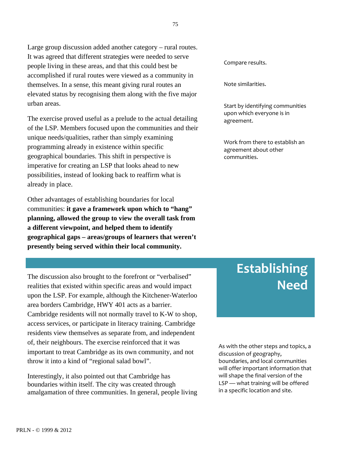Large group discussion added another category – rural routes. It was agreed that different strategies were needed to serve people living in these areas, and that this could best be accomplished if rural routes were viewed as a community in themselves. In a sense, this meant giving rural routes an elevated status by recognising them along with the five major urban areas.

The exercise proved useful as a prelude to the actual detailing of the LSP. Members focused upon the communities and their unique needs/qualities, rather than simply examining programming already in existence within specific geographical boundaries. This shift in perspective is imperative for creating an LSP that looks ahead to new possibilities, instead of looking back to reaffirm what is already in place.

Other advantages of establishing boundaries for local communities: **it gave a framework upon which to "hang" planning, allowed the group to view the overall task from a different viewpoint, and helped them to identify geographical gaps – areas/groups of learners that weren't presently being served within their local community.**

The discussion also brought to the forefront or "verbalised" realities that existed within specific areas and would impact upon the LSP. For example, although the Kitchener-Waterloo area borders Cambridge, HWY 401 acts as a barrier. Cambridge residents will not normally travel to K-W to shop, access services, or participate in literacy training. Cambridge residents view themselves as separate from, and independent of, their neighbours. The exercise reinforced that it was important to treat Cambridge as its own community, and not throw it into a kind of "regional salad bowl".

Interestingly, it also pointed out that Cambridge has boundaries within itself. The city was created through amalgamation of three communities. In general, people living Compare
results.

Note
similarities.

Start
by
identifying
communities upon
which
everyone
is
in agreement.

Work
from
there
to
establish
an agreement
about
other communities.

# **Establishing Need**

As
with
the
other
steps
and
topics,
a discussion
of
geography, boundaries,
and
local
communities will
offer
important
information
that will
shape
the
final
version
of
the LSP
—
what
training
will
be
offered in
a
specific
location
and
site.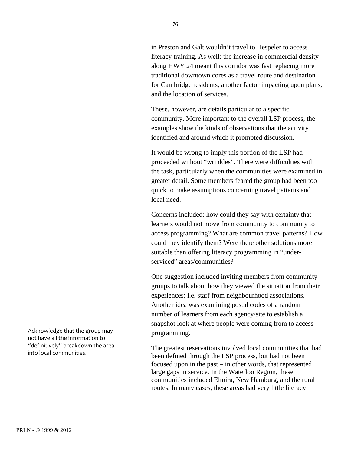in Preston and Galt wouldn't travel to Hespeler to access literacy training. As well: the increase in commercial density along HWY 24 meant this corridor was fast replacing more traditional downtown cores as a travel route and destination for Cambridge residents, another factor impacting upon plans, and the location of services.

These, however, are details particular to a specific community. More important to the overall LSP process, the examples show the kinds of observations that the activity identified and around which it prompted discussion.

It would be wrong to imply this portion of the LSP had proceeded without "wrinkles". There were difficulties with the task, particularly when the communities were examined in greater detail. Some members feared the group had been too quick to make assumptions concerning travel patterns and local need.

Concerns included: how could they say with certainty that learners would not move from community to community to access programming? What are common travel patterns? How could they identify them? Were there other solutions more suitable than offering literacy programming in "underserviced" areas/communities?

One suggestion included inviting members from community groups to talk about how they viewed the situation from their experiences; i.e. staff from neighbourhood associations. Another idea was examining postal codes of a random number of learners from each agency/site to establish a snapshot look at where people were coming from to access programming.

The greatest reservations involved local communities that had been defined through the LSP process, but had not been focused upon in the past – in other words, that represented large gaps in service. In the Waterloo Region, these communities included Elmira, New Hamburg, and the rural routes. In many cases, these areas had very little literacy

Acknowledge
that
the
group
may not
have
all
the
information
to "definitively"
breakdown
the
area into
local
communities.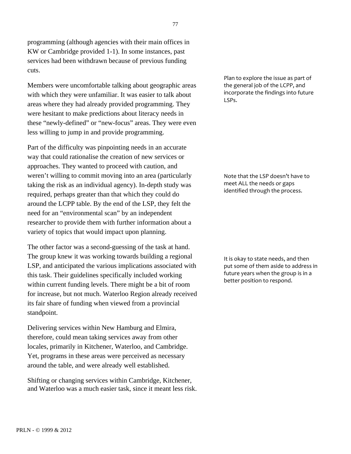programming (although agencies with their main offices in KW or Cambridge provided 1-1). In some instances, past services had been withdrawn because of previous funding cuts.

Members were uncomfortable talking about geographic areas with which they were unfamiliar. It was easier to talk about areas where they had already provided programming. They were hesitant to make predictions about literacy needs in these "newly-defined" or "new-focus" areas. They were even less willing to jump in and provide programming.

Part of the difficulty was pinpointing needs in an accurate way that could rationalise the creation of new services or approaches. They wanted to proceed with caution, and weren't willing to commit moving into an area (particularly taking the risk as an individual agency). In-depth study was required, perhaps greater than that which they could do around the LCPP table. By the end of the LSP, they felt the need for an "environmental scan" by an independent researcher to provide them with further information about a variety of topics that would impact upon planning.

The other factor was a second-guessing of the task at hand. The group knew it was working towards building a regional LSP, and anticipated the various implications associated with this task. Their guidelines specifically included working within current funding levels. There might be a bit of room for increase, but not much. Waterloo Region already received its fair share of funding when viewed from a provincial standpoint.

Delivering services within New Hamburg and Elmira, therefore, could mean taking services away from other locales, primarily in Kitchener, Waterloo, and Cambridge. Yet, programs in these areas were perceived as necessary around the table, and were already well established.

Shifting or changing services within Cambridge, Kitchener, and Waterloo was a much easier task, since it meant less risk.

Plan to explore the issue as part of the
general
job
of
the
LCPP,
and incorporate
the
findings
into
future LSPs.

Note
that
the
LSP
doesn't
have
to meet
ALL
the
needs
or
gaps identified
through
the
process.

It
is
okay
to
state
needs,
and
then put
some
of
them
aside
to
address
in future years when the group is in a better
position
to
respond.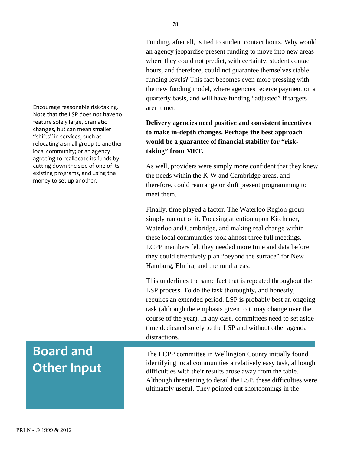Encourage
reasonable
risk‐taking. Note
that
the
LSP
does
not
have
to feature
solely
large,
dramatic changes,
but
can
mean
smaller "shifts" in services, such as relocating
a
small
group
to
another local
community;
or
an
agency agreeing to reallocate its funds by cutting
down
the
size
of
one
of
its existing
programs,
and
using
the money
to
set
up
another.

# **Board
and Other
Input**

Funding, after all, is tied to student contact hours. Why would an agency jeopardise present funding to move into new areas where they could not predict, with certainty, student contact hours, and therefore, could not guarantee themselves stable funding levels? This fact becomes even more pressing with the new funding model, where agencies receive payment on a quarterly basis, and will have funding "adjusted" if targets aren't met.

#### **Delivery agencies need positive and consistent incentives to make in-depth changes. Perhaps the best approach would be a guarantee of financial stability for "risktaking" from MET.**

As well, providers were simply more confident that they knew the needs within the K-W and Cambridge areas, and therefore, could rearrange or shift present programming to meet them.

Finally, time played a factor. The Waterloo Region group simply ran out of it. Focusing attention upon Kitchener, Waterloo and Cambridge, and making real change within these local communities took almost three full meetings. LCPP members felt they needed more time and data before they could effectively plan "beyond the surface" for New Hamburg, Elmira, and the rural areas.

This underlines the same fact that is repeated throughout the LSP process. To do the task thoroughly, and honestly, requires an extended period. LSP is probably best an ongoing task (although the emphasis given to it may change over the course of the year). In any case, committees need to set aside time dedicated solely to the LSP and without other agenda distractions.

The LCPP committee in Wellington County initially found identifying local communities a relatively easy task, although difficulties with their results arose away from the table. Although threatening to derail the LSP, these difficulties were ultimately useful. They pointed out shortcomings in the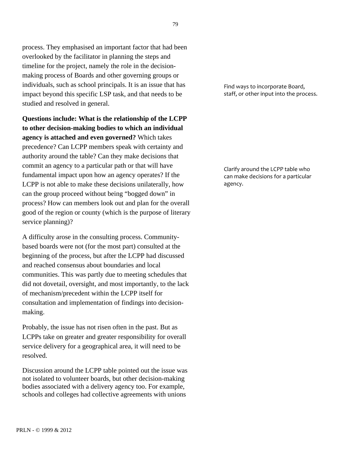process. They emphasised an important factor that had been overlooked by the facilitator in planning the steps and timeline for the project, namely the role in the decisionmaking process of Boards and other governing groups or individuals, such as school principals. It is an issue that has impact beyond this specific LSP task, and that needs to be studied and resolved in general.

**Questions include: What is the relationship of the LCPP to other decision-making bodies to which an individual agency is attached and even governed?** Which takes precedence? Can LCPP members speak with certainty and authority around the table? Can they make decisions that commit an agency to a particular path or that will have fundamental impact upon how an agency operates? If the LCPP is not able to make these decisions unilaterally, how can the group proceed without being "bogged down" in process? How can members look out and plan for the overall good of the region or county (which is the purpose of literary service planning)?

A difficulty arose in the consulting process. Communitybased boards were not (for the most part) consulted at the beginning of the process, but after the LCPP had discussed and reached consensus about boundaries and local communities. This was partly due to meeting schedules that did not dovetail, oversight, and most importantly, to the lack of mechanism/precedent within the LCPP itself for consultation and implementation of findings into decisionmaking.

Probably, the issue has not risen often in the past. But as LCPPs take on greater and greater responsibility for overall service delivery for a geographical area, it will need to be resolved.

Discussion around the LCPP table pointed out the issue was not isolated to volunteer boards, but other decision-making bodies associated with a delivery agency too. For example, schools and colleges had collective agreements with unions

Find
ways
to
incorporate
Board, staff,
or
other
input
into
the
process.

Clarify
around
the
LCPP
table
who can
make
decisions
for
a
particular agency.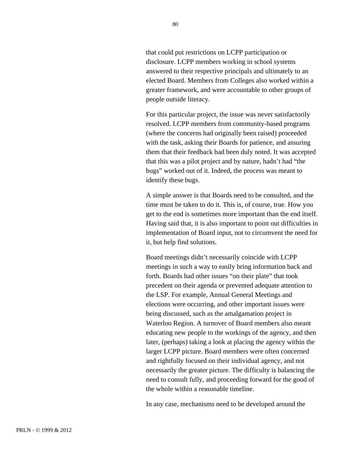that could put restrictions on LCPP participation or disclosure. LCPP members working in school systems answered to their respective principals and ultimately to an elected Board. Members from Colleges also worked within a greater framework, and were accountable to other groups of people outside literacy.

For this particular project, the issue was never satisfactorily resolved. LCPP members from community-based programs (where the concerns had originally been raised) proceeded with the task, asking their Boards for patience, and assuring them that their feedback had been duly noted. It was accepted that this was a pilot project and by nature, hadn't had "the bugs" worked out of it. Indeed, the process was meant to identify these bugs.

A simple answer is that Boards need to be consulted, and the time must be taken to do it. This is, of course, true. How you get to the end is sometimes more important than the end itself. Having said that, it is also important to point out difficulties in implementation of Board input, not to circumvent the need for it, but help find solutions.

Board meetings didn't necessarily coincide with LCPP meetings in such a way to easily bring information back and forth. Boards had other issues "on their plate" that took precedent on their agenda or prevented adequate attention to the LSP. For example, Annual General Meetings and elections were occurring, and other important issues were being discussed, such as the amalgamation project in Waterloo Region. A turnover of Board members also meant educating new people to the workings of the agency, and then later, (perhaps) taking a look at placing the agency within the larger LCPP picture. Board members were often concerned and rightfully focused on their individual agency, and not necessarily the greater picture. The difficulty is balancing the need to consult fully, and proceeding forward for the good of the whole within a reasonable timeline.

In any case, mechanisms need to be developed around the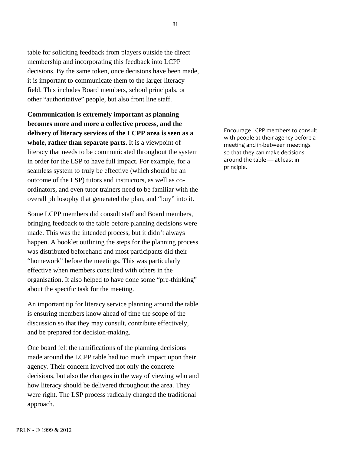table for soliciting feedback from players outside the direct membership and incorporating this feedback into LCPP decisions. By the same token, once decisions have been made, it is important to communicate them to the larger literacy field. This includes Board members, school principals, or other "authoritative" people, but also front line staff.

**Communication is extremely important as planning becomes more and more a collective process, and the delivery of literacy services of the LCPP area is seen as a whole, rather than separate parts.** It is a viewpoint of literacy that needs to be communicated throughout the system in order for the LSP to have full impact. For example, for a seamless system to truly be effective (which should be an outcome of the LSP) tutors and instructors, as well as coordinators, and even tutor trainers need to be familiar with the overall philosophy that generated the plan, and "buy" into it.

Some LCPP members did consult staff and Board members, bringing feedback to the table before planning decisions were made. This was the intended process, but it didn't always happen. A booklet outlining the steps for the planning process was distributed beforehand and most participants did their "homework" before the meetings. This was particularly effective when members consulted with others in the organisation. It also helped to have done some "pre-thinking" about the specific task for the meeting.

An important tip for literacy service planning around the table is ensuring members know ahead of time the scope of the discussion so that they may consult, contribute effectively, and be prepared for decision-making.

One board felt the ramifications of the planning decisions made around the LCPP table had too much impact upon their agency. Their concern involved not only the concrete decisions, but also the changes in the way of viewing who and how literacy should be delivered throughout the area. They were right. The LSP process radically changed the traditional approach.

Encourage
LCPP
members
to
consult with people at their agency before a meeting
and
in‐between
meetings so
that
they
can
make
decisions around
the
table
—
at
least
in principle.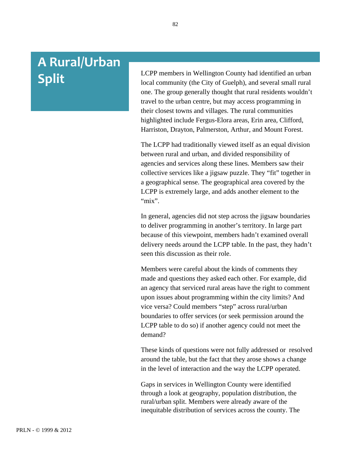# **A
Rural/Urban Split**

LCPP members in Wellington County had identified an urban local community (the City of Guelph), and several small rural one. The group generally thought that rural residents wouldn't travel to the urban centre, but may access programming in their closest towns and villages. The rural communities highlighted include Fergus-Elora areas, Erin area, Clifford, Harriston, Drayton, Palmerston, Arthur, and Mount Forest.

The LCPP had traditionally viewed itself as an equal division between rural and urban, and divided responsibility of agencies and services along these lines. Members saw their collective services like a jigsaw puzzle. They "fit" together in a geographical sense. The geographical area covered by the LCPP is extremely large, and adds another element to the "mix".

In general, agencies did not step across the jigsaw boundaries to deliver programming in another's territory. In large part because of this viewpoint, members hadn't examined overall delivery needs around the LCPP table. In the past, they hadn't seen this discussion as their role.

Members were careful about the kinds of comments they made and questions they asked each other. For example, did an agency that serviced rural areas have the right to comment upon issues about programming within the city limits? And vice versa? Could members "step" across rural/urban boundaries to offer services (or seek permission around the LCPP table to do so) if another agency could not meet the demand?

These kinds of questions were not fully addressed or resolved around the table, but the fact that they arose shows a change in the level of interaction and the way the LCPP operated.

Gaps in services in Wellington County were identified through a look at geography, population distribution, the rural/urban split. Members were already aware of the inequitable distribution of services across the county. The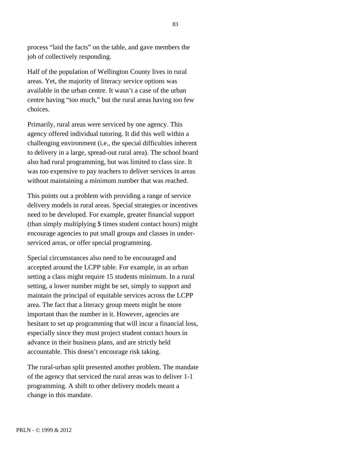process "laid the facts" on the table, and gave members the job of collectively responding.

Half of the population of Wellington County lives in rural areas. Yet, the majority of literacy service options was available in the urban centre. It wasn't a case of the urban centre having "too much," but the rural areas having too few choices.

Primarily, rural areas were serviced by one agency. This agency offered individual tutoring. It did this well within a challenging environment (i.e., the special difficulties inherent to delivery in a large, spread-out rural area). The school board also had rural programming, but was limited to class size. It was too expensive to pay teachers to deliver services in areas without maintaining a minimum number that was reached.

This points out a problem with providing a range of service delivery models in rural areas. Special strategies or incentives need to be developed. For example, greater financial support (than simply multiplying \$ times student contact hours) might encourage agencies to put small groups and classes in underserviced areas, or offer special programming.

Special circumstances also need to be encouraged and accepted around the LCPP table. For example, in an urban setting a class might require 15 students minimum. In a rural setting, a lower number might be set, simply to support and maintain the principal of equitable services across the LCPP area. The fact that a literacy group meets might be more important than the number in it. However, agencies are hesitant to set up programming that will incur a financial loss, especially since they must project student contact hours in advance in their business plans, and are strictly held accountable. This doesn't encourage risk taking.

The rural-urban split presented another problem. The mandate of the agency that serviced the rural areas was to deliver 1-1 programming. A shift to other delivery models meant a change in this mandate.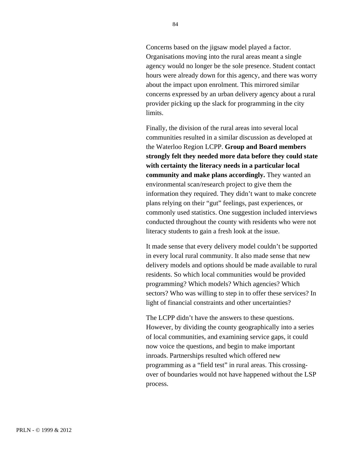Concerns based on the jigsaw model played a factor. Organisations moving into the rural areas meant a single agency would no longer be the sole presence. Student contact hours were already down for this agency, and there was worry about the impact upon enrolment. This mirrored similar concerns expressed by an urban delivery agency about a rural provider picking up the slack for programming in the city limits.

Finally, the division of the rural areas into several local communities resulted in a similar discussion as developed at the Waterloo Region LCPP. **Group and Board members strongly felt they needed more data before they could state with certainty the literacy needs in a particular local community and make plans accordingly.** They wanted an environmental scan/research project to give them the information they required. They didn't want to make concrete plans relying on their "gut" feelings, past experiences, or commonly used statistics. One suggestion included interviews conducted throughout the county with residents who were not literacy students to gain a fresh look at the issue.

It made sense that every delivery model couldn't be supported in every local rural community. It also made sense that new delivery models and options should be made available to rural residents. So which local communities would be provided programming? Which models? Which agencies? Which sectors? Who was willing to step in to offer these services? In light of financial constraints and other uncertainties?

The LCPP didn't have the answers to these questions. However, by dividing the county geographically into a series of local communities, and examining service gaps, it could now voice the questions, and begin to make important inroads. Partnerships resulted which offered new programming as a "field test" in rural areas. This crossingover of boundaries would not have happened without the LSP process.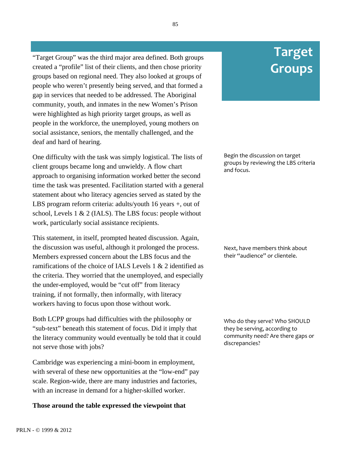"Target Group" was the third major area defined. Both groups created a "profile" list of their clients, and then chose priority groups based on regional need. They also looked at groups of people who weren't presently being served, and that formed a gap in services that needed to be addressed. The Aboriginal community, youth, and inmates in the new Women's Prison were highlighted as high priority target groups, as well as people in the workforce, the unemployed, young mothers on social assistance, seniors, the mentally challenged, and the deaf and hard of hearing.

One difficulty with the task was simply logistical. The lists of client groups became long and unwieldy. A flow chart approach to organising information worked better the second time the task was presented. Facilitation started with a general statement about who literacy agencies served as stated by the LBS program reform criteria: adults/youth 16 years +, out of school, Levels 1 & 2 (IALS). The LBS focus: people without work, particularly social assistance recipients.

This statement, in itself, prompted heated discussion. Again, the discussion was useful, although it prolonged the process. Members expressed concern about the LBS focus and the ramifications of the choice of IALS Levels 1 & 2 identified as the criteria. They worried that the unemployed, and especially the under-employed, would be "cut off" from literacy training, if not formally, then informally, with literacy workers having to focus upon those without work.

Both LCPP groups had difficulties with the philosophy or "sub-text" beneath this statement of focus. Did it imply that the literacy community would eventually be told that it could not serve those with jobs?

Cambridge was experiencing a mini-boom in employment, with several of these new opportunities at the "low-end" pay scale. Region-wide, there are many industries and factories, with an increase in demand for a higher-skilled worker.

#### **Those around the table expressed the viewpoint that**

# **Target Groups**

Begin
the
discussion
on
target groups
by
reviewing
the
LBS
criteria and
focus.

Next,
have
members
think
about their "audience" or clientele.

Who do they serve? Who SHOULD they
be
serving,
according
to community
need?
Are
there
gaps
or discrepancies?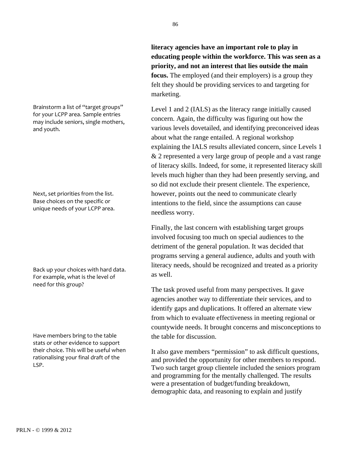Brainstorm
a
list
of
"target
groups" for
your
LCPP
area.
Sample
entries may
include
seniors,
single
mothers, and
youth.

Next,
set
priorities
from
the
list. Base
choices
on
the
specific
or unique
needs
of
your
LCPP
area.

Back
up
your
choices
with
hard
data. For
example,
what
is
the
level
of need
for
this
group?

Have
members
bring
to
the
table stats
or
other
evidence
to
support their
choice.
This
will
be
useful
when rationalising
your
final
draft
of
the LSP.

**literacy agencies have an important role to play in educating people within the workforce. This was seen as a priority, and not an interest that lies outside the main focus.** The employed (and their employers) is a group they felt they should be providing services to and targeting for marketing.

Level 1 and 2 (IALS) as the literacy range initially caused concern. Again, the difficulty was figuring out how the various levels dovetailed, and identifying preconceived ideas about what the range entailed. A regional workshop explaining the IALS results alleviated concern, since Levels 1 & 2 represented a very large group of people and a vast range of literacy skills. Indeed, for some, it represented literacy skill levels much higher than they had been presently serving, and so did not exclude their present clientele. The experience, however, points out the need to communicate clearly intentions to the field, since the assumptions can cause needless worry.

Finally, the last concern with establishing target groups involved focusing too much on special audiences to the detriment of the general population. It was decided that programs serving a general audience, adults and youth with literacy needs, should be recognized and treated as a priority as well.

The task proved useful from many perspectives. It gave agencies another way to differentiate their services, and to identify gaps and duplications. It offered an alternate view from which to evaluate effectiveness in meeting regional or countywide needs. It brought concerns and misconceptions to the table for discussion.

It also gave members "permission" to ask difficult questions, and provided the opportunity for other members to respond. Two such target group clientele included the seniors program and programming for the mentally challenged. The results were a presentation of budget/funding breakdown, demographic data, and reasoning to explain and justify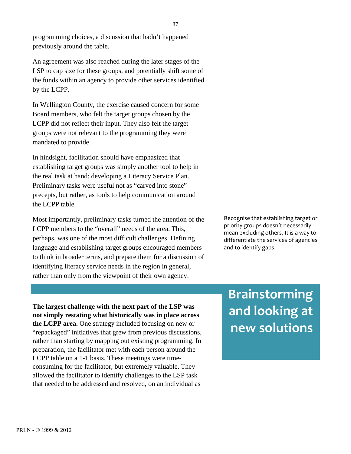programming choices, a discussion that hadn't happened previously around the table.

An agreement was also reached during the later stages of the LSP to cap size for these groups, and potentially shift some of the funds within an agency to provide other services identified by the LCPP.

In Wellington County, the exercise caused concern for some Board members, who felt the target groups chosen by the LCPP did not reflect their input. They also felt the target groups were not relevant to the programming they were mandated to provide.

In hindsight, facilitation should have emphasized that establishing target groups was simply another tool to help in the real task at hand: developing a Literacy Service Plan. Preliminary tasks were useful not as "carved into stone" precepts, but rather, as tools to help communication around the LCPP table.

Most importantly, preliminary tasks turned the attention of the LCPP members to the "overall" needs of the area. This, perhaps, was one of the most difficult challenges. Defining language and establishing target groups encouraged members to think in broader terms, and prepare them for a discussion of identifying literacy service needs in the region in general, rather than only from the viewpoint of their own agency.

Recognise
that
establishing
target
or priority
groups
doesn't
necessarily mean
excluding
others.
It
is
a
way
to differentiate
the
services
of
agencies and
to
identify
gaps.

**The largest challenge with the next part of the LSP was not simply restating what historically was in place across the LCPP area.** One strategy included focusing on new or "repackaged" initiatives that grew from previous discussions, rather than starting by mapping out existing programming. In preparation, the facilitator met with each person around the LCPP table on a 1-1 basis. These meetings were timeconsuming for the facilitator, but extremely valuable. They allowed the facilitator to identify challenges to the LSP task that needed to be addressed and resolved, on an individual as

# **Brainstorming and
looking
at new
solutions**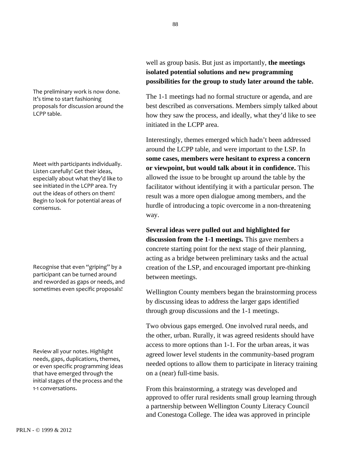The
preliminary
work
is
now
done. It's
time
to
start
fashioning proposals
for
discussion
around
the LCPP
table.

Meet
with
participants
individually. Listen
carefully!
Get
their
ideas, especially
about
what
they'd
like
to see
initiated
in
the
LCPP
area.
Try out the ideas of others on them! Begin
to
look
for
potential
areas
of consensus.

Recognise
that
even
"griping"
by
a participant
can
be
turned
around and
reworded
as
gaps
or
needs,
and sometimes
even
specific
proposals!

Review
all
your
notes.
Highlight needs,
gaps,
duplications,
themes, or
even
specific
programming
ideas that
have
emerged
through
the initial
stages
of
the
process
and
the 1‐1
conversations.

well as group basis. But just as importantly, **the meetings isolated potential solutions and new programming possibilities for the group to study later around the table.**

The 1-1 meetings had no formal structure or agenda, and are best described as conversations. Members simply talked about how they saw the process, and ideally, what they'd like to see initiated in the LCPP area.

Interestingly, themes emerged which hadn't been addressed around the LCPP table, and were important to the LSP. In **some cases, members were hesitant to express a concern or viewpoint, but would talk about it in confidence.** This allowed the issue to be brought up around the table by the facilitator without identifying it with a particular person. The result was a more open dialogue among members, and the hurdle of introducing a topic overcome in a non-threatening way.

**Several ideas were pulled out and highlighted for discussion from the 1-1 meetings.** This gave members a concrete starting point for the next stage of their planning, acting as a bridge between preliminary tasks and the actual creation of the LSP, and encouraged important pre-thinking between meetings.

Wellington County members began the brainstorming process by discussing ideas to address the larger gaps identified through group discussions and the 1-1 meetings.

Two obvious gaps emerged. One involved rural needs, and the other, urban. Rurally, it was agreed residents should have access to more options than 1-1. For the urban areas, it was agreed lower level students in the community-based program needed options to allow them to participate in literacy training on a (near) full-time basis.

From this brainstorming, a strategy was developed and approved to offer rural residents small group learning through a partnership between Wellington County Literacy Council and Conestoga College. The idea was approved in principle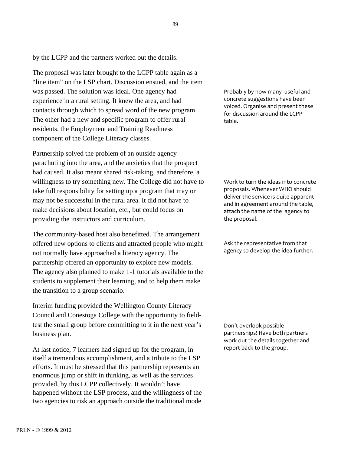by the LCPP and the partners worked out the details.

The proposal was later brought to the LCPP table again as a "line item" on the LSP chart. Discussion ensued, and the item was passed. The solution was ideal. One agency had experience in a rural setting. It knew the area, and had contacts through which to spread word of the new program. The other had a new and specific program to offer rural residents, the Employment and Training Readiness component of the College Literacy classes.

Partnership solved the problem of an outside agency parachuting into the area, and the anxieties that the prospect had caused. It also meant shared risk-taking, and therefore, a willingness to try something new. The College did not have to take full responsibility for setting up a program that may or may not be successful in the rural area. It did not have to make decisions about location, etc., but could focus on providing the instructors and curriculum.

The community-based host also benefitted. The arrangement offered new options to clients and attracted people who might not normally have approached a literacy agency. The partnership offered an opportunity to explore new models. The agency also planned to make 1-1 tutorials available to the students to supplement their learning, and to help them make the transition to a group scenario.

Interim funding provided the Wellington County Literacy Council and Conestoga College with the opportunity to fieldtest the small group before committing to it in the next year's business plan.

At last notice, 7 learners had signed up for the program, in itself a tremendous accomplishment, and a tribute to the LSP efforts. It must be stressed that this partnership represents an enormous jump or shift in thinking, as well as the services provided, by this LCPP collectively. It wouldn't have happened without the LSP process, and the willingness of the two agencies to risk an approach outside the traditional mode

Probably
by
now
many

useful
and concrete
suggestions
have
been voiced.
Organise
and
present
these for
discussion
around
the
LCPP table.

Work
to
turn
the
ideas
into
concrete proposals.
Whenever
WHO
should deliver the service is quite apparent and
in
agreement
around
the
table, attach
the
name
of
the

agency
to the
proposal.

Ask
the
representative
from
that agency
to
develop
the
idea
further.

Don't
overlook
possible partnerships!
Have
both
partners work
out
the
details
together
and report back to the group.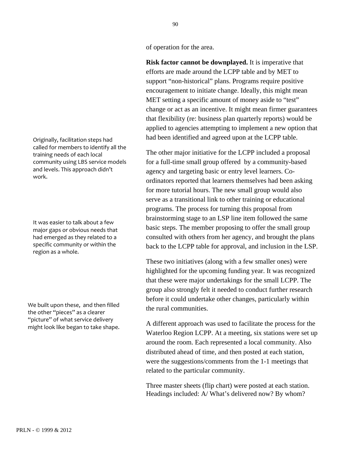of operation for the area.

**Risk factor cannot be downplayed.** It is imperative that efforts are made around the LCPP table and by MET to support "non-historical" plans. Programs require positive encouragement to initiate change. Ideally, this might mean MET setting a specific amount of money aside to "test" change or act as an incentive. It might mean firmer guarantees that flexibility (re: business plan quarterly reports) would be applied to agencies attempting to implement a new option that had been identified and agreed upon at the LCPP table.

The other major initiative for the LCPP included a proposal for a full-time small group offered by a community-based agency and targeting basic or entry level learners. Coordinators reported that learners themselves had been asking for more tutorial hours. The new small group would also serve as a transitional link to other training or educational programs. The process for turning this proposal from brainstorming stage to an LSP line item followed the same basic steps. The member proposing to offer the small group consulted with others from her agency, and brought the plans back to the LCPP table for approval, and inclusion in the LSP.

These two initiatives (along with a few smaller ones) were highlighted for the upcoming funding year. It was recognized that these were major undertakings for the small LCPP. The group also strongly felt it needed to conduct further research before it could undertake other changes, particularly within the rural communities.

A different approach was used to facilitate the process for the Waterloo Region LCPP. At a meeting, six stations were set up around the room. Each represented a local community. Also distributed ahead of time, and then posted at each station, were the suggestions/comments from the 1-1 meetings that related to the particular community.

Three master sheets (flip chart) were posted at each station. Headings included: A/ What's delivered now? By whom?

Originally,
facilitation
steps
had called
for
members
to
identify
all
the training
needs
of
each
local community
using
LBS
service
models and
levels.
This
approach
didn't work.

It
was
easier
to
talk
about
a
few major
gaps
or
obvious
needs
that had
emerged
as
they
related
to
a specific
community
or
within
the region
as
a
whole.

We
built
upon
these,

and
then
filled the
other
"pieces"
as
a
clearer "picture" of what service delivery might
look
like
began
to
take
shape.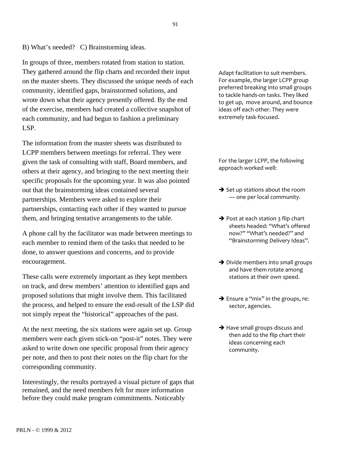B) What's needed? C) Brainstorming ideas.

In groups of three, members rotated from station to station. They gathered around the flip charts and recorded their input on the master sheets. They discussed the unique needs of each community, identified gaps, brainstormed solutions, and wrote down what their agency presently offered. By the end of the exercise, members had created a collective snapshot of each community, and had begun to fashion a preliminary LSP.

The information from the master sheets was distributed to LCPP members between meetings for referral. They were given the task of consulting with staff, Board members, and others at their agency, and bringing to the next meeting their specific proposals for the upcoming year. It was also pointed out that the brainstorming ideas contained several partnerships. Members were asked to explore their partnerships, contacting each other if they wanted to pursue them, and bringing tentative arrangements to the table.

A phone call by the facilitator was made between meetings to each member to remind them of the tasks that needed to be done, to answer questions and concerns, and to provide encouragement.

These calls were extremely important as they kept members on track, and drew members' attention to identified gaps and proposed solutions that might involve them. This facilitated the process, and helped to ensure the end-result of the LSP did not simply repeat the "historical" approaches of the past.

At the next meeting, the six stations were again set up. Group members were each given stick-on "post-it" notes. They were asked to write down one specific proposal from their agency per note, and then to post their notes on the flip chart for the corresponding community.

Interestingly, the results portrayed a visual picture of gaps that remained, and the need members felt for more information before they could make program commitments. Noticeably

Adapt
facilitation
to
suit
members. For
example,
the
larger
LCPP
group preferred
breaking
into
small
groups to
tackle
hands‐on
tasks.
They
liked to
get
up,

move
around,
and
bounce ideas
off
each
other.
They
were extremely
task‐focused.

For
the
larger
LCPP,
the
following approach
worked
well:

- $\rightarrow$  Set up stations about the room —
one
per
local
community.
- $\rightarrow$  Post at each station 3 flip chart sheets
headed:
"What's
offered now?"
"What's
needed?"
and "Brainstorming
Delivery
Ideas".
- → Divide members into small groups and
have
them
rotate
among stations
at
their
own
speed.
- → Ensure a "mix" in the groups, re: sector,
agencies.
- → Have small groups discuss and then add to the flip chart their ideas
concerning
each community.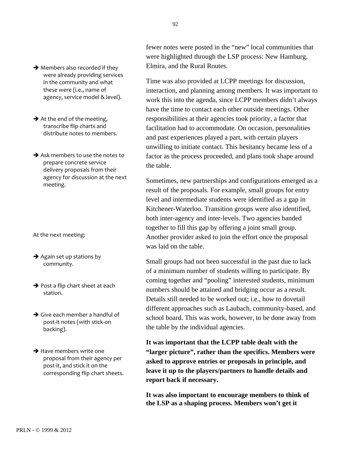92

 $\rightarrow$  Members also recorded if they were
already
providing
services in
the
community
and
what these
were
(i.e.,
name
of agency,
service
model
&
level).

 $\rightarrow$  At the end of the meeting, transcribe
flip
charts
and distribute
notes
to
members.

 $\rightarrow$  Ask members to use the notes to prepare
concrete
service delivery
proposals
from
their agency
for
discussion
at
the
next meeting.

At
the
next
meeting:

- $\rightarrow$  Again set up stations by community.
- $\rightarrow$  Post a flip chart sheet at each station.
- $\rightarrow$  Give each member a handful of post‐it
notes
(with
stick‐on backing).

 $\rightarrow$  Have members write one proposal
from
their
agency
per post‐it,
and
stick
it
on
the corresponding
flip
chart
sheets.

fewer notes were posted in the "new" local communities that were highlighted through the LSP process: New Hamburg, Elmira, and the Rural Routes.

Time was also provided at LCPP meetings for discussion, interaction, and planning among members. It was important to work this into the agenda, since LCPP members didn't always have the time to contact each other outside meetings. Other responsibilities at their agencies took priority, a factor that facilitation had to accommodate. On occasion, personalities and past experiences played a part, with certain players unwilling to initiate contact. This hesitancy became less of a factor as the process proceeded, and plans took shape around the table.

Sometimes, new partnerships and configurations emerged as a result of the proposals. For example, small groups for entry level and intermediate students were identified as a gap in Kitchener-Waterloo. Transition groups were also identified, both inter-agency and inter-levels. Two agencies banded together to fill this gap by offering a joint small group. Another provider asked to join the effort once the proposal was laid on the table.

Small groups had not been successful in the past due to lack of a minimum number of students willing to participate. By coming together and "pooling" interested students, minimum numbers should be attained and bridging occur as a result. Details still needed to be worked out; i.e., how to dovetail different approaches such as Laubach, community-based, and school board. This was work, however, to be done away from the table by the individual agencies.

**It was important that the LCPP table dealt with the "larger picture", rather than the specifics. Members were asked to approve entries or proposals in principle, and leave it up to the players/partners to handle details and report back if necessary.**

**It was also important to encourage members to think of the LSP as a shaping process. Members won't get it**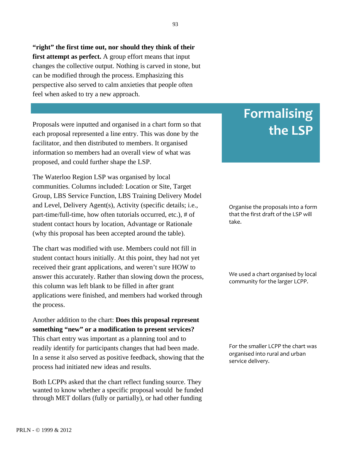**"right" the first time out, nor should they think of their first attempt as perfect.** A group effort means that input changes the collective output. Nothing is carved in stone, but can be modified through the process. Emphasizing this perspective also served to calm anxieties that people often feel when asked to try a new approach.

Proposals were inputted and organised in a chart form so that each proposal represented a line entry. This was done by the facilitator, and then distributed to members. It organised information so members had an overall view of what was proposed, and could further shape the LSP.

The Waterloo Region LSP was organised by local communities. Columns included: Location or Site, Target Group, LBS Service Function, LBS Training Delivery Model and Level, Delivery Agent(s), Activity (specific details; i.e., part-time/full-time, how often tutorials occurred, etc.), # of student contact hours by location, Advantage or Rationale (why this proposal has been accepted around the table).

The chart was modified with use. Members could not fill in student contact hours initially. At this point, they had not yet received their grant applications, and weren't sure HOW to answer this accurately. Rather than slowing down the process, this column was left blank to be filled in after grant applications were finished, and members had worked through the process.

Another addition to the chart: **Does this proposal represent something "new" or a modification to present services?** This chart entry was important as a planning tool and to readily identify for participants changes that had been made. In a sense it also served as positive feedback, showing that the process had initiated new ideas and results.

Both LCPPs asked that the chart reflect funding source. They wanted to know whether a specific proposal would be funded through MET dollars (fully or partially), or had other funding

# **Formalising the
LSP**

Organise
the
proposals
into
a
form that
the
first
draft
of
the
LSP
will take.

We used a chart organised by local community for the larger LCPP.

For the smaller LCPP the chart was organised
into
rural
and
urban service
delivery.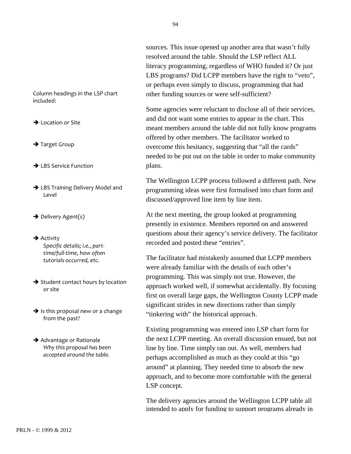sources. This issue opened up another area that wasn't fully resolved around the table. Should the LSP reflect ALL literacy programming, regardless of WHO funded it? Or just LBS programs? Did LCPP members have the right to "veto", or perhaps even simply to discuss, programming that had other funding sources or were self-sufficient?

Some agencies were reluctant to disclose all of their services, and did not want some entries to appear in the chart. This meant members around the table did not fully know programs offered by other members. The facilitator worked to overcome this hesitancy, suggesting that "all the cards" needed to be put out on the table in order to make community plans.

The Wellington LCPP process followed a different path. New programming ideas were first formalised into chart form and discussed/approved line item by line item.

At the next meeting, the group looked at programming presently in existence. Members reported on and answered questions about their agency's service delivery. The facilitator recorded and posted these "entries".

The facilitator had mistakenly assumed that LCPP members were already familiar with the details of each other's programming. This was simply not true. However, the approach worked well, if somewhat accidentally. By focusing first on overall large gaps, the Wellington County LCPP made significant strides in new directions rather than simply "tinkering with" the historical approach.

Existing programming was entered into LSP chart form for the next LCPP meeting. An overall discussion ensued, but not line by line. Time simply ran out. As well, members had perhaps accomplished as much as they could at this "go around" at planning. They needed time to absorb the new approach, and to become more comfortable with the general LSP concept.

The delivery agencies around the Wellington LCPP table all intended to apply for funding to support programs already in

Column
headings
in
the
LSP
chart included:

**→** Location or Site

- → Target Group
- **→ LBS Service Function**
- → LBS Training Delivery Model and Level
- $\rightarrow$  Delivery Agent(s)
- $\rightarrow$  Activity *Specific
details;
i.e.,
part‐ time/full‐time,
how
often tutorials
occurred,
etc.*
- $\rightarrow$  Student contact hours by location or
site
- $\rightarrow$  Is this proposal new or a change from
the
past?
- **→** Advantage or Rationale *Why
this
proposal
has
been accepted
around
the
table.*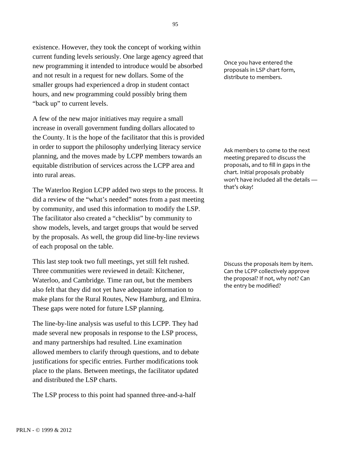existence. However, they took the concept of working within current funding levels seriously. One large agency agreed that new programming it intended to introduce would be absorbed and not result in a request for new dollars. Some of the smaller groups had experienced a drop in student contact hours, and new programming could possibly bring them "back up" to current levels.

A few of the new major initiatives may require a small increase in overall government funding dollars allocated to the County. It is the hope of the facilitator that this is provided in order to support the philosophy underlying literacy service planning, and the moves made by LCPP members towards an equitable distribution of services across the LCPP area and into rural areas.

The Waterloo Region LCPP added two steps to the process. It did a review of the "what's needed" notes from a past meeting by community, and used this information to modify the LSP. The facilitator also created a "checklist" by community to show models, levels, and target groups that would be served by the proposals. As well, the group did line-by-line reviews of each proposal on the table.

This last step took two full meetings, yet still felt rushed. Three communities were reviewed in detail: Kitchener, Waterloo, and Cambridge. Time ran out, but the members also felt that they did not yet have adequate information to make plans for the Rural Routes, New Hamburg, and Elmira. These gaps were noted for future LSP planning.

The line-by-line analysis was useful to this LCPP. They had made several new proposals in response to the LSP process, and many partnerships had resulted. Line examination allowed members to clarify through questions, and to debate justifications for specific entries. Further modifications took place to the plans. Between meetings, the facilitator updated and distributed the LSP charts.

The LSP process to this point had spanned three-and-a-half

Once
you
have
entered
the proposals
in
LSP
chart
form, distribute
to
members.

Ask
members
to
come
to
the
next meeting
prepared
to
discuss
the proposals,
and
to
fill
in
gaps
in
the chart.
Initial
proposals
probably won't have included all the details that's
okay!

Discuss
the
proposals
item
by
item. Can
the
LCPP
collectively
approve the proposal? If not, why not? Can the
entry
be
modified?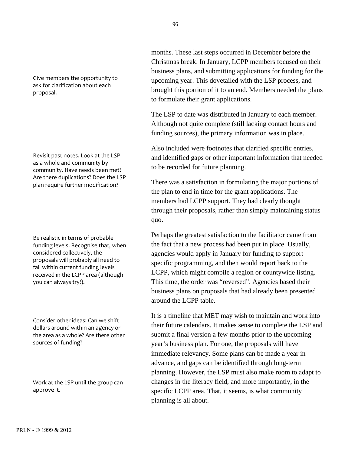Give
members
the
opportunity
to ask
for
clarification
about
each proposal.

Revisit
past
notes.
Look
at
the
LSP as
a
whole
and
community
by community.
Have
needs
been
met? Are
there
duplications?
Does
the
LSP plan
require
further
modification?

Be
realistic
in
terms
of
probable funding
levels.
Recognise
that,
when considered
collectively,
the proposals
will
probably
all
need
to fall
within
current
funding
levels received
in
the
LCPP
area
(although you
can
always
try!).

Consider
other
ideas:
Can
we
shift dollars
around
within
an
agency
or the
area
as
a
whole?
Are
there
other sources
of
funding?

Work at the LSP until the group can approve
it.

months. These last steps occurred in December before the Christmas break. In January, LCPP members focused on their business plans, and submitting applications for funding for the upcoming year. This dovetailed with the LSP process, and brought this portion of it to an end. Members needed the plans to formulate their grant applications.

The LSP to date was distributed in January to each member. Although not quite complete (still lacking contact hours and funding sources), the primary information was in place.

Also included were footnotes that clarified specific entries, and identified gaps or other important information that needed to be recorded for future planning.

There was a satisfaction in formulating the major portions of the plan to end in time for the grant applications. The members had LCPP support. They had clearly thought through their proposals, rather than simply maintaining status quo.

Perhaps the greatest satisfaction to the facilitator came from the fact that a new process had been put in place. Usually, agencies would apply in January for funding to support specific programming, and then would report back to the LCPP, which might compile a region or countywide listing. This time, the order was "reversed". Agencies based their business plans on proposals that had already been presented around the LCPP table.

It is a timeline that MET may wish to maintain and work into their future calendars. It makes sense to complete the LSP and submit a final version a few months prior to the upcoming year's business plan. For one, the proposals will have immediate relevancy. Some plans can be made a year in advance, and gaps can be identified through long-term planning. However, the LSP must also make room to adapt to changes in the literacy field, and more importantly, in the specific LCPP area. That, it seems, is what community planning is all about.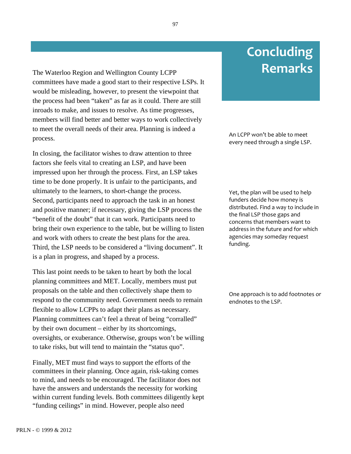The Waterloo Region and Wellington County LCPP **Remarks** committees have made a good start to their respective LSPs. It would be misleading, however, to present the viewpoint that the process had been "taken" as far as it could. There are still inroads to make, and issues to resolve. As time progresses, members will find better and better ways to work collectively to meet the overall needs of their area. Planning is indeed a process.

In closing, the facilitator wishes to draw attention to three factors she feels vital to creating an LSP, and have been impressed upon her through the process. First, an LSP takes time to be done properly. It is unfair to the participants, and ultimately to the learners, to short-change the process. Second, participants need to approach the task in an honest and positive manner; if necessary, giving the LSP process the "benefit of the doubt" that it can work. Participants need to bring their own experience to the table, but be willing to listen and work with others to create the best plans for the area. Third, the LSP needs to be considered a "living document". It is a plan in progress, and shaped by a process.

This last point needs to be taken to heart by both the local planning committees and MET. Locally, members must put proposals on the table and then collectively shape them to respond to the community need. Government needs to remain flexible to allow LCPPs to adapt their plans as necessary. Planning committees can't feel a threat of being "corralled" by their own document – either by its shortcomings, oversights, or exuberance. Otherwise, groups won't be willing to take risks, but will tend to maintain the "status quo".

Finally, MET must find ways to support the efforts of the committees in their planning. Once again, risk-taking comes to mind, and needs to be encouraged. The facilitator does not have the answers and understands the necessity for working within current funding levels. Both committees diligently kept "funding ceilings" in mind. However, people also need

#### An
LCPP
won't
be
able
to
meet every
need
through
a
single
LSP.

**Concluding**

Yet, the plan will be used to help funders
decide
how
money
is distributed.
Find
a
way
to
include
in the
final
LSP
those
gaps
and concerns
that
members
want
to address
in
the
future
and
for
which agencies
may
someday
request funding.

One approach is to add footnotes or endnotes to the LSP.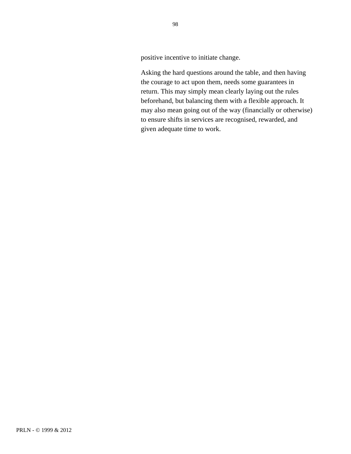positive incentive to initiate change.

Asking the hard questions around the table, and then having the courage to act upon them, needs some guarantees in return. This may simply mean clearly laying out the rules beforehand, but balancing them with a flexible approach. It may also mean going out of the way (financially or otherwise) to ensure shifts in services are recognised, rewarded, and given adequate time to work.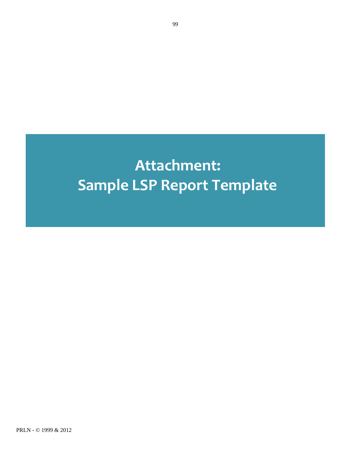# **Attachment: Sample
LSP
Report
Template**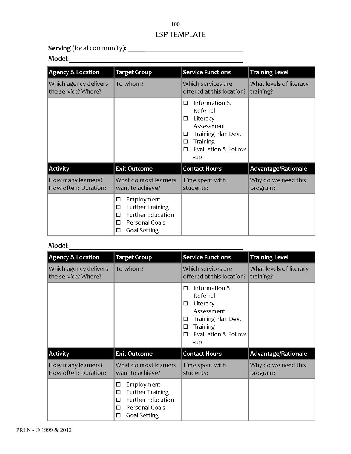#### 100LSP TEMPLATE

### 

| Agency & Location                            | <b>Target Group</b>                                                                                                          | <b>Service Functions</b>                                                                                                                                      | <b>Training Level</b>                |
|----------------------------------------------|------------------------------------------------------------------------------------------------------------------------------|---------------------------------------------------------------------------------------------------------------------------------------------------------------|--------------------------------------|
| Which agency delivers<br>the service? Where? | To whom?                                                                                                                     | Which services are<br>offered at this location?                                                                                                               | What levels of literacy<br>training? |
|                                              |                                                                                                                              | Information &<br>□<br>Referral<br>Literacy<br>□<br><b>Assessment</b><br>Training Plan Dev.<br>□<br><b>Training</b><br>□<br>Evaluation & Follow<br>П<br>$-$ up |                                      |
| Activity                                     | <b>Exit Outcome</b>                                                                                                          | <b>Contact Hours</b>                                                                                                                                          | Advantage/Rationale                  |
| How many learners?<br>How often? Duration?   | What do most learners<br>want to achieve?                                                                                    | Time spent with<br>students?                                                                                                                                  | Why do we need this<br>program?      |
|                                              | Employment<br>□<br><b>Further Training</b><br>□<br><b>Further Education</b><br>п<br>Personal Goals<br>п<br>Goal Setting<br>□ |                                                                                                                                                               |                                      |
| Model:                                       |                                                                                                                              |                                                                                                                                                               |                                      |

| <b>Agency &amp; Location</b>                 | <b>Target Group</b>                                                                                                          | <b>Service Functions</b>                                                                                                                            | <b>Training Level</b>                |
|----------------------------------------------|------------------------------------------------------------------------------------------------------------------------------|-----------------------------------------------------------------------------------------------------------------------------------------------------|--------------------------------------|
| Which agency delivers<br>the service? Where? | To whom?                                                                                                                     | Which services are<br>offered at this location?                                                                                                     | What levels of literacy<br>training? |
|                                              |                                                                                                                              | Information &<br>П<br>Referral<br>Literacy<br>□<br>Assessment<br>Training Plan Dev.<br>□<br><b>Training</b><br>□<br>Evaluation & Follow<br>□<br>-up |                                      |
| Activity                                     | <b>Exit Outcome</b>                                                                                                          | <b>Contact Hours</b>                                                                                                                                | Advantage/Rationale                  |
| How many learners?<br>How often? Duration?   | What do most learners<br>want to achieve?                                                                                    | Time spent with<br>students?                                                                                                                        | Why do we need this<br>program?      |
|                                              | Employment<br>□<br><b>Further Training</b><br>□<br><b>Further Education</b><br>П<br>Personal Goals<br>□<br>Goal Setting<br>□ |                                                                                                                                                     |                                      |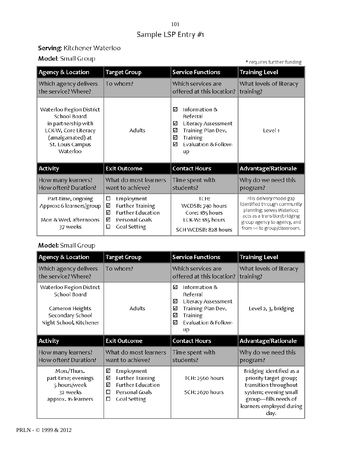### 101Sample LSP Entry #1

#### Serving: Kitchener Waterloo

Model: Small Group

\* requires further funding

| Agency & Location                                                                                                                           | <b>Target Group</b>                                                                                                          | <b>Service Functions</b>                                                                                                                                | <b>Training Level</b>                                                                                                                                                                  |
|---------------------------------------------------------------------------------------------------------------------------------------------|------------------------------------------------------------------------------------------------------------------------------|---------------------------------------------------------------------------------------------------------------------------------------------------------|----------------------------------------------------------------------------------------------------------------------------------------------------------------------------------------|
| Which agency delivers<br>the service? Where?                                                                                                | To whom?                                                                                                                     | Which services are<br>offered at this location?                                                                                                         | What levels of literacy<br>training?                                                                                                                                                   |
| Waterloo Region District<br>School Board<br>in partnership with<br>LCK-W, Core Literacy<br>(amalgamated) at<br>St. Louis Campus<br>Waterloo | <b>Adults</b>                                                                                                                | Information &<br>☑<br>Referral<br>☑<br>Literacy Assessment<br>Training Plan Dev.<br>⊻<br>☑<br><b>Training</b><br>Evaluation & Follow-<br>⊠<br><b>up</b> | Level 1                                                                                                                                                                                |
| <b>Activity</b>                                                                                                                             | <b>Exit Outcome</b>                                                                                                          | <b>Contact Hours</b>                                                                                                                                    | Advantage/Rationale                                                                                                                                                                    |
| How many learners?<br>How often? Duration?                                                                                                  | What do most learners<br>want to achieve?                                                                                    | Time spent with<br>students?                                                                                                                            | Why do we need this<br>program?                                                                                                                                                        |
| Part-time, ongoing<br>Approx: 6 learners/group<br>Mon & Wed. afternoons<br>37 weeks                                                         | □<br>Employment<br><b>Further Training</b><br>☑<br><b>Further Education</b><br>☑<br>☑<br>Personal Goals<br>□<br>Goal Setting | TCH:<br>WCDSB: 740 hours<br>Core: 185 hours<br>LCK-W: 185 hours<br>SCH WCDSB: 828 hours                                                                 | Fills delivery model gap<br>identified through community<br>planning; serves Waterloo;<br>acts as a transition/bridging<br>group agency to agency, and<br>from 1-1 to group/classroom. |

#### Model: Small Group

| Agency & Location                                                                                          | <b>Target Group</b>                       | <b>Service Functions</b>                                                                                                                         | <b>Training Level</b>                |
|------------------------------------------------------------------------------------------------------------|-------------------------------------------|--------------------------------------------------------------------------------------------------------------------------------------------------|--------------------------------------|
| Which agency delivers<br>the service? Where?                                                               | To whom?                                  | Which services are<br>offered at this location?                                                                                                  | What levels of literacy<br>training? |
| Waterloo Region District<br>School Board<br>Cameron Heights<br>Secondary School<br>Night School, Kitchener | <b>Adults</b>                             | ☑<br>Information &<br>Referral<br>Literacy Assessment<br>☑<br>Training Plan Dev.<br>☑<br>☑<br><b>Training</b><br>Evaluation & Follow-<br>☑<br>up | Level 2, 3, bridging                 |
|                                                                                                            |                                           |                                                                                                                                                  |                                      |
| Activity                                                                                                   | <b>Exit Outcome</b>                       | <b>Contact Hours</b>                                                                                                                             | Advantage/Rationale                  |
| How many learners?<br>How often? Duration?                                                                 | What do most learners<br>want to achieve? | Time spent with<br>students?                                                                                                                     | Why do we need this<br>program?      |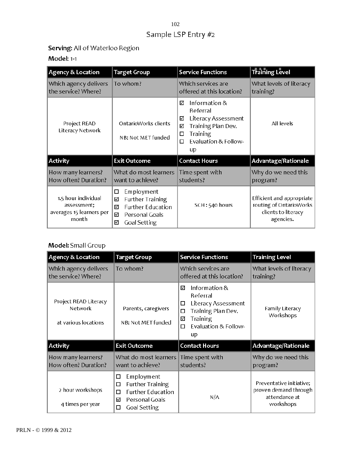### 102Sample LSP Entry #2

### Serving: All of Waterloo Region

#### Model: 1-1

| Agency & Location                                                       | <b>Target Group</b>                                                                                                          | <b>Service Functions</b>                                                                                                                         | <b>Training Level</b>                                                                    |
|-------------------------------------------------------------------------|------------------------------------------------------------------------------------------------------------------------------|--------------------------------------------------------------------------------------------------------------------------------------------------|------------------------------------------------------------------------------------------|
| Which agency delivers<br>the service? Where?                            | To whom?                                                                                                                     | Which services are<br>offered at this location?                                                                                                  | What levels of literacy<br>training?                                                     |
| Project READ<br>Literacy Network                                        | OntarioWorks clients<br>NB: Not MET funded                                                                                   | Information &<br>☑<br>Referral<br>Literacy Assessment<br>☑<br>Training Plan Dev.<br>√<br><b>Training</b><br>□<br>Evaluation & Follow-<br>□<br>up | All levels                                                                               |
| Activity                                                                | <b>Exit Outcome</b>                                                                                                          | <b>Contact Hours</b>                                                                                                                             | Advantage/Rationale                                                                      |
| How many learners?<br>How often? Duration?                              | What do most learners<br>want to achieve?                                                                                    | Time spent with<br>students?                                                                                                                     | Why do we need this<br>program?                                                          |
| 1.5 hour individual<br>assessment;<br>averages 15 learners per<br>month | Employment<br>□<br><b>Further Training</b><br>☑<br><b>Further Education</b><br>☑<br>Personal Goals<br>м<br>Goal Setting<br>☑ | SCH: 540 hours                                                                                                                                   | Efficient and appropriate<br>routing of OntarioWorks<br>clients to literacy<br>agencies. |

#### Model: Small Group

| Agency & Location                                        | <b>Target Group</b>                                                                                                                 | <b>Service Functions</b>                                                                                                                         | <b>Training Level</b>                                                           |
|----------------------------------------------------------|-------------------------------------------------------------------------------------------------------------------------------------|--------------------------------------------------------------------------------------------------------------------------------------------------|---------------------------------------------------------------------------------|
| Which agency delivers<br>the service? Where?             | To whom?                                                                                                                            | Which services are<br>offered at this location?                                                                                                  | What levels of literacy<br>training?                                            |
| Project READ Literacy<br>Network<br>at various locations | Parents, caregivers<br>NB: Not MET funded                                                                                           | Information &<br>☑<br>Referral<br>Literacy Assessment<br>□<br>Training Plan Dev.<br>□<br><b>Training</b><br>☑<br>Evaluation & Follow-<br>□<br>uр | Family Literacy<br>Workshops                                                    |
| Activity                                                 | <b>Exit Outcome</b>                                                                                                                 | <b>Contact Hours</b>                                                                                                                             | Advantage/Rationale                                                             |
| How many learners?<br>How often? Duration?               | What do most learners<br>want to achieve?                                                                                           | Time spent with<br>students?                                                                                                                     | Why do we need this<br>program?                                                 |
| 2 hour workshops<br>4 times per year                     | Employment<br>◻<br><b>Further Training</b><br>□<br><b>Further Education</b><br>□<br>Personal Goals<br>☑<br><b>Goal Setting</b><br>□ | N/A                                                                                                                                              | Preventative initiative;<br>proven demand through<br>attendance at<br>workshops |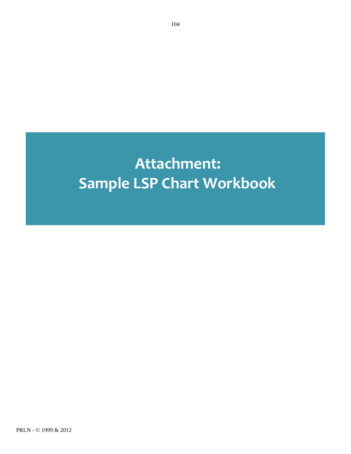# **Attachment: Sample
LSP Chart
Workbook**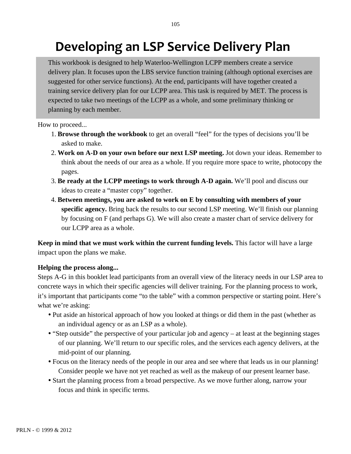# Developing an LSP Service Delivery Plan

This workbook is designed to help Waterloo-Wellington LCPP members create a service delivery plan. It focuses upon the LBS service function training (although optional exercises are suggested for other service functions). At the end, participants will have together created a training service delivery plan for our LCPP area. This task is required by MET. The process is expected to take two meetings of the LCPP as a whole, and some preliminary thinking or planning by each member.

How to proceed...

- 1. **Browse through the workbook** to get an overall "feel" for the types of decisions you'll be asked to make.
- 2. **Work on A-D on your own before our next LSP meeting.** Jot down your ideas. Remember to think about the needs of our area as a whole. If you require more space to write, photocopy the pages.
- 3. **Be ready at the LCPP meetings to work through A-D again.** We'll pool and discuss our ideas to create a "master copy" together.
- 4. **Between meetings, you are asked to work on E by consulting with members of your specific agency.** Bring back the results to our second LSP meeting. We'll finish our planning by focusing on F (and perhaps G). We will also create a master chart of service delivery for our LCPP area as a whole.

**Keep in mind that we must work within the current funding levels.** This factor will have a large impact upon the plans we make.

#### **Helping the process along...**

Steps A-G in this booklet lead participants from an overall view of the literacy needs in our LSP area to concrete ways in which their specific agencies will deliver training. For the planning process to work, it's important that participants come "to the table" with a common perspective or starting point. Here's what we're asking:

- Put aside an historical approach of how you looked at things or did them in the past (whether as an individual agency or as an LSP as a whole).
- "Step outside" the perspective of your particular job and agency at least at the beginning stages of our planning. We'll return to our specific roles, and the services each agency delivers, at the mid-point of our planning.
- Focus on the literacy needs of the people in our area and see where that leads us in our planning! Consider people we have not yet reached as well as the makeup of our present learner base.
- Start the planning process from a broad perspective. As we move further along, narrow your focus and think in specific terms.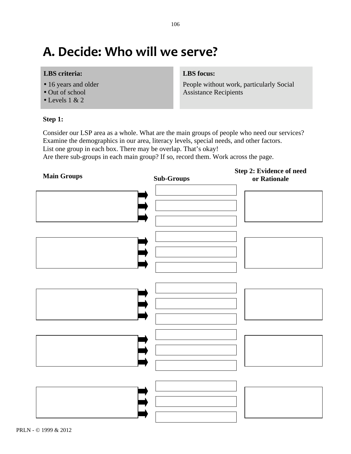## **A.
Decide: Who
will
we
serve?**

#### **LBS criteria:**

- 16 years and older
- Out of school
- $\bullet$  Levels 1 & 2

#### **Step 1:**

#### **LBS focus:**

People without work, particularly Social Assistance Recipients

Consider our LSP area as a whole. What are the main groups of people who need our services? Examine the demographics in our area, literacy levels, special needs, and other factors. List one group in each box. There may be overlap. That's okay!

Are there sub-groups in each main group? If so, record them. Work across the page.

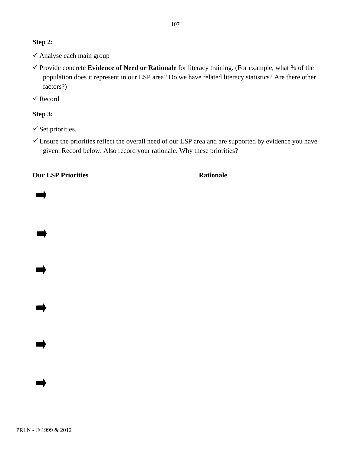#### **Step 2:**

- Analyse each main group
- Provide concrete **Evidence of Need or Rationale** for literacy training. (For example, what % of the population does it represent in our LSP area? Do we have related literacy statistics? Are there other factors?)

 $\checkmark$  Record

#### **Step 3:**

- $\checkmark$  Set priorities.
- Ensure the priorities reflect the overall need of our LSP area and are supported by evidence you have given. Record below. Also record your rationale. Why these priorities?

**Our LSP Priorities Rationale** 

PRLN - © 1999 & 2012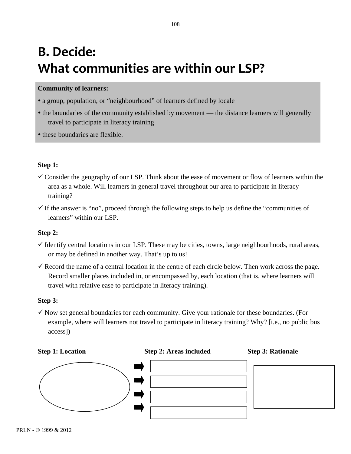# **B.
Decide:** What communities are within our LSP?

#### **Community of learners:**

- a group, population, or "neighbourhood" of learners defined by locale
- the boundaries of the community established by movement the distance learners will generally travel to participate in literacy training
- these boundaries are flexible.

#### **Step 1:**

- $\checkmark$  Consider the geography of our LSP. Think about the ease of movement or flow of learners within the area as a whole. Will learners in general travel throughout our area to participate in literacy training?
- $\checkmark$  If the answer is "no", proceed through the following steps to help us define the "communities of learners" within our LSP.

#### **Step 2:**

- $\checkmark$  Identify central locations in our LSP. These may be cities, towns, large neighbourhoods, rural areas, or may be defined in another way. That's up to us!
- $\checkmark$  Record the name of a central location in the centre of each circle below. Then work across the page. Record smaller places included in, or encompassed by, each location (that is, where learners will travel with relative ease to participate in literacy training).

#### **Step 3:**

 $\checkmark$  Now set general boundaries for each community. Give your rationale for these boundaries. (For example, where will learners not travel to participate in literacy training? Why? [i.e., no public bus access])

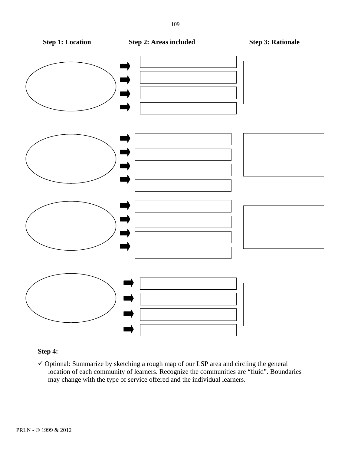

#### **Step 4:**

 $\checkmark$  Optional: Summarize by sketching a rough map of our LSP area and circling the general location of each community of learners. Recognize the communities are "fluid". Boundaries may change with the type of service offered and the individual learners.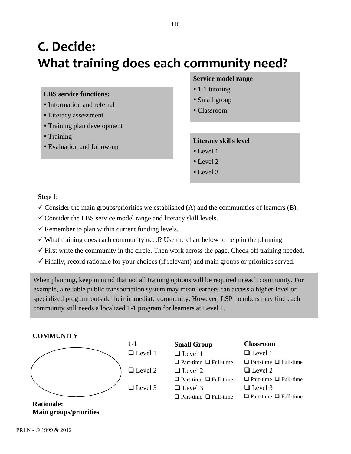# **C.
Decide: What
training
does
each
community
need?**

#### **LBS service functions:**

- Information and referral
- Literacy assessment
- Training plan development
- Training
- Evaluation and follow-up

#### **Service model range**

- 1-1 tutoring
- Small group
- Classroom

#### **Literacy skills level**

- Level 1
- $\bullet$  Level 2
- $\bullet$  Level 3

#### **Step 1:**

- $\checkmark$  Consider the main groups/priorities we established (A) and the communities of learners (B).
- $\checkmark$  Consider the LBS service model range and literacy skill levels.
- $\checkmark$  Remember to plan within current funding levels.
- $\checkmark$  What training does each community need? Use the chart below to help in the planning
- $\checkmark$  First write the community in the circle. Then work across the page. Check off training needed.
- $\checkmark$  Finally, record rationale for your choices (if relevant) and main groups or priorities served.

When planning, keep in mind that not all training options will be required in each community. For example, a reliable public transportation system may mean learners can access a higher-level or specialized program outside their immediate community. However, LSP members may find each community still needs a localized 1-1 program for learners at Level 1.

#### **COMMUNITY**



 $\Box$  Level 1  $\Box$  Level 2 **Small Group**

□ Level 1  $\Box$  Part-time  $\Box$  Full-time  $\Box$  Level 2  $\Box$  Part-time  $\Box$  Full-time

#### $\Box$  Level 3

 $\Box$  Part-time  $\Box$  Full-time

#### **Classroom**  $\Box$  Level 1

 $\Box$  Part-time  $\Box$  Full-time  $\Box$  Level 2  $\Box$  Part-time  $\Box$  Full-time  $\Box$  Level 3  $\Box$  Part-time  $\Box$  Full-time

**Rationale: Main groups/priorities**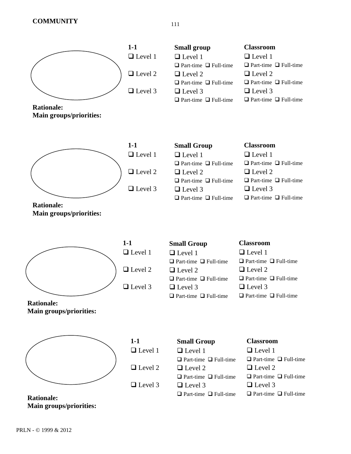

**Small group** ■ Level 1  $\Box$  Part-time  $\Box$  Full-time □ Level 2  $\Box$  Part-time  $\Box$  Full-time □ Level 3  $\Box$  Part-time  $\Box$  Full-time

#### **Classroom**

**□** Level 1  $\Box$  Part-time  $\Box$  Full-time  $\Box$  Level 2  $\Box$  Part-time  $\Box$  Full-time  $\Box$  Level 3  $\Box$  Part-time  $\Box$  Full-time

**Rationale: Main groups/priorities:**



| l-1                     |  |
|-------------------------|--|
| $\Box$ Level 1          |  |
| $\Box$ Level 2          |  |
| $\Box$ I assal $\Omega$ |  |

| <b>Small Group</b>                | <b>Classroom</b>                  |
|-----------------------------------|-----------------------------------|
| $\Box$ Level 1                    | $\Box$ Level 1                    |
| $\Box$ Part-time $\Box$ Full-time | $\Box$ Part-time $\Box$ Full-time |
| $\Box$ Level 2                    | $\Box$ Level 2                    |
| $\Box$ Part-time $\Box$ Full-time | $\Box$ Part-time $\Box$ Full-time |
| $\Box$ Level 3                    | $\Box$ Level 3                    |
| $\Box$ Part-time $\Box$ Full-time | $\Box$ Part-time $\Box$ Full-time |

**Rationale: Main groups/priorities:**



□ Level 1 □ Level 2 □ Level 3

| <b>Small Group</b>                | <b>Classroom</b> |
|-----------------------------------|------------------|
| $\Box$ Level 1                    | $\Box$ Level 1   |
| $\Box$ Part-time $\Box$ Full-time | $\Box$ Part-time |
| $\Box$ Level 2                    | $\Box$ Level 2   |
| $\Box$ Part-time $\Box$ Full-time | $\Box$ Part-time |
| $\Box$ Level 3                    | $\Box$ Level 3   |
| $\Box$ Part-time $\Box$ Full-time | $\Box$ Part-time |

| :1 1                | $\Box$ Level 1                    |
|---------------------|-----------------------------------|
| me $\Box$ Full-time | $\Box$ Part-time $\Box$ Full-time |
| $\cdot$ 12          | $\Box$ Level 2                    |
| me $\Box$ Full-time | $\Box$ Part-time $\Box$ Full-time |
| 13                  | $\Box$ Level 3                    |
| me $\Box$ Full-time | $\Box$ Part-time $\Box$ Full-time |

**Rationale: Main groups/priorities:**



**Rationale: Main groups/priorities:**

| $1-1$          | <b>Small Group</b>                | <b>Classroom</b>                  |
|----------------|-----------------------------------|-----------------------------------|
| $\Box$ Level 1 | $\Box$ Level 1                    | $\Box$ Level 1                    |
|                | $\Box$ Part-time $\Box$ Full-time | $\Box$ Part-time $\Box$ Full-time |
| $\Box$ Level 2 | $\Box$ Level 2                    | $\Box$ Level 2                    |
|                | $\Box$ Part-time $\Box$ Full-time | $\Box$ Part-time $\Box$ Full-time |
| $\Box$ Level 3 | $\Box$ Level 3                    | $\Box$ Level 3                    |
|                | $\Box$ Part-time $\Box$ Full-time | $\Box$ Part-time $\Box$ Full-time |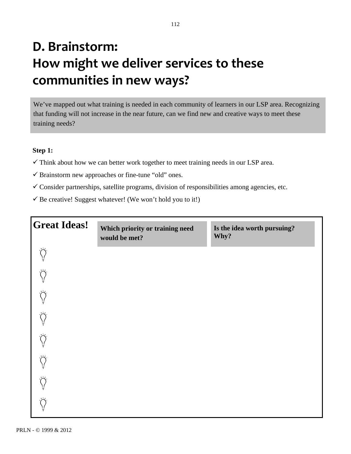# **D.
Brainstorm: How
might
we
deliver
services
to
these communities
in
new
ways?**

We've mapped out what training is needed in each community of learners in our LSP area. Recognizing that funding will not increase in the near future, can we find new and creative ways to meet these training needs?

#### **Step 1:**

- $\checkmark$  Think about how we can better work together to meet training needs in our LSP area.
- $\checkmark$  Brainstorm new approaches or fine-tune "old" ones.
- $\checkmark$  Consider partnerships, satellite programs, division of responsibilities among agencies, etc.
- $\checkmark$  Be creative! Suggest whatever! (We won't hold you to it!)

| <b>Great Ideas!</b>              | Which priority or training need<br>would be met? | Is the idea worth pursuing?<br>Why? |
|----------------------------------|--------------------------------------------------|-------------------------------------|
| $\sum_{i=1}^n$                   |                                                  |                                     |
| $\bigotimes_{i=1}^n$             |                                                  |                                     |
| $\bigotimes_{i=1}^n$             |                                                  |                                     |
| $\bigwedge^\bullet_{\mathbb{I}}$ |                                                  |                                     |
| $\bigotimes_{i=1}^n$             |                                                  |                                     |
| $\bigwedge_{i=1}^{\frac{n}{2}}$  |                                                  |                                     |
| $\bigotimes_{i=1}^n$             |                                                  |                                     |
| $\tilde{O}$                      |                                                  |                                     |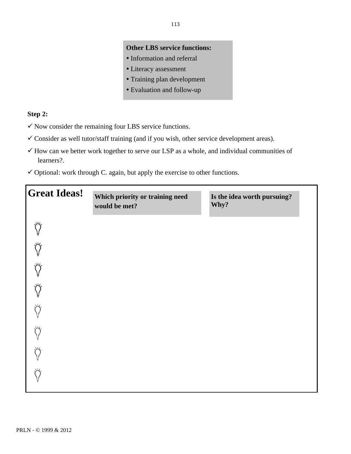#### **Other LBS service functions:**

- Information and referral
- Literacy assessment
- Training plan development
- Evaluation and follow-up

#### **Step 2:**

- $\checkmark$  Now consider the remaining four LBS service functions.
- Consider as well tutor/staff training (and if you wish, other service development areas).
- $\checkmark$  How can we better work together to serve our LSP as a whole, and individual communities of learners?.
- $\checkmark$  Optional: work through C. again, but apply the exercise to other functions.

| <b>Great Ideas!</b>                                  | Which priority or training need<br>would be met? | Is the idea worth pursuing?<br>Why? |
|------------------------------------------------------|--------------------------------------------------|-------------------------------------|
| ¥                                                    |                                                  |                                     |
| $\bigotimes_{i=1}^n \mathbb{Z}_p$                    |                                                  |                                     |
| $\bigotimes_{i=1}^n \bigotimes_{i=1}^n \mathbb{I}_i$ |                                                  |                                     |
| $\bigotimes_{i=1}^n \mathcal{P}_i$                   |                                                  |                                     |
| $\bigcirc$<br>¥                                      |                                                  |                                     |
| $\bigotimes_{i=1}^n \mathcal{L}_i$                   |                                                  |                                     |
| $\bigotimes_{i=1}^n \mathcal{L}_i$                   |                                                  |                                     |
| $\bigcirc$                                           |                                                  |                                     |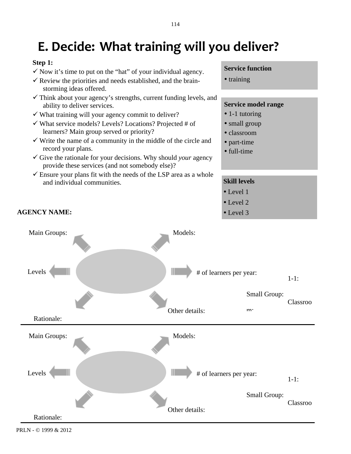# **E.
Decide: What
training
will
you
deliver?**

#### **Step 1:**

- $\checkmark$  Now it's time to put on the "hat" of your individual agency.
- $\checkmark$  Review the priorities and needs established, and the brainstorming ideas offered.
- $\checkmark$  Think about your agency's strengths, current funding levels, and ability to deliver services.
- $\checkmark$  What training will your agency commit to deliver?
- $\checkmark$  What service models? Levels? Locations? Projected # of learners? Main group served or priority?
- $\checkmark$  Write the name of a community in the middle of the circle and record your plans.
- $\checkmark$  Give the rationale for your decisions. Why should *your* agency provide these services (and not somebody else)?
- $\checkmark$  Ensure your plans fit with the needs of the LSP area as a whole and individual communities.

#### **Service function**

• training

#### **Service model range**

- 1-1 tutoring
- small group
- classroom
- part-time
- full-time

#### **Skill levels**

- Level 1
- Level 2
- 



PRLN - © 1999 & 2012

#### **AGENCY NAME:**  $\bullet$  Level 3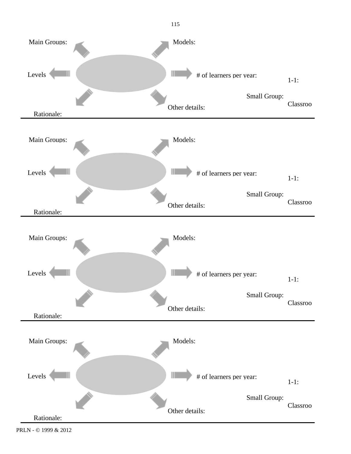

115

PRLN - © 1999 & 2012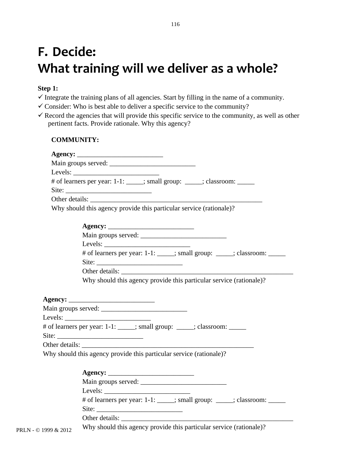# **F.
Decide:** What training will we deliver as a whole?

#### **Step 1:**

- $\checkmark$  Integrate the training plans of all agencies. Start by filling in the name of a community.
- $\checkmark$  Consider: Who is best able to deliver a specific service to the community?
- $\checkmark$  Record the agencies that will provide this specific service to the community, as well as other pertinent facts. Provide rationale. Why this agency?

#### **COMMUNITY:**

|                      | Main groups served:                                                                                                                                                                                                                                                                                                                                                                                          |
|----------------------|--------------------------------------------------------------------------------------------------------------------------------------------------------------------------------------------------------------------------------------------------------------------------------------------------------------------------------------------------------------------------------------------------------------|
|                      | Levels: $\frac{1}{\sqrt{1-\frac{1}{2}}\sqrt{1-\frac{1}{2}}\sqrt{1-\frac{1}{2}}\sqrt{1-\frac{1}{2}}\sqrt{1-\frac{1}{2}}\sqrt{1-\frac{1}{2}}\sqrt{1-\frac{1}{2}}\sqrt{1-\frac{1}{2}}\sqrt{1-\frac{1}{2}}\sqrt{1-\frac{1}{2}}\sqrt{1-\frac{1}{2}}\sqrt{1-\frac{1}{2}}\sqrt{1-\frac{1}{2}}\sqrt{1-\frac{1}{2}}\sqrt{1-\frac{1}{2}}\sqrt{1-\frac{1}{2}}\sqrt{1-\frac{1}{2}}\sqrt{1-\frac{1}{2}}\sqrt{1-\frac{1}{$ |
|                      | # of learners per year: 1-1: _____; small group: _____; classroom: _____                                                                                                                                                                                                                                                                                                                                     |
|                      |                                                                                                                                                                                                                                                                                                                                                                                                              |
|                      |                                                                                                                                                                                                                                                                                                                                                                                                              |
|                      | Why should this agency provide this particular service (rationale)?                                                                                                                                                                                                                                                                                                                                          |
|                      |                                                                                                                                                                                                                                                                                                                                                                                                              |
|                      |                                                                                                                                                                                                                                                                                                                                                                                                              |
|                      |                                                                                                                                                                                                                                                                                                                                                                                                              |
|                      | # of learners per year: 1-1: ____; small group: ____; classroom: _____                                                                                                                                                                                                                                                                                                                                       |
|                      |                                                                                                                                                                                                                                                                                                                                                                                                              |
|                      | Why should this agency provide this particular service (rationale)?                                                                                                                                                                                                                                                                                                                                          |
|                      |                                                                                                                                                                                                                                                                                                                                                                                                              |
|                      |                                                                                                                                                                                                                                                                                                                                                                                                              |
|                      | # of learners per year: 1-1: ____; small group: ____; classroom: _____                                                                                                                                                                                                                                                                                                                                       |
|                      |                                                                                                                                                                                                                                                                                                                                                                                                              |
|                      |                                                                                                                                                                                                                                                                                                                                                                                                              |
|                      | Why should this agency provide this particular service (rationale)?                                                                                                                                                                                                                                                                                                                                          |
|                      |                                                                                                                                                                                                                                                                                                                                                                                                              |
|                      |                                                                                                                                                                                                                                                                                                                                                                                                              |
|                      | Levels: $\frac{1}{\sqrt{1-\frac{1}{2}} \cdot \frac{1}{2}}$                                                                                                                                                                                                                                                                                                                                                   |
|                      | # of learners per year: 1-1: ____; small group: ____; classroom: _____                                                                                                                                                                                                                                                                                                                                       |
|                      |                                                                                                                                                                                                                                                                                                                                                                                                              |
|                      |                                                                                                                                                                                                                                                                                                                                                                                                              |
| PRLN - © 1999 & 2012 | Why should this agency provide this particular service (rationale)?                                                                                                                                                                                                                                                                                                                                          |
|                      |                                                                                                                                                                                                                                                                                                                                                                                                              |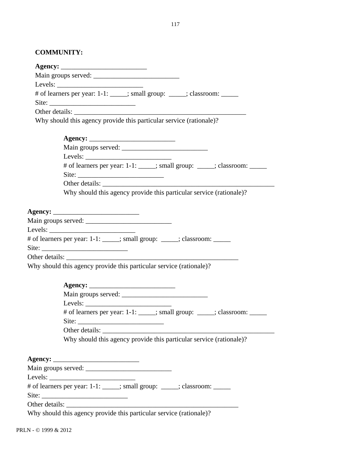#### **COMMUNITY:**

| # of learners per year: 1-1: _____; small group: _____; classroom: ______ |
|---------------------------------------------------------------------------|
|                                                                           |
| Other details:                                                            |
| Why should this agency provide this particular service (rationale)?       |
|                                                                           |
|                                                                           |
|                                                                           |
|                                                                           |
| # of learners per year: 1-1: ____; small group: ____; classroom: _____    |
|                                                                           |
| Other details:                                                            |
| Why should this agency provide this particular service (rationale)?       |
|                                                                           |
|                                                                           |
|                                                                           |
| # of learners per year: 1-1: _____; small group: _____; classroom: _____  |
|                                                                           |
|                                                                           |
| Why should this agency provide this particular service (rationale)?       |
|                                                                           |
|                                                                           |
|                                                                           |
| Levels:                                                                   |
| # of learners per year: 1-1: ____; small group: ____; classroom: _____    |
|                                                                           |
|                                                                           |
| Why should this agency provide this particular service (rationale)?       |
|                                                                           |
|                                                                           |
|                                                                           |
|                                                                           |
|                                                                           |
|                                                                           |
| # of learners per year: 1-1: _____; small group: _____; classroom: ______ |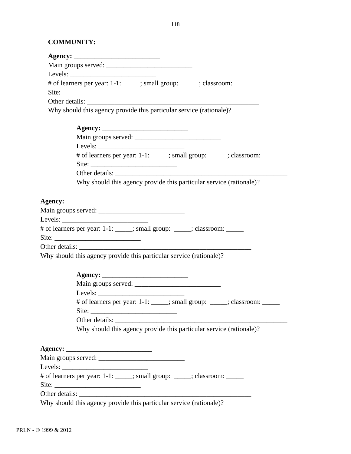#### **COMMUNITY:**

| # of learners per year: 1-1: ____; small group: ____; classroom: _____                                                                                                                                                                                                                                                                                                                                        |
|---------------------------------------------------------------------------------------------------------------------------------------------------------------------------------------------------------------------------------------------------------------------------------------------------------------------------------------------------------------------------------------------------------------|
| Site: $\frac{1}{\sqrt{1-\frac{1}{2}}\sqrt{1-\frac{1}{2}}\sqrt{1-\frac{1}{2}}\sqrt{1-\frac{1}{2}}\sqrt{1-\frac{1}{2}}\sqrt{1-\frac{1}{2}}\sqrt{1-\frac{1}{2}}\sqrt{1-\frac{1}{2}}\sqrt{1-\frac{1}{2}}\sqrt{1-\frac{1}{2}}\sqrt{1-\frac{1}{2}}\sqrt{1-\frac{1}{2}}\sqrt{1-\frac{1}{2}}\sqrt{1-\frac{1}{2}}\sqrt{1-\frac{1}{2}}\sqrt{1-\frac{1}{2}}\sqrt{1-\frac{1}{2}}\sqrt{1-\frac{1}{2}}\sqrt{1-\frac{1}{2}}$ |
| Other details:                                                                                                                                                                                                                                                                                                                                                                                                |
| Why should this agency provide this particular service (rationale)?                                                                                                                                                                                                                                                                                                                                           |
|                                                                                                                                                                                                                                                                                                                                                                                                               |
|                                                                                                                                                                                                                                                                                                                                                                                                               |
|                                                                                                                                                                                                                                                                                                                                                                                                               |
| # of learners per year: 1-1: ____; small group: ____; classroom: _____                                                                                                                                                                                                                                                                                                                                        |
|                                                                                                                                                                                                                                                                                                                                                                                                               |
|                                                                                                                                                                                                                                                                                                                                                                                                               |
| Why should this agency provide this particular service (rationale)?                                                                                                                                                                                                                                                                                                                                           |
|                                                                                                                                                                                                                                                                                                                                                                                                               |
|                                                                                                                                                                                                                                                                                                                                                                                                               |
|                                                                                                                                                                                                                                                                                                                                                                                                               |
|                                                                                                                                                                                                                                                                                                                                                                                                               |
| # of learners per year: 1-1: _____; small group: _____; classroom: ______                                                                                                                                                                                                                                                                                                                                     |
|                                                                                                                                                                                                                                                                                                                                                                                                               |
|                                                                                                                                                                                                                                                                                                                                                                                                               |
|                                                                                                                                                                                                                                                                                                                                                                                                               |
| Why should this agency provide this particular service (rationale)?                                                                                                                                                                                                                                                                                                                                           |
|                                                                                                                                                                                                                                                                                                                                                                                                               |
|                                                                                                                                                                                                                                                                                                                                                                                                               |
|                                                                                                                                                                                                                                                                                                                                                                                                               |
|                                                                                                                                                                                                                                                                                                                                                                                                               |
| # of learners per year: 1-1: ____; small group: ____; classroom: _____                                                                                                                                                                                                                                                                                                                                        |
| Site: $\overline{\phantom{a}}$                                                                                                                                                                                                                                                                                                                                                                                |

Why should this agency provide this particular service (rationale)?

**Agency:** \_\_\_\_\_\_\_\_\_\_\_\_\_\_\_\_\_\_\_\_\_\_\_\_\_ Main groups served: \_\_\_\_\_\_\_\_\_\_\_\_\_\_\_\_\_\_\_\_\_\_\_\_\_ Levels: # of learners per year: 1-1: \_\_\_\_\_; small group: \_\_\_\_; classroom: \_\_\_\_\_\_ Site: \_\_\_\_\_\_\_\_\_\_\_\_\_\_\_\_\_\_\_\_\_\_\_\_\_

Other details: \_\_\_\_\_\_\_\_\_\_\_\_\_\_\_\_\_\_\_\_\_\_\_\_\_\_\_\_\_\_\_\_\_\_\_\_\_\_\_\_\_\_\_\_\_\_\_\_\_\_

Why should this agency provide this particular service (rationale)?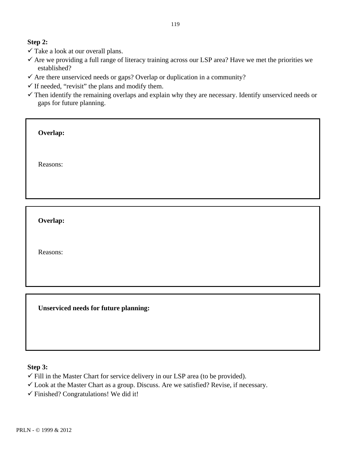#### **Step 2:**

- $\checkmark$  Take a look at our overall plans.
- $\checkmark$  Are we providing a full range of literacy training across our LSP area? Have we met the priorities we established?
- $\checkmark$  Are there unserviced needs or gaps? Overlap or duplication in a community?
- $\checkmark$  If needed, "revisit" the plans and modify them.
- $\checkmark$  Then identify the remaining overlaps and explain why they are necessary. Identify unserviced needs or gaps for future planning.

Reasons:

**Overlap:**

Reasons:

**Unserviced needs for future planning:**

#### **Step 3:**

 $\checkmark$  Fill in the Master Chart for service delivery in our LSP area (to be provided).

 $\checkmark$  Look at the Master Chart as a group. Discuss. Are we satisfied? Revise, if necessary.

 $\checkmark$  Finished? Congratulations! We did it!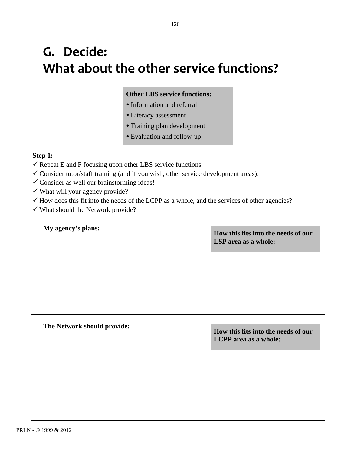# **G. Decide: What
about
the
other
service
functions?**

#### **Other LBS service functions:**

- Information and referral
- Literacy assessment
- Training plan development
- Evaluation and follow-up

#### **Step 1:**

- $\checkmark$  Repeat E and F focusing upon other LBS service functions.
- Consider tutor/staff training (and if you wish, other service development areas).
- $\checkmark$  Consider as well our brainstorming ideas!
- $\checkmark$  What will your agency provide?
- $\checkmark$  How does this fit into the needs of the LCPP as a whole, and the services of other agencies?
- $\checkmark$  What should the Network provide?

## **My agency's plans: How this fits into the needs of our LSP area as a whole:**

**The Network should provide: How this fits into the needs of our** 

**LCPP area as a whole:**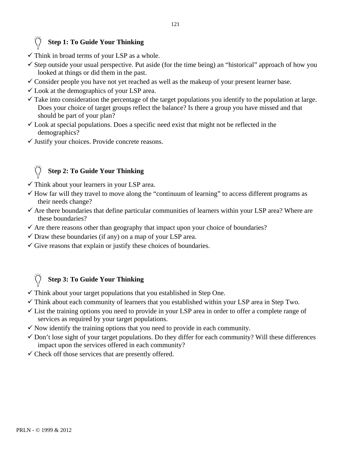#### **Step 1: To Guide Your Thinking**

- $\checkmark$  Think in broad terms of your LSP as a whole.
- $\checkmark$  Step outside your usual perspective. Put aside (for the time being) an "historical" approach of how you looked at things or did them in the past.
- $\checkmark$  Consider people you have not yet reached as well as the makeup of your present learner base.
- $\checkmark$  Look at the demographics of your LSP area.
- $\checkmark$  Take into consideration the percentage of the target populations you identify to the population at large. Does your choice of target groups reflect the balance? Is there a group you have missed and that should be part of your plan?
- $\checkmark$  Look at special populations. Does a specific need exist that might not be reflected in the demographics?
- $\checkmark$  Justify your choices. Provide concrete reasons.

#### **Step 2: To Guide Your Thinking**

- $\checkmark$  Think about your learners in your LSP area.
- $\checkmark$  How far will they travel to move along the "continuum of learning" to access different programs as their needs change?
- $\checkmark$  Are there boundaries that define particular communities of learners within your LSP area? Where are these boundaries?
- $\checkmark$  Are there reasons other than geography that impact upon your choice of boundaries?
- $\checkmark$  Draw these boundaries (if any) on a map of your LSP area.
- $\checkmark$  Give reasons that explain or justify these choices of boundaries.

### **Step 3: To Guide Your Thinking**

- $\checkmark$  Think about your target populations that you established in Step One.
- $\checkmark$  Think about each community of learners that you established within your LSP area in Step Two.
- $\checkmark$  List the training options you need to provide in your LSP area in order to offer a complete range of services as required by your target populations.
- $\checkmark$  Now identify the training options that you need to provide in each community.
- $\checkmark$  Don't lose sight of your target populations. Do they differ for each community? Will these differences impact upon the services offered in each community?
- $\checkmark$  Check off those services that are presently offered.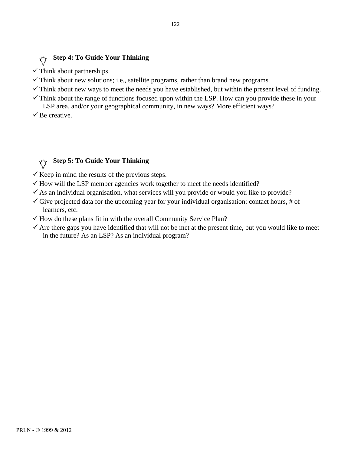## **Step 4: To Guide Your Thinking**

- $\checkmark$  Think about partnerships.
- $\checkmark$  Think about new solutions; i.e., satellite programs, rather than brand new programs.
- $\checkmark$  Think about new ways to meet the needs you have established, but within the present level of funding.
- $\checkmark$  Think about the range of functions focused upon within the LSP. How can you provide these in your LSP area, and/or your geographical community, in new ways? More efficient ways?
- $\checkmark$  Be creative.

#### **Step 5: To Guide Your Thinking**  $\phi$

- $\checkmark$  Keep in mind the results of the previous steps.
- $\checkmark$  How will the LSP member agencies work together to meet the needs identified?
- $\checkmark$  As an individual organisation, what services will you provide or would you like to provide?
- $\checkmark$  Give projected data for the upcoming year for your individual organisation: contact hours, # of learners, etc.
- $\checkmark$  How do these plans fit in with the overall Community Service Plan?
- $\checkmark$  Are there gaps you have identified that will not be met at the present time, but you would like to meet in the future? As an LSP? As an individual program?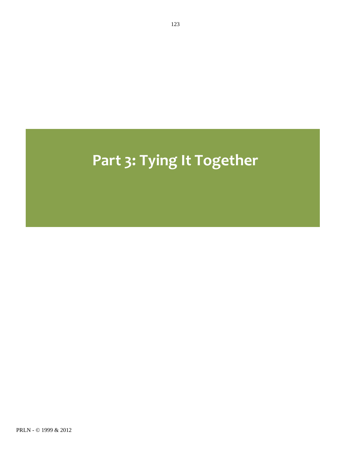# Part 3: Tying It Together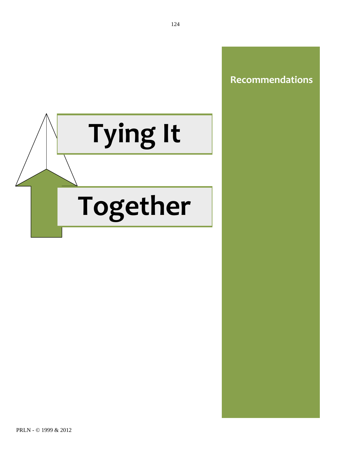

## **Recommendations**

PRLN - © 1999 & 2012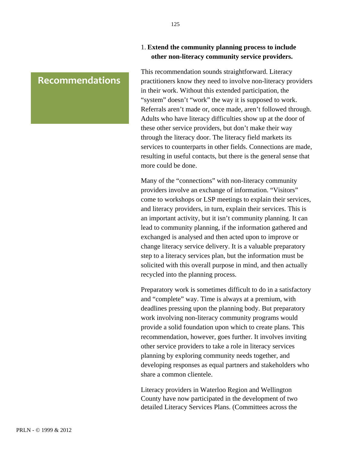## Recommendations **Recommendations**

#### 1. **Extend the community planning process to include other non-literacy community service providers.**

This recommendation sounds straightforward. Literacy practitioners know they need to involve non-literacy providers in their work. Without this extended participation, the "system" doesn't "work" the way it is supposed to work. Referrals aren't made or, once made, aren't followed through. Adults who have literacy difficulties show up at the door of these other service providers, but don't make their way through the literacy door. The literacy field markets its services to counterparts in other fields. Connections are made, resulting in useful contacts, but there is the general sense that more could be done.

Many of the "connections" with non-literacy community providers involve an exchange of information. "Visitors" come to workshops or LSP meetings to explain their services, and literacy providers, in turn, explain their services. This is an important activity, but it isn't community planning. It can lead to community planning, if the information gathered and exchanged is analysed and then acted upon to improve or change literacy service delivery. It is a valuable preparatory step to a literacy services plan, but the information must be solicited with this overall purpose in mind, and then actually recycled into the planning process.

Preparatory work is sometimes difficult to do in a satisfactory and "complete" way. Time is always at a premium, with deadlines pressing upon the planning body. But preparatory work involving non-literacy community programs would provide a solid foundation upon which to create plans. This recommendation, however, goes further. It involves inviting other service providers to take a role in literacy services planning by exploring community needs together, and developing responses as equal partners and stakeholders who share a common clientele.

Literacy providers in Waterloo Region and Wellington County have now participated in the development of two detailed Literacy Services Plans. (Committees across the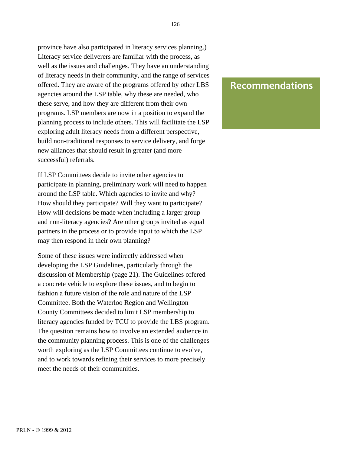province have also participated in literacy services planning.) Literacy service deliverers are familiar with the process, as well as the issues and challenges. They have an understanding of literacy needs in their community, and the range of services offered. They are aware of the programs offered by other LBS agencies around the LSP table, why these are needed, who these serve, and how they are different from their own programs. LSP members are now in a position to expand the planning process to include others. This will facilitate the LSP exploring adult literacy needs from a different perspective, build non-traditional responses to service delivery, and forge new alliances that should result in greater (and more successful) referrals.

If LSP Committees decide to invite other agencies to participate in planning, preliminary work will need to happen around the LSP table. Which agencies to invite and why? How should they participate? Will they want to participate? How will decisions be made when including a larger group and non-literacy agencies? Are other groups invited as equal partners in the process or to provide input to which the LSP may then respond in their own planning?

Some of these issues were indirectly addressed when developing the LSP Guidelines, particularly through the discussion of Membership (page 21). The Guidelines offered a concrete vehicle to explore these issues, and to begin to fashion a future vision of the role and nature of the LSP Committee. Both the Waterloo Region and Wellington County Committees decided to limit LSP membership to literacy agencies funded by TCU to provide the LBS program. The question remains how to involve an extended audience in the community planning process. This is one of the challenges worth exploring as the LSP Committees continue to evolve, and to work towards refining their services to more precisely meet the needs of their communities.

## Recommendations **Recommendations**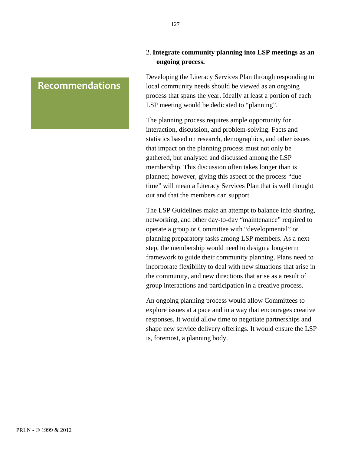## Recommendations **Recommendations**

2. **Integrate community planning into LSP meetings as an ongoing process.**

Developing the Literacy Services Plan through responding to local community needs should be viewed as an ongoing process that spans the year. Ideally at least a portion of each LSP meeting would be dedicated to "planning".

The planning process requires ample opportunity for interaction, discussion, and problem-solving. Facts and statistics based on research, demographics, and other issues that impact on the planning process must not only be gathered, but analysed and discussed among the LSP membership. This discussion often takes longer than is planned; however, giving this aspect of the process "due time" will mean a Literacy Services Plan that is well thought out and that the members can support.

The LSP Guidelines make an attempt to balance info sharing, networking, and other day-to-day "maintenance" required to operate a group or Committee with "developmental" or planning preparatory tasks among LSP members. As a next step, the membership would need to design a long-term framework to guide their community planning. Plans need to incorporate flexibility to deal with new situations that arise in the community, and new directions that arise as a result of group interactions and participation in a creative process.

An ongoing planning process would allow Committees to explore issues at a pace and in a way that encourages creative responses. It would allow time to negotiate partnerships and shape new service delivery offerings. It would ensure the LSP is, foremost, a planning body.